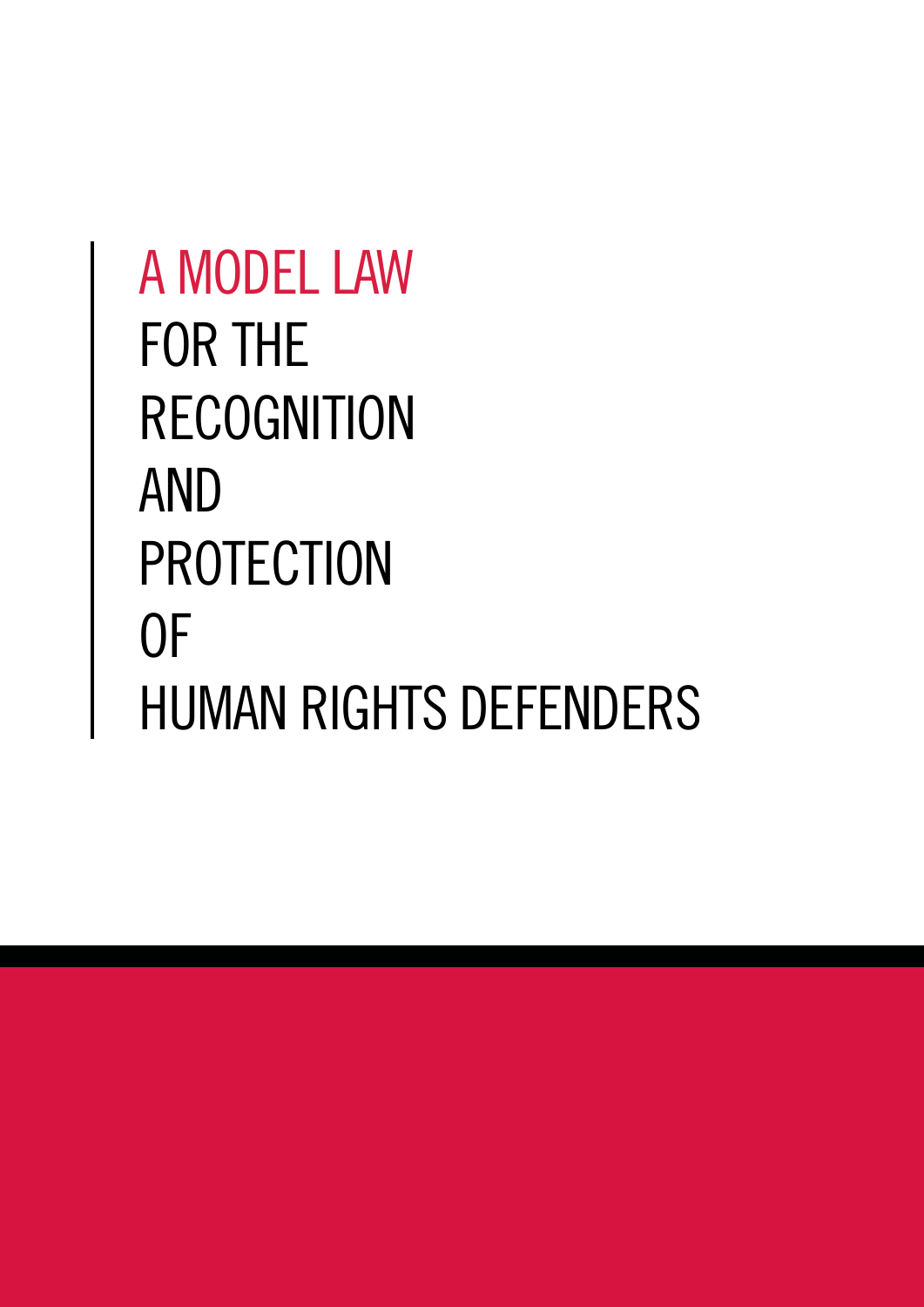# A MODEL LAW FOR THE RECOGNITION AND PROTECTION OF HUMAN RIGHTS DEFENDERS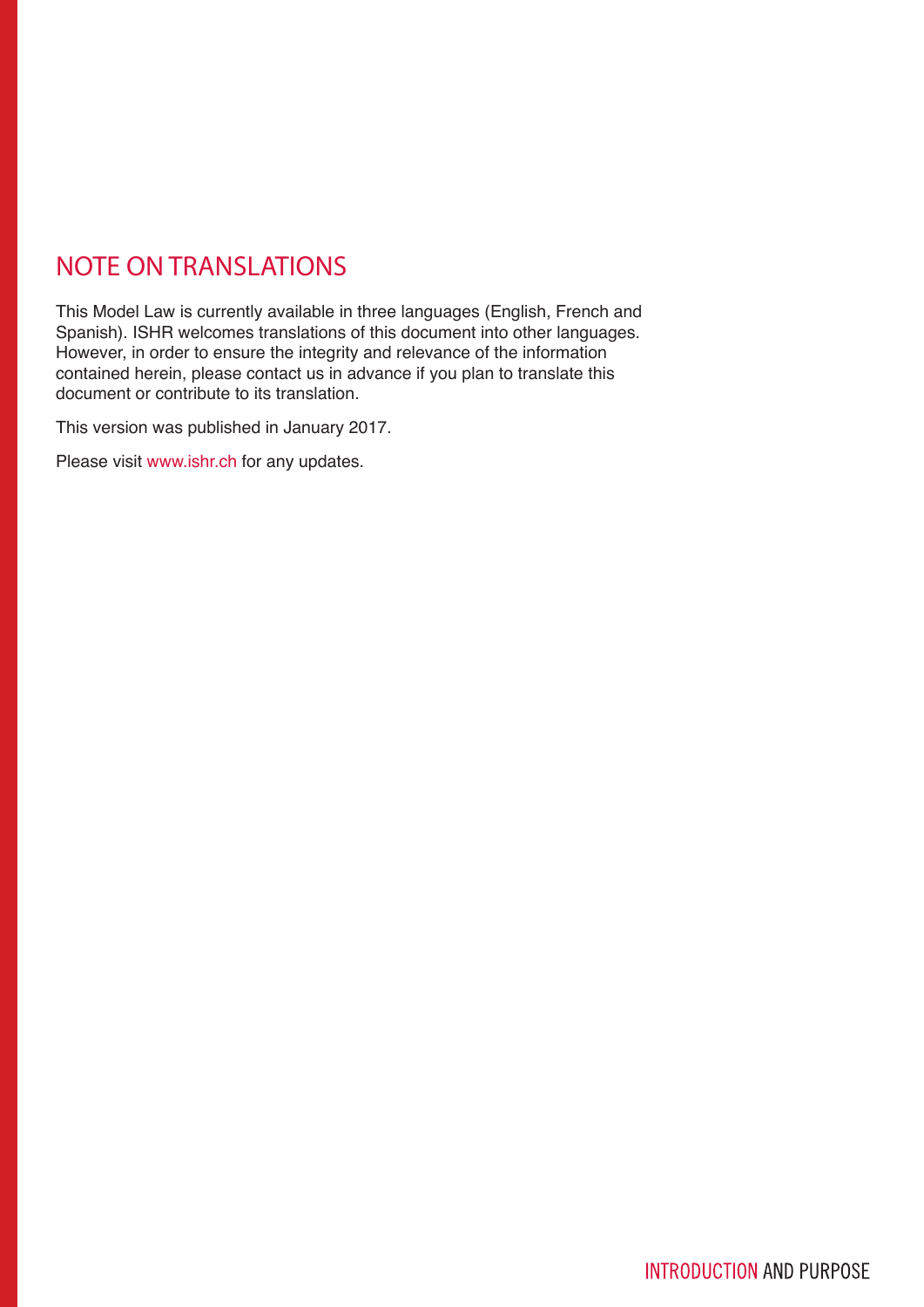# NOTE ON TRANSLATIONS

This Model Law is currently available in three languages (English, French and Spanish). ISHR welcomes translations of this document into other languages. However, in order to ensure the integrity and relevance of the information contained herein, please contact us in advance if you plan to translate this document or contribute to its translation.

This version was published in January 2017.

Please visit www.ishr.ch for any updates.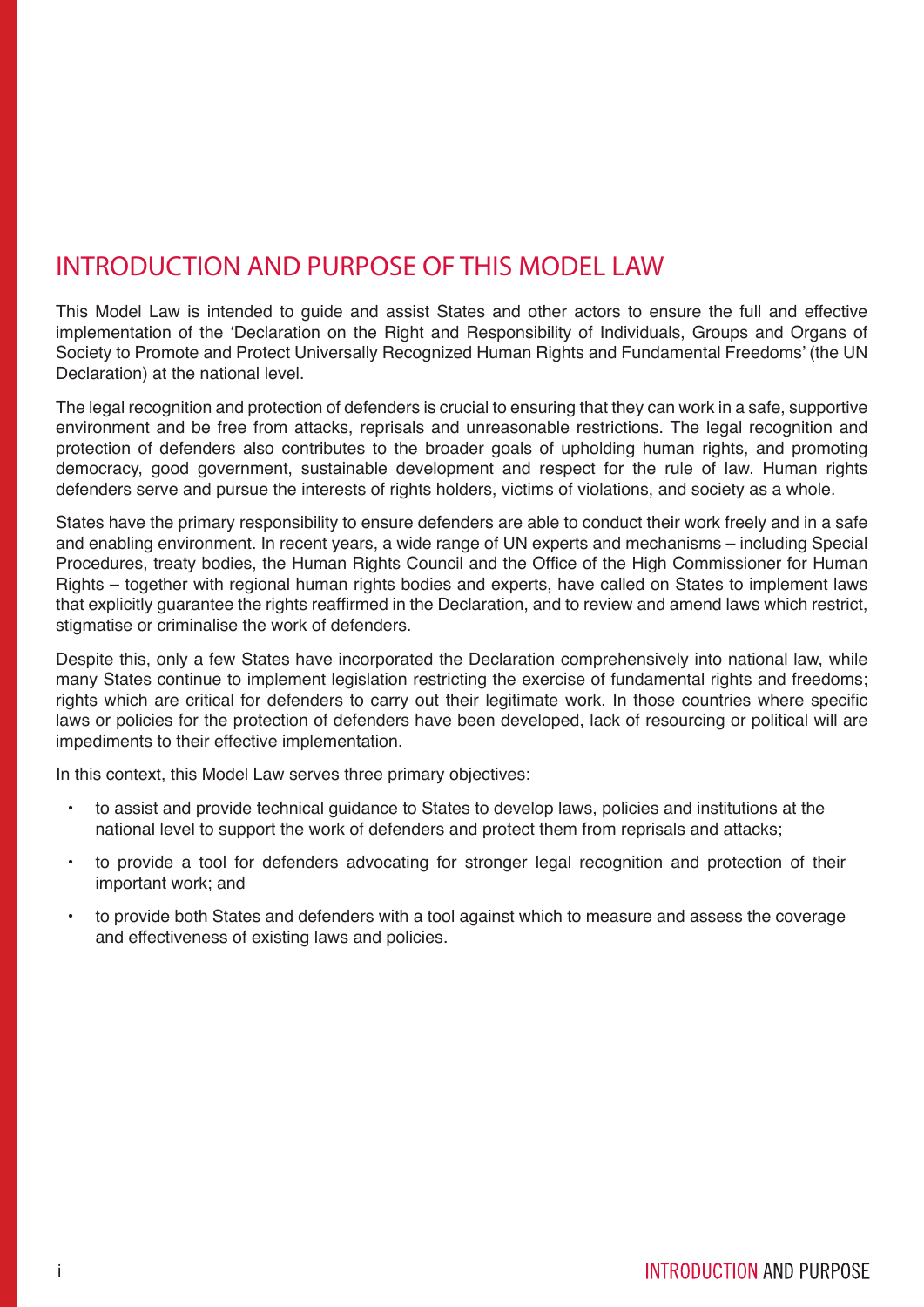## INTRODUCTION AND PURPOSE OF THIS MODEL LAW

This Model Law is intended to guide and assist States and other actors to ensure the full and effective implementation of the 'Declaration on the Right and Responsibility of Individuals, Groups and Organs of Society to Promote and Protect Universally Recognized Human Rights and Fundamental Freedoms' (the UN Declaration) at the national level.

The legal recognition and protection of defenders is crucial to ensuring that they can work in a safe, supportive environment and be free from attacks, reprisals and unreasonable restrictions. The legal recognition and protection of defenders also contributes to the broader goals of upholding human rights, and promoting democracy, good government, sustainable development and respect for the rule of law. Human rights defenders serve and pursue the interests of rights holders, victims of violations, and society as a whole.

States have the primary responsibility to ensure defenders are able to conduct their work freely and in a safe and enabling environment. In recent years, a wide range of UN experts and mechanisms – including Special Procedures, treaty bodies, the Human Rights Council and the Office of the High Commissioner for Human Rights – together with regional human rights bodies and experts, have called on States to implement laws that explicitly guarantee the rights reaffirmed in the Declaration, and to review and amend laws which restrict, stigmatise or criminalise the work of defenders.

Despite this, only a few States have incorporated the Declaration comprehensively into national law, while many States continue to implement legislation restricting the exercise of fundamental rights and freedoms; rights which are critical for defenders to carry out their legitimate work. In those countries where specific laws or policies for the protection of defenders have been developed, lack of resourcing or political will are impediments to their effective implementation.

In this context, this Model Law serves three primary objectives:

- to assist and provide technical guidance to States to develop laws, policies and institutions at the national level to support the work of defenders and protect them from reprisals and attacks;
- to provide a tool for defenders advocating for stronger legal recognition and protection of their important work; and
- to provide both States and defenders with a tool against which to measure and assess the coverage and effectiveness of existing laws and policies.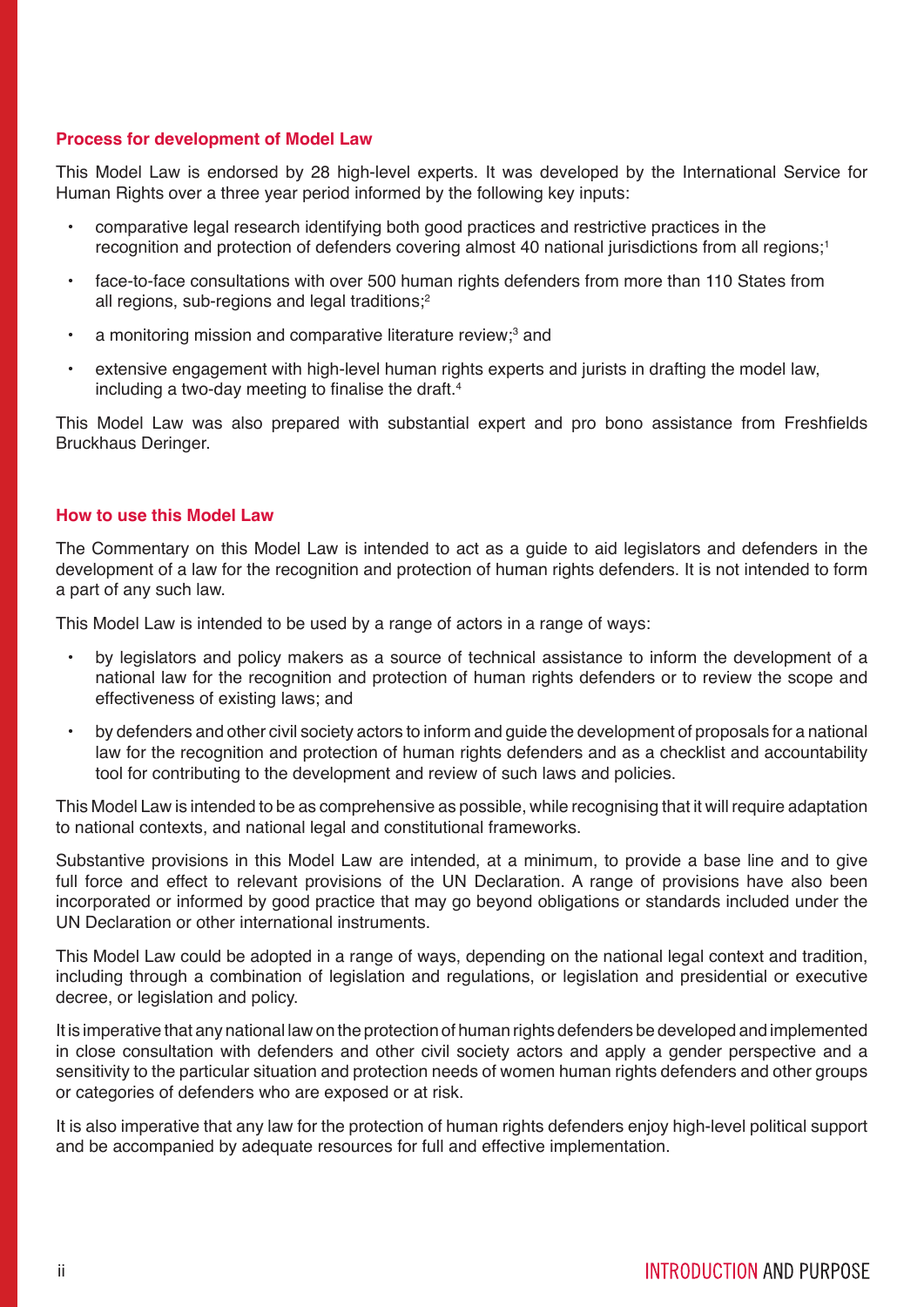#### **Process for development of Model Law**

This Model Law is endorsed by 28 high-level experts. It was developed by the International Service for Human Rights over a three year period informed by the following key inputs:

- comparative legal research identifying both good practices and restrictive practices in the recognition and protection of defenders covering almost 40 national jurisdictions from all regions;<sup>1</sup>
- face-to-face consultations with over 500 human rights defenders from more than 110 States from all regions, sub-regions and legal traditions;<sup>2</sup>
- a monitoring mission and comparative literature review;<sup>3</sup> and
- extensive engagement with high-level human rights experts and jurists in drafting the model law, including a two-day meeting to finalise the draft. $4$

This Model Law was also prepared with substantial expert and pro bono assistance from Freshfields Bruckhaus Deringer.

#### **How to use this Model Law**

The Commentary on this Model Law is intended to act as a guide to aid legislators and defenders in the development of a law for the recognition and protection of human rights defenders. It is not intended to form a part of any such law.

This Model Law is intended to be used by a range of actors in a range of ways:

- by legislators and policy makers as a source of technical assistance to inform the development of a national law for the recognition and protection of human rights defenders or to review the scope and effectiveness of existing laws; and
- by defenders and other civil society actors to inform and guide the development of proposals for a national law for the recognition and protection of human rights defenders and as a checklist and accountability tool for contributing to the development and review of such laws and policies.

This Model Law is intended to be as comprehensive as possible, while recognising that it will require adaptation to national contexts, and national legal and constitutional frameworks.

Substantive provisions in this Model Law are intended, at a minimum, to provide a base line and to give full force and effect to relevant provisions of the UN Declaration. A range of provisions have also been incorporated or informed by good practice that may go beyond obligations or standards included under the UN Declaration or other international instruments.

This Model Law could be adopted in a range of ways, depending on the national legal context and tradition, including through a combination of legislation and regulations, or legislation and presidential or executive decree, or legislation and policy.

It is imperative that any national law on the protection of human rights defenders be developed and implemented in close consultation with defenders and other civil society actors and apply a gender perspective and a sensitivity to the particular situation and protection needs of women human rights defenders and other groups or categories of defenders who are exposed or at risk.

It is also imperative that any law for the protection of human rights defenders enjoy high-level political support and be accompanied by adequate resources for full and effective implementation.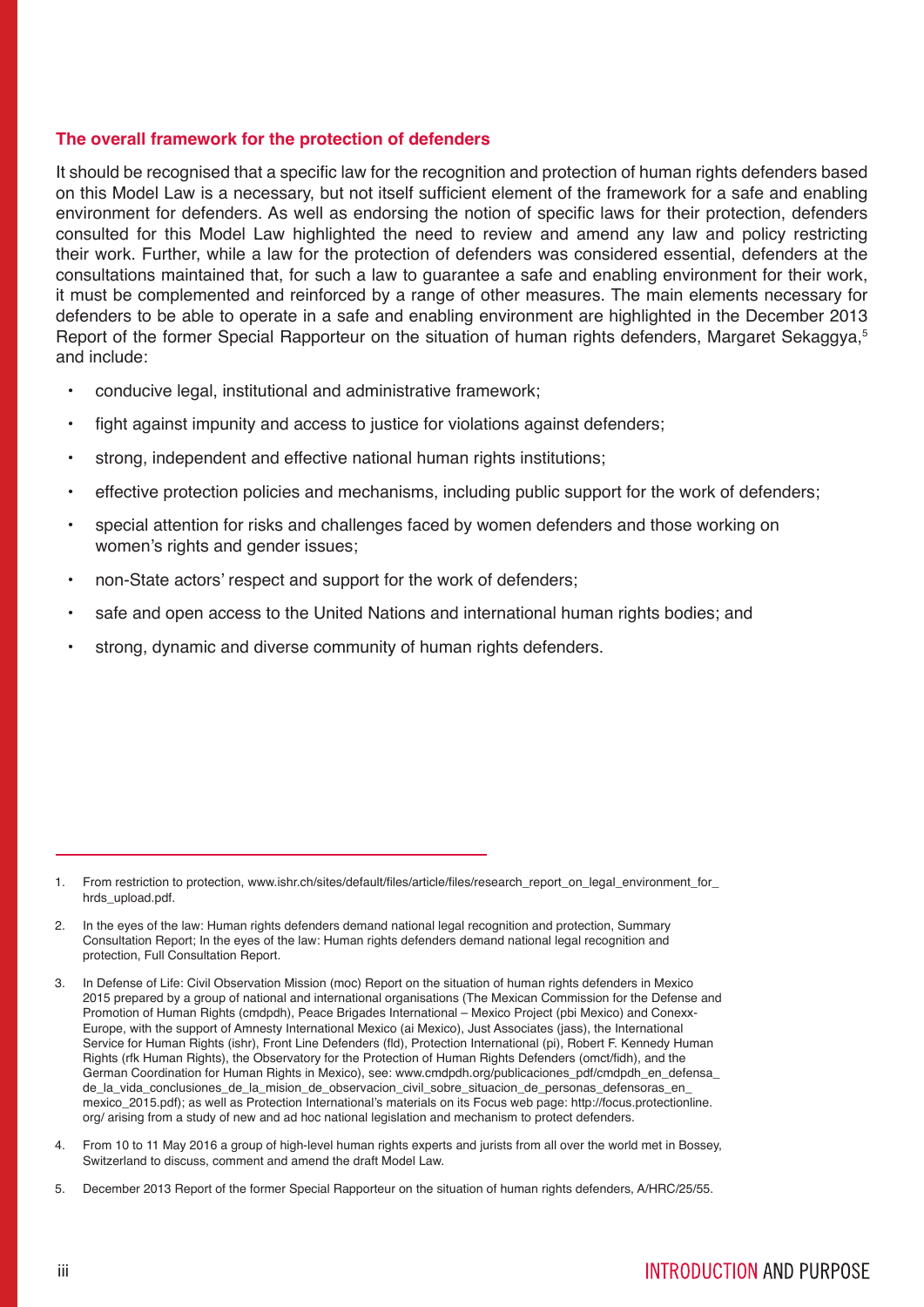#### **The overall framework for the protection of defenders**

It should be recognised that a specific law for the recognition and protection of human rights defenders based on this Model Law is a necessary, but not itself sufficient element of the framework for a safe and enabling environment for defenders. As well as endorsing the notion of specific laws for their protection, defenders consulted for this Model Law highlighted the need to review and amend any law and policy restricting their work. Further, while a law for the protection of defenders was considered essential, defenders at the consultations maintained that, for such a law to guarantee a safe and enabling environment for their work, it must be complemented and reinforced by a range of other measures. The main elements necessary for defenders to be able to operate in a safe and enabling environment are highlighted in the December 2013 Report of the former Special Rapporteur on the situation of human rights defenders. Margaret Sekaggya.<sup>5</sup> and include:

- conducive legal, institutional and administrative framework;
- fight against impunity and access to justice for violations against defenders;
- strong, independent and effective national human rights institutions;
- effective protection policies and mechanisms, including public support for the work of defenders;
- special attention for risks and challenges faced by women defenders and those working on women's rights and gender issues;
- non-State actors' respect and support for the work of defenders;
- safe and open access to the United Nations and international human rights bodies; and
- strong, dynamic and diverse community of human rights defenders.

- 4. From 10 to 11 May 2016 a group of high-level human rights experts and jurists from all over the world met in Bossey, Switzerland to discuss, comment and amend the draft Model Law.
- 5. December 2013 Report of the former Special Rapporteur on the situation of human rights defenders, A/HRC/25/55.

<sup>1.</sup> From restriction to protection, www.ishr.ch/sites/default/files/article/files/research\_report\_on\_legal\_environment\_for\_ hrds\_upload.pdf.

<sup>2.</sup> In the eyes of the law: Human rights defenders demand national legal recognition and protection, Summary Consultation Report; In the eyes of the law: Human rights defenders demand national legal recognition and protection, Full Consultation Report.

<sup>3.</sup> In Defense of Life: Civil Observation Mission (moc) Report on the situation of human rights defenders in Mexico 2015 prepared by a group of national and international organisations (The Mexican Commission for the Defense and Promotion of Human Rights (cmdpdh), Peace Brigades International – Mexico Project (pbi Mexico) and Conexx-Europe, with the support of Amnesty International Mexico (ai Mexico), Just Associates (jass), the International Service for Human Rights (ishr), Front Line Defenders (fld), Protection International (pi), Robert F. Kennedy Human Rights (rfk Human Rights), the Observatory for the Protection of Human Rights Defenders (omct/fidh), and the German Coordination for Human Rights in Mexico), see: www.cmdpdh.org/publicaciones\_pdf/cmdpdh\_en\_defensa\_ de\_la\_vida\_conclusiones\_de\_la\_mision\_de\_observacion\_civil\_sobre\_situacion\_de\_personas\_defensoras\_en mexico 2015.pdf); as well as Protection International's materials on its Focus web page: http://focus.protectionline. org/ arising from a study of new and ad hoc national legislation and mechanism to protect defenders.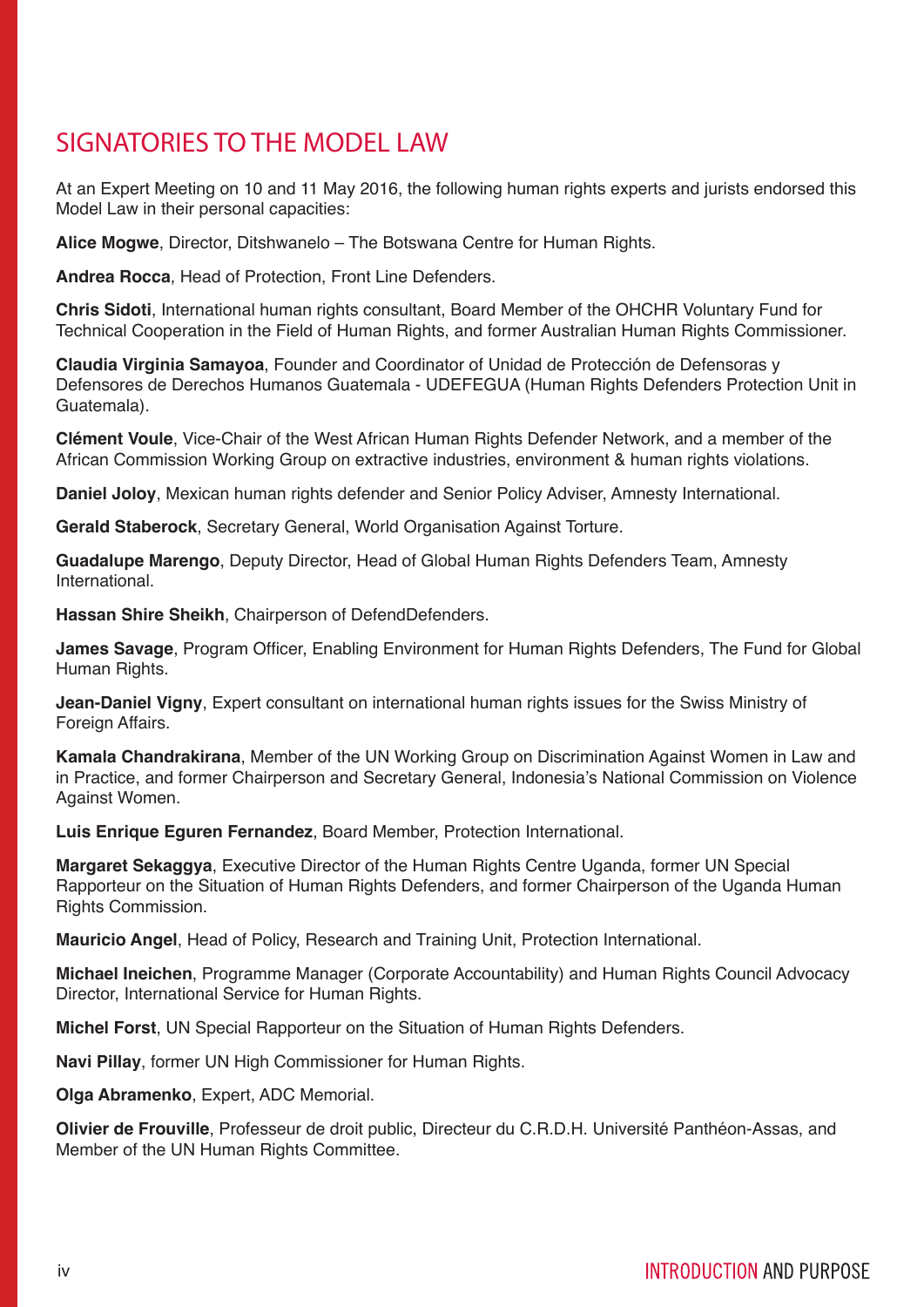# SIGNATORIES TO THE MODEL LAW

At an Expert Meeting on 10 and 11 May 2016, the following human rights experts and jurists endorsed this Model Law in their personal capacities:

**Alice Mogwe**, Director, Ditshwanelo – The Botswana Centre for Human Rights.

**Andrea Rocca**, Head of Protection, Front Line Defenders.

**Chris Sidoti**, International human rights consultant, Board Member of the OHCHR Voluntary Fund for Technical Cooperation in the Field of Human Rights, and former Australian Human Rights Commissioner.

**Claudia Virginia Samayoa**, Founder and Coordinator of Unidad de Protección de Defensoras y Defensores de Derechos Humanos Guatemala - UDEFEGUA (Human Rights Defenders Protection Unit in Guatemala).

**Clément Voule**, Vice-Chair of the West African Human Rights Defender Network, and a member of the African Commission Working Group on extractive industries, environment & human rights violations.

**Daniel Joloy**, Mexican human rights defender and Senior Policy Adviser, Amnesty International.

**Gerald Staberock**, Secretary General, World Organisation Against Torture.

**Guadalupe Marengo**, Deputy Director, Head of Global Human Rights Defenders Team, Amnesty International.

**Hassan Shire Sheikh**, Chairperson of DefendDefenders.

**James Savage**, Program Officer, Enabling Environment for Human Rights Defenders, The Fund for Global Human Rights.

**Jean-Daniel Vigny**, Expert consultant on international human rights issues for the Swiss Ministry of Foreign Affairs.

**Kamala Chandrakirana**, Member of the UN Working Group on Discrimination Against Women in Law and in Practice, and former Chairperson and Secretary General, Indonesia's National Commission on Violence Against Women.

**Luis Enrique Eguren Fernandez**, Board Member, Protection International.

**Margaret Sekaggya**, Executive Director of the Human Rights Centre Uganda, former UN Special Rapporteur on the Situation of Human Rights Defenders, and former Chairperson of the Uganda Human Rights Commission.

**Mauricio Angel**, Head of Policy, Research and Training Unit, Protection International.

**Michael Ineichen**, Programme Manager (Corporate Accountability) and Human Rights Council Advocacy Director, International Service for Human Rights.

**Michel Forst**, UN Special Rapporteur on the Situation of Human Rights Defenders.

**Navi Pillay**, former UN High Commissioner for Human Rights.

**Olga Abramenko**, Expert, ADC Memorial.

**Olivier de Frouville**, Professeur de droit public, Directeur du C.R.D.H. Université Panthéon-Assas, and Member of the UN Human Rights Committee.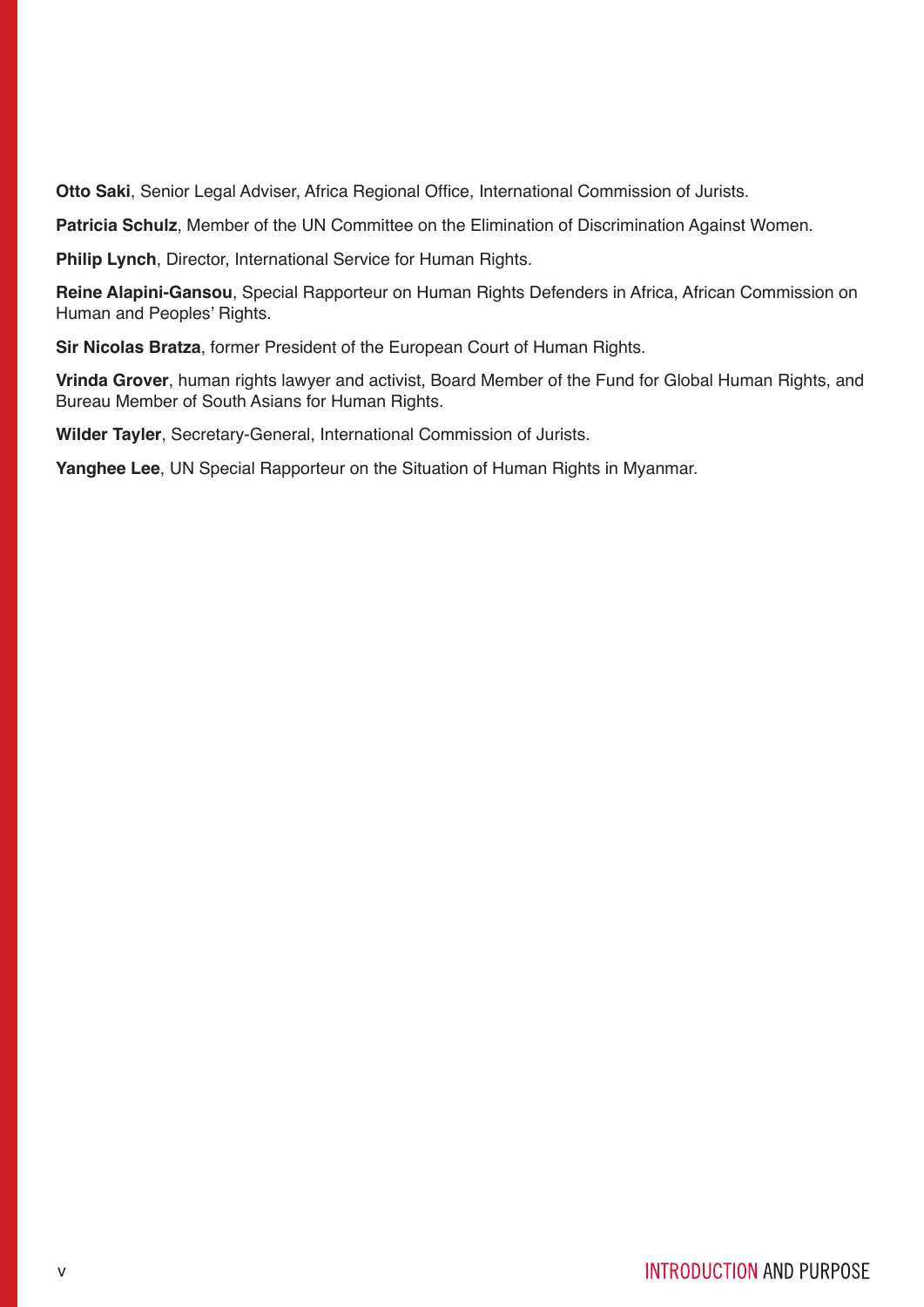**Otto Saki**, Senior Legal Adviser, Africa Regional Office, International Commission of Jurists.

**Patricia Schulz**, Member of the UN Committee on the Elimination of Discrimination Against Women.

**Philip Lynch**, Director, International Service for Human Rights.

**Reine Alapini-Gansou**, Special Rapporteur on Human Rights Defenders in Africa, African Commission on Human and Peoples' Rights.

**Sir Nicolas Bratza**, former President of the European Court of Human Rights.

**Vrinda Grover**, human rights lawyer and activist, Board Member of the Fund for Global Human Rights, and Bureau Member of South Asians for Human Rights.

**Wilder Tayler**, Secretary-General, International Commission of Jurists.

**Yanghee Lee**, UN Special Rapporteur on the Situation of Human Rights in Myanmar.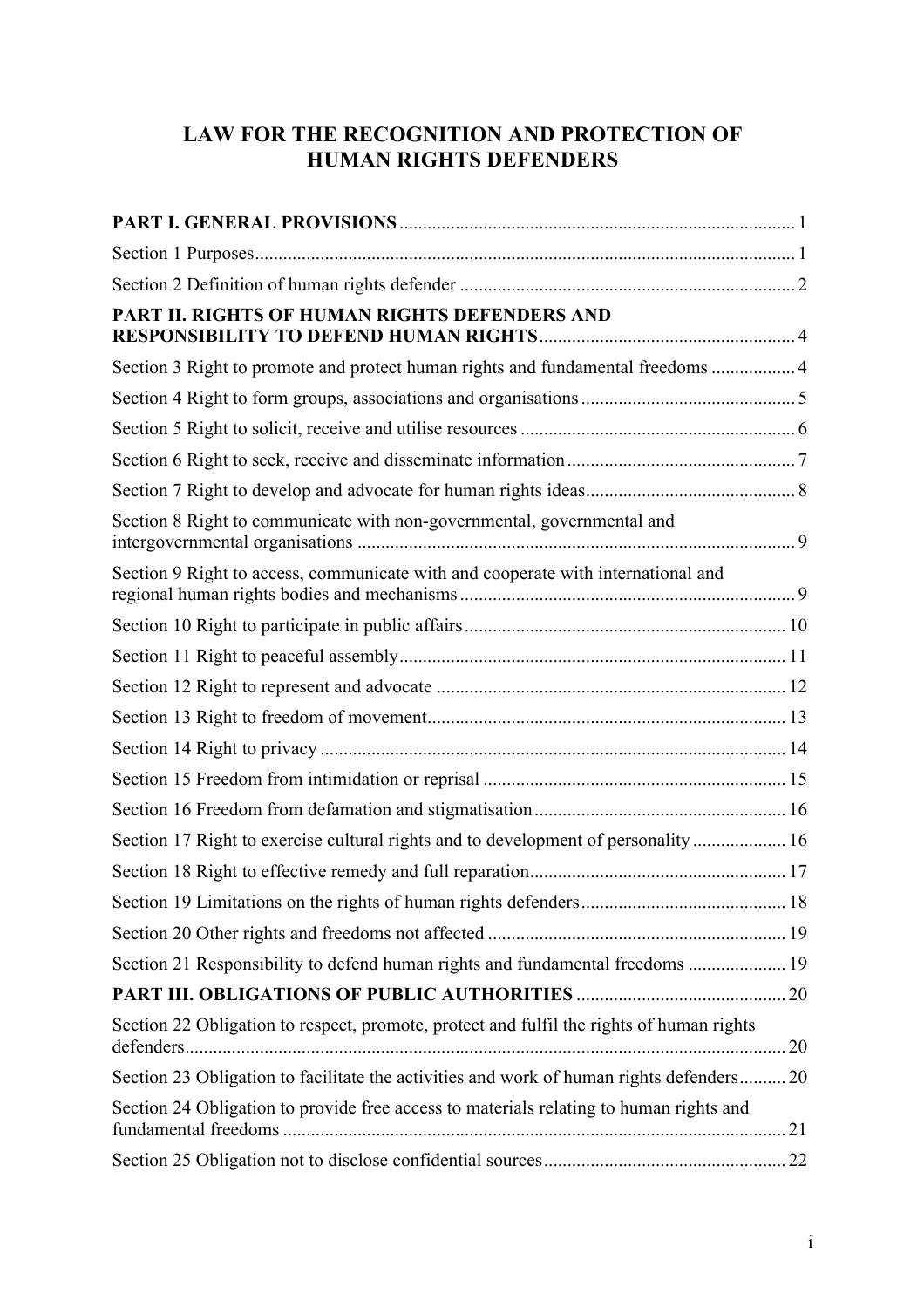## **LAW FOR THE RECOGNITION AND PROTECTION OF HUMAN RIGHTS DEFENDERS**

| PART II. RIGHTS OF HUMAN RIGHTS DEFENDERS AND                                            |  |
|------------------------------------------------------------------------------------------|--|
| Section 3 Right to promote and protect human rights and fundamental freedoms  4          |  |
|                                                                                          |  |
|                                                                                          |  |
|                                                                                          |  |
|                                                                                          |  |
| Section 8 Right to communicate with non-governmental, governmental and                   |  |
| Section 9 Right to access, communicate with and cooperate with international and         |  |
|                                                                                          |  |
|                                                                                          |  |
|                                                                                          |  |
|                                                                                          |  |
|                                                                                          |  |
|                                                                                          |  |
|                                                                                          |  |
| Section 17 Right to exercise cultural rights and to development of personality 16        |  |
|                                                                                          |  |
|                                                                                          |  |
|                                                                                          |  |
| Section 21 Responsibility to defend human rights and fundamental freedoms  19            |  |
|                                                                                          |  |
| Section 22 Obligation to respect, promote, protect and fulfil the rights of human rights |  |
| Section 23 Obligation to facilitate the activities and work of human rights defenders 20 |  |
| Section 24 Obligation to provide free access to materials relating to human rights and   |  |
|                                                                                          |  |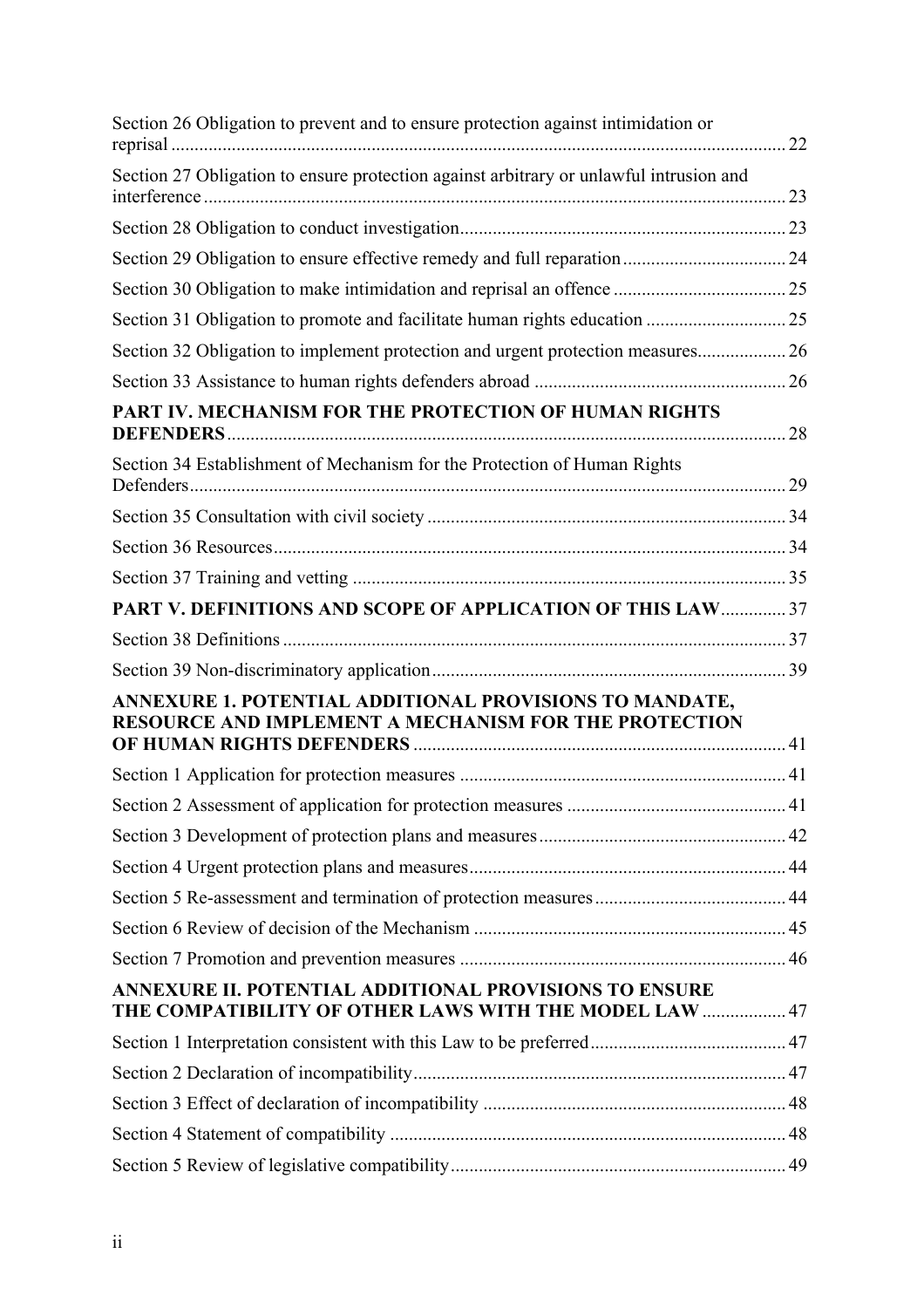| Section 26 Obligation to prevent and to ensure protection against intimidation or                                |    |  |
|------------------------------------------------------------------------------------------------------------------|----|--|
| Section 27 Obligation to ensure protection against arbitrary or unlawful intrusion and                           | 23 |  |
|                                                                                                                  |    |  |
|                                                                                                                  |    |  |
|                                                                                                                  |    |  |
|                                                                                                                  |    |  |
| Section 32 Obligation to implement protection and urgent protection measures 26                                  |    |  |
|                                                                                                                  |    |  |
| PART IV. MECHANISM FOR THE PROTECTION OF HUMAN RIGHTS                                                            |    |  |
|                                                                                                                  |    |  |
| Section 34 Establishment of Mechanism for the Protection of Human Rights                                         |    |  |
|                                                                                                                  |    |  |
|                                                                                                                  |    |  |
|                                                                                                                  |    |  |
| PART V. DEFINITIONS AND SCOPE OF APPLICATION OF THIS LAW  37                                                     |    |  |
|                                                                                                                  |    |  |
|                                                                                                                  |    |  |
| ANNEXURE 1. POTENTIAL ADDITIONAL PROVISIONS TO MANDATE,<br>RESOURCE AND IMPLEMENT A MECHANISM FOR THE PROTECTION |    |  |
|                                                                                                                  |    |  |
|                                                                                                                  |    |  |
|                                                                                                                  |    |  |
|                                                                                                                  |    |  |
|                                                                                                                  |    |  |
|                                                                                                                  |    |  |
|                                                                                                                  |    |  |
| ANNEXURE II. POTENTIAL ADDITIONAL PROVISIONS TO ENSURE<br>THE COMPATIBILITY OF OTHER LAWS WITH THE MODEL LAW  47 |    |  |
|                                                                                                                  |    |  |
|                                                                                                                  |    |  |
|                                                                                                                  |    |  |
|                                                                                                                  |    |  |
|                                                                                                                  |    |  |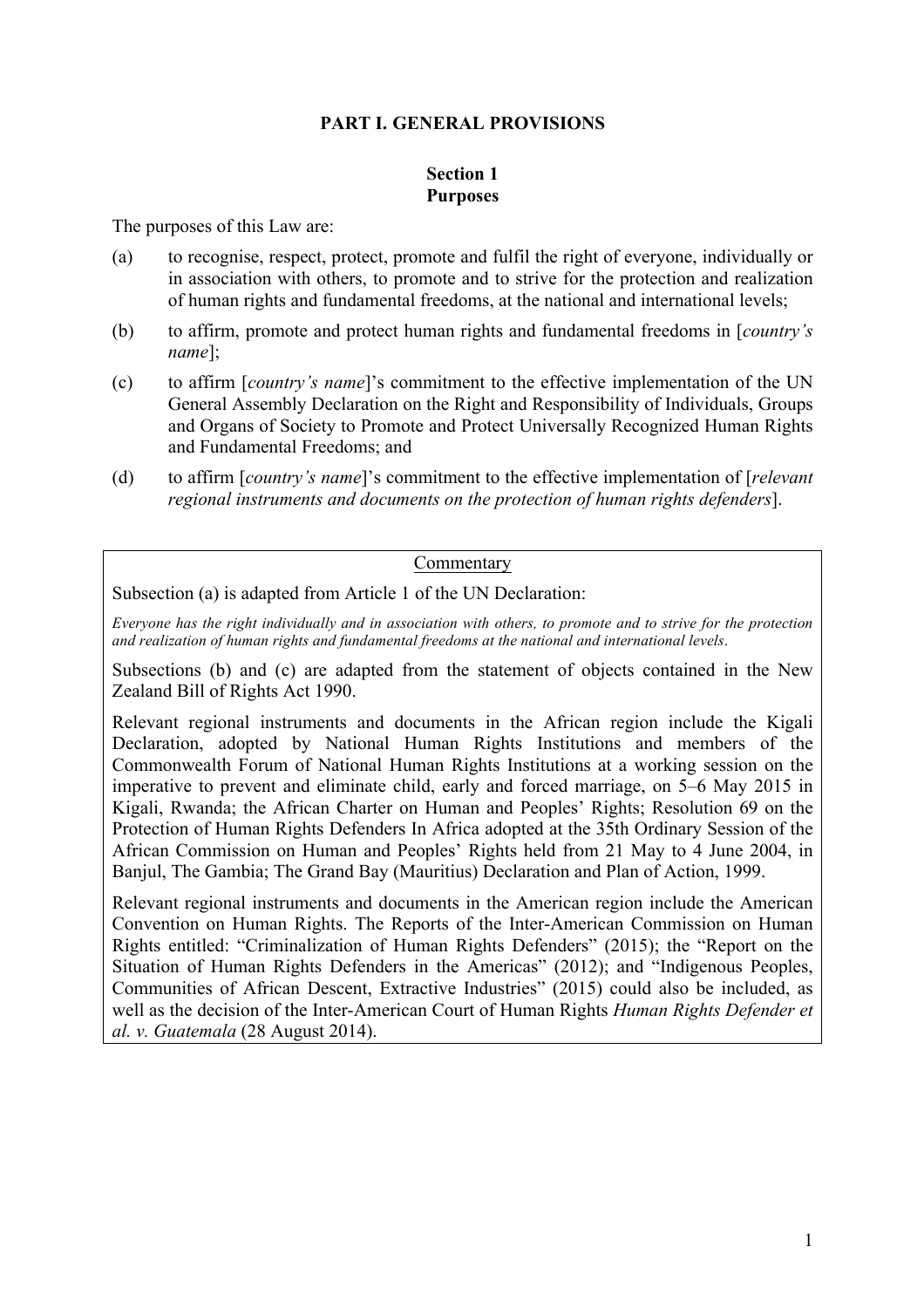#### **PART I. GENERAL PROVISIONS**

#### **Section 1 Purposes**

The purposes of this Law are:

- (a) to recognise, respect, protect, promote and fulfil the right of everyone, individually or in association with others, to promote and to strive for the protection and realization of human rights and fundamental freedoms, at the national and international levels;
- (b) to affirm, promote and protect human rights and fundamental freedoms in [*country's name*];
- (c) to affirm [*country's name*]'s commitment to the effective implementation of the UN General Assembly Declaration on the Right and Responsibility of Individuals, Groups and Organs of Society to Promote and Protect Universally Recognized Human Rights and Fundamental Freedoms; and
- (d) to affirm [*country's name*]'s commitment to the effective implementation of [*relevant regional instruments and documents on the protection of human rights defenders*].

#### Commentary

Subsection (a) is adapted from Article 1 of the UN Declaration:

*Everyone has the right individually and in association with others, to promote and to strive for the protection and realization of human rights and fundamental freedoms at the national and international levels*.

Subsections (b) and (c) are adapted from the statement of objects contained in the New Zealand Bill of Rights Act 1990.

Relevant regional instruments and documents in the African region include the Kigali Declaration, adopted by National Human Rights Institutions and members of the Commonwealth Forum of National Human Rights Institutions at a working session on the imperative to prevent and eliminate child, early and forced marriage, on 5–6 May 2015 in Kigali, Rwanda; the African Charter on Human and Peoples' Rights; Resolution 69 on the Protection of Human Rights Defenders In Africa adopted at the 35th Ordinary Session of the African Commission on Human and Peoples' Rights held from 21 May to 4 June 2004, in Banjul, The Gambia; The Grand Bay (Mauritius) Declaration and Plan of Action, 1999.

Relevant regional instruments and documents in the American region include the American Convention on Human Rights. The Reports of the Inter-American Commission on Human Rights entitled: "Criminalization of Human Rights Defenders" (2015); the "Report on the Situation of Human Rights Defenders in the Americas" (2012); and "Indigenous Peoples, Communities of African Descent, Extractive Industries" (2015) could also be included, as well as the decision of the Inter-American Court of Human Rights *Human Rights Defender et al. v. Guatemala* (28 August 2014).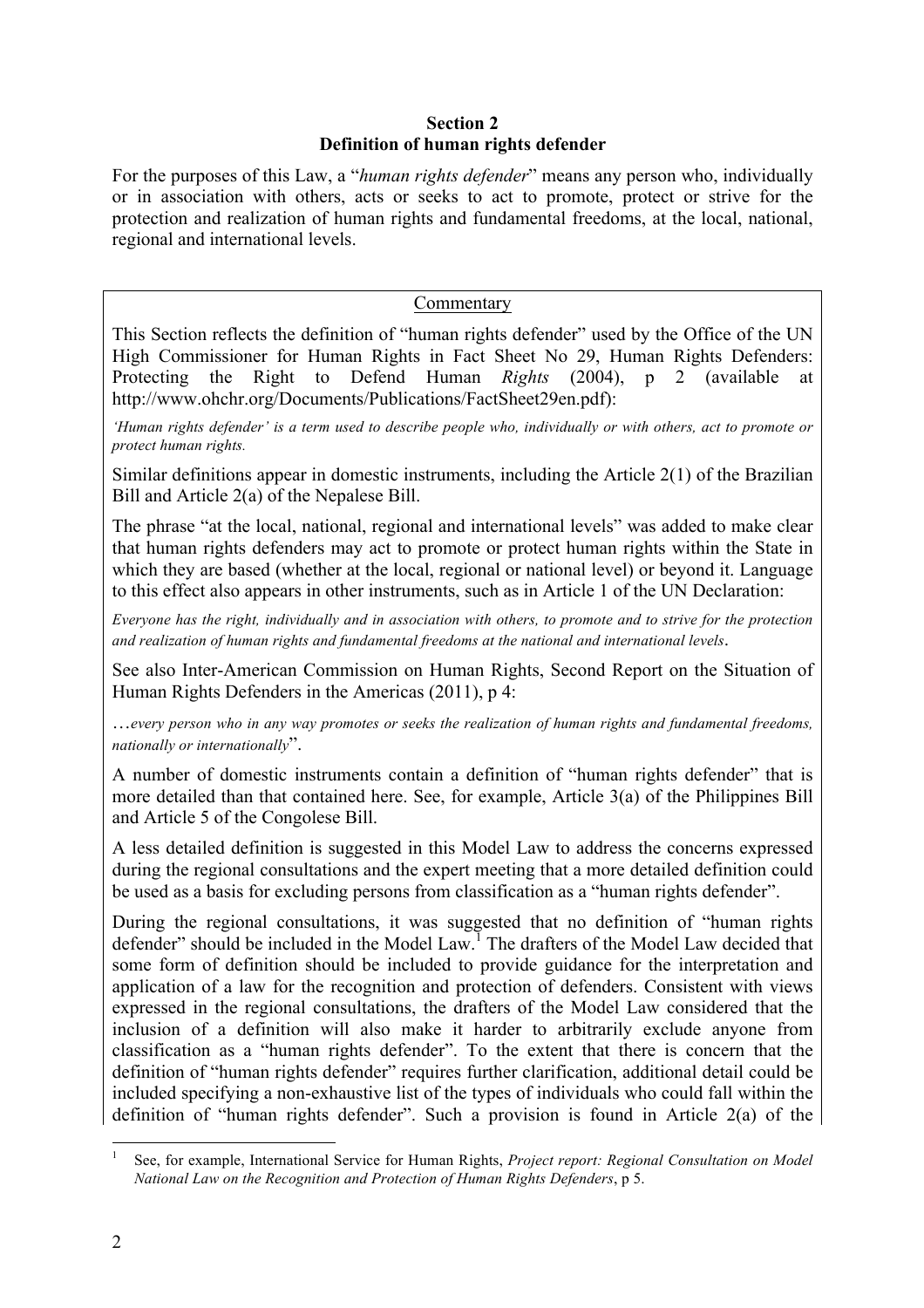#### **Section 2 Definition of human rights defender**

For the purposes of this Law, a "*human rights defender*" means any person who, individually or in association with others, acts or seeks to act to promote, protect or strive for the protection and realization of human rights and fundamental freedoms, at the local, national, regional and international levels.

#### Commentary

This Section reflects the definition of "human rights defender" used by the Office of the UN High Commissioner for Human Rights in Fact Sheet No 29, Human Rights Defenders: Protecting the Right to Defend Human *Rights* (2004), p 2 (available at http://www.ohchr.org/Documents/Publications/FactSheet29en.pdf):

*'Human rights defender' is a term used to describe people who, individually or with others, act to promote or protect human rights.*

Similar definitions appear in domestic instruments, including the Article 2(1) of the Brazilian Bill and Article 2(a) of the Nepalese Bill.

The phrase "at the local, national, regional and international levels" was added to make clear that human rights defenders may act to promote or protect human rights within the State in which they are based (whether at the local, regional or national level) or beyond it. Language to this effect also appears in other instruments, such as in Article 1 of the UN Declaration:

*Everyone has the right, individually and in association with others, to promote and to strive for the protection and realization of human rights and fundamental freedoms at the national and international levels*.

See also Inter-American Commission on Human Rights, Second Report on the Situation of Human Rights Defenders in the Americas (2011), p 4:

…*every person who in any way promotes or seeks the realization of human rights and fundamental freedoms, nationally or internationally*".

A number of domestic instruments contain a definition of "human rights defender" that is more detailed than that contained here. See, for example, Article 3(a) of the Philippines Bill and Article 5 of the Congolese Bill.

A less detailed definition is suggested in this Model Law to address the concerns expressed during the regional consultations and the expert meeting that a more detailed definition could be used as a basis for excluding persons from classification as a "human rights defender".

During the regional consultations, it was suggested that no definition of "human rights defender" should be included in the Model Law.<sup>1</sup> The drafters of the Model Law decided that some form of definition should be included to provide guidance for the interpretation and application of a law for the recognition and protection of defenders. Consistent with views expressed in the regional consultations, the drafters of the Model Law considered that the inclusion of a definition will also make it harder to arbitrarily exclude anyone from classification as a "human rights defender". To the extent that there is concern that the definition of "human rights defender" requires further clarification, additional detail could be included specifying a non-exhaustive list of the types of individuals who could fall within the definition of "human rights defender". Such a provision is found in Article 2(a) of the

 <sup>1</sup> See, for example, International Service for Human Rights, *Project report: Regional Consultation on Model National Law on the Recognition and Protection of Human Rights Defenders*, p 5.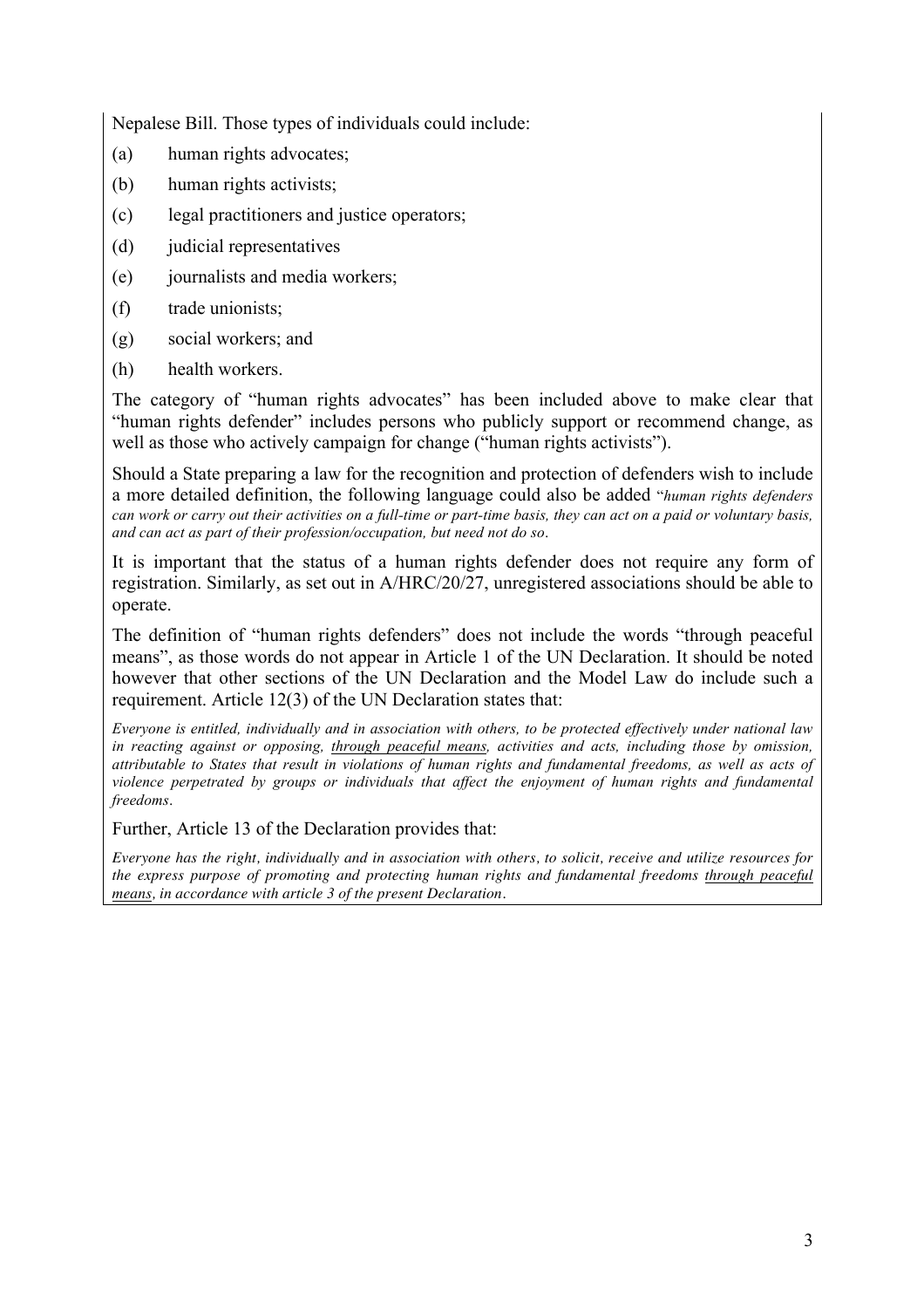Nepalese Bill. Those types of individuals could include:

- (a) human rights advocates;
- (b) human rights activists;
- (c) legal practitioners and justice operators;
- (d) judicial representatives
- (e) journalists and media workers;
- (f) trade unionists;
- (g) social workers; and
- (h) health workers.

The category of "human rights advocates" has been included above to make clear that "human rights defender" includes persons who publicly support or recommend change, as well as those who actively campaign for change ("human rights activists").

Should a State preparing a law for the recognition and protection of defenders wish to include a more detailed definition, the following language could also be added "*human rights defenders can work or carry out their activities on a full-time or part-time basis, they can act on a paid or voluntary basis, and can act as part of their profession/occupation, but need not do so*.

It is important that the status of a human rights defender does not require any form of registration. Similarly, as set out in A/HRC/20/27, unregistered associations should be able to operate.

The definition of "human rights defenders" does not include the words "through peaceful means", as those words do not appear in Article 1 of the UN Declaration. It should be noted however that other sections of the UN Declaration and the Model Law do include such a requirement. Article 12(3) of the UN Declaration states that:

*Everyone is entitled, individually and in association with others, to be protected effectively under national law in reacting against or opposing, through peaceful means, activities and acts, including those by omission, attributable to States that result in violations of human rights and fundamental freedoms, as well as acts of violence perpetrated by groups or individuals that affect the enjoyment of human rights and fundamental freedoms*.

Further, Article 13 of the Declaration provides that:

*Everyone has the right, individually and in association with others, to solicit, receive and utilize resources for the express purpose of promoting and protecting human rights and fundamental freedoms through peaceful means, in accordance with article 3 of the present Declaration.*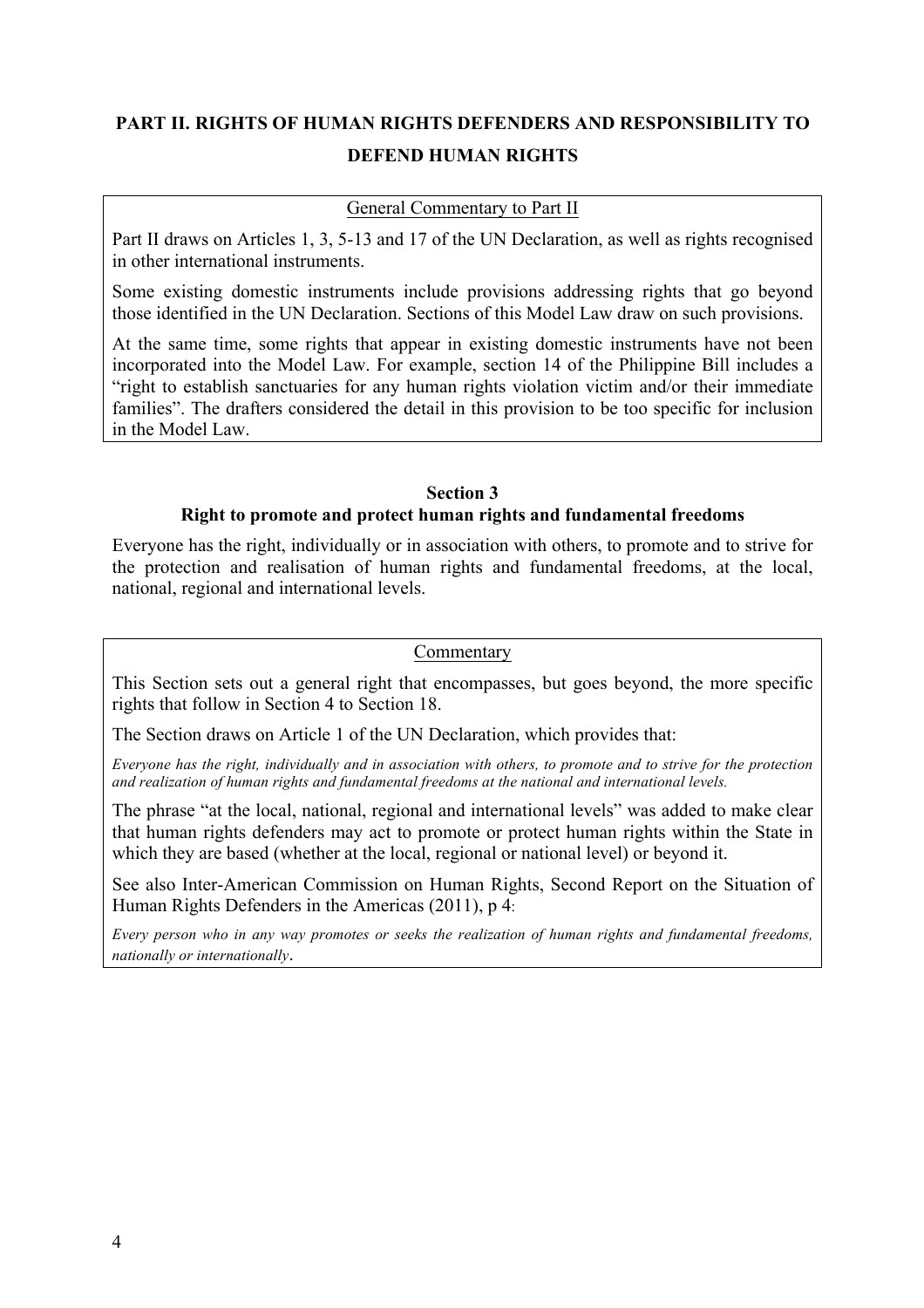## **PART II. RIGHTS OF HUMAN RIGHTS DEFENDERS AND RESPONSIBILITY TO DEFEND HUMAN RIGHTS**

#### General Commentary to Part II

Part II draws on Articles 1, 3, 5-13 and 17 of the UN Declaration, as well as rights recognised in other international instruments.

Some existing domestic instruments include provisions addressing rights that go beyond those identified in the UN Declaration. Sections of this Model Law draw on such provisions.

At the same time, some rights that appear in existing domestic instruments have not been incorporated into the Model Law. For example, section 14 of the Philippine Bill includes a "right to establish sanctuaries for any human rights violation victim and/or their immediate families". The drafters considered the detail in this provision to be too specific for inclusion in the Model Law.

#### **Section 3 Right to promote and protect human rights and fundamental freedoms**

Everyone has the right, individually or in association with others, to promote and to strive for the protection and realisation of human rights and fundamental freedoms, at the local, national, regional and international levels.

#### Commentary

This Section sets out a general right that encompasses, but goes beyond, the more specific rights that follow in Section 4 to Section 18.

The Section draws on Article 1 of the UN Declaration, which provides that:

*Everyone has the right, individually and in association with others, to promote and to strive for the protection and realization of human rights and fundamental freedoms at the national and international levels.*

The phrase "at the local, national, regional and international levels" was added to make clear that human rights defenders may act to promote or protect human rights within the State in which they are based (whether at the local, regional or national level) or beyond it.

See also Inter-American Commission on Human Rights, Second Report on the Situation of Human Rights Defenders in the Americas (2011), p 4:

*Every person who in any way promotes or seeks the realization of human rights and fundamental freedoms, nationally or internationally*.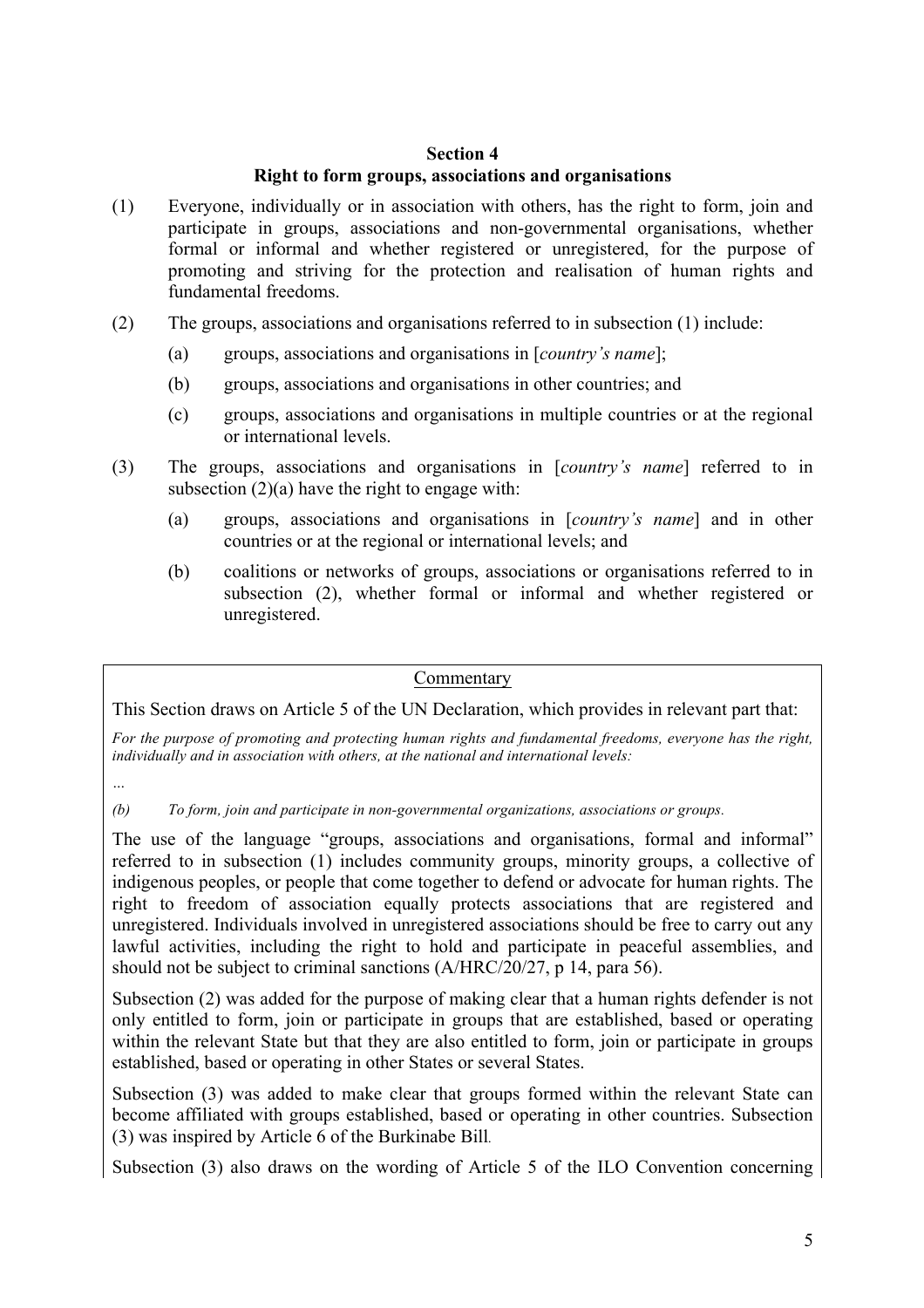#### **Section 4**

#### **Right to form groups, associations and organisations**

- (1) Everyone, individually or in association with others, has the right to form, join and participate in groups, associations and non-governmental organisations, whether formal or informal and whether registered or unregistered, for the purpose of promoting and striving for the protection and realisation of human rights and fundamental freedoms.
- (2) The groups, associations and organisations referred to in subsection (1) include:
	- (a) groups, associations and organisations in [*country's name*];
	- (b) groups, associations and organisations in other countries; and
	- (c) groups, associations and organisations in multiple countries or at the regional or international levels.
- (3) The groups, associations and organisations in [*country's name*] referred to in subsection  $(2)(a)$  have the right to engage with:
	- (a) groups, associations and organisations in [*country's name*] and in other countries or at the regional or international levels; and
	- (b) coalitions or networks of groups, associations or organisations referred to in subsection (2), whether formal or informal and whether registered or unregistered.

#### Commentary

This Section draws on Article 5 of the UN Declaration, which provides in relevant part that:

*For the purpose of promoting and protecting human rights and fundamental freedoms, everyone has the right, individually and in association with others, at the national and international levels:*

*…*

*(b) To form, join and participate in non-governmental organizations, associations or groups.*

The use of the language "groups, associations and organisations, formal and informal" referred to in subsection (1) includes community groups, minority groups, a collective of indigenous peoples, or people that come together to defend or advocate for human rights. The right to freedom of association equally protects associations that are registered and unregistered. Individuals involved in unregistered associations should be free to carry out any lawful activities, including the right to hold and participate in peaceful assemblies, and should not be subject to criminal sanctions (A/HRC/20/27, p 14, para 56).

Subsection (2) was added for the purpose of making clear that a human rights defender is not only entitled to form, join or participate in groups that are established, based or operating within the relevant State but that they are also entitled to form, join or participate in groups established, based or operating in other States or several States.

Subsection (3) was added to make clear that groups formed within the relevant State can become affiliated with groups established, based or operating in other countries. Subsection (3) was inspired by Article 6 of the Burkinabe Bill*.*

Subsection (3) also draws on the wording of Article 5 of the ILO Convention concerning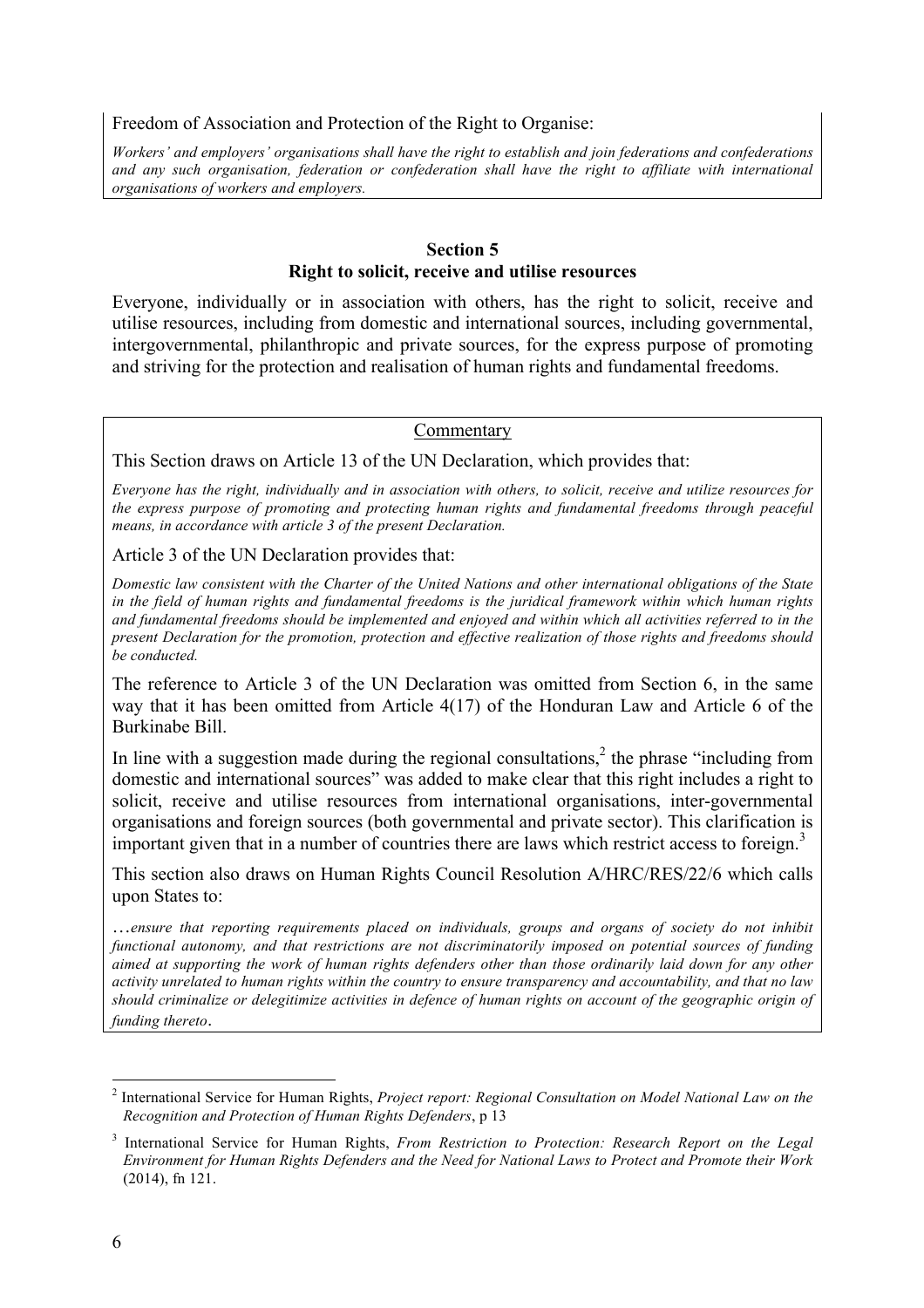Freedom of Association and Protection of the Right to Organise:

*Workers' and employers' organisations shall have the right to establish and join federations and confederations and any such organisation, federation or confederation shall have the right to affiliate with international organisations of workers and employers.*

#### **Section 5 Right to solicit, receive and utilise resources**

Everyone, individually or in association with others, has the right to solicit, receive and utilise resources, including from domestic and international sources, including governmental, intergovernmental, philanthropic and private sources, for the express purpose of promoting and striving for the protection and realisation of human rights and fundamental freedoms.

#### **Commentary**

This Section draws on Article 13 of the UN Declaration, which provides that:

*Everyone has the right, individually and in association with others, to solicit, receive and utilize resources for the express purpose of promoting and protecting human rights and fundamental freedoms through peaceful means, in accordance with article 3 of the present Declaration.*

Article 3 of the UN Declaration provides that:

*Domestic law consistent with the Charter of the United Nations and other international obligations of the State in the field of human rights and fundamental freedoms is the juridical framework within which human rights and fundamental freedoms should be implemented and enjoyed and within which all activities referred to in the present Declaration for the promotion, protection and effective realization of those rights and freedoms should be conducted.*

The reference to Article 3 of the UN Declaration was omitted from Section 6, in the same way that it has been omitted from Article 4(17) of the Honduran Law and Article 6 of the Burkinabe Bill.

In line with a suggestion made during the regional consultations, $<sup>2</sup>$  the phrase "including from</sup> domestic and international sources" was added to make clear that this right includes a right to solicit, receive and utilise resources from international organisations, inter-governmental organisations and foreign sources (both governmental and private sector). This clarification is important given that in a number of countries there are laws which restrict access to foreign. 3

This section also draws on Human Rights Council Resolution A/HRC/RES/22/6 which calls upon States to:

…*ensure that reporting requirements placed on individuals, groups and organs of society do not inhibit functional autonomy, and that restrictions are not discriminatorily imposed on potential sources of funding aimed at supporting the work of human rights defenders other than those ordinarily laid down for any other activity unrelated to human rights within the country to ensure transparency and accountability, and that no law should criminalize or delegitimize activities in defence of human rights on account of the geographic origin of funding thereto*.

 <sup>2</sup> International Service for Human Rights, *Project report: Regional Consultation on Model National Law on the Recognition and Protection of Human Rights Defenders*, p 13

<sup>3</sup> International Service for Human Rights, *From Restriction to Protection: Research Report on the Legal Environment for Human Rights Defenders and the Need for National Laws to Protect and Promote their Work*  (2014), fn 121.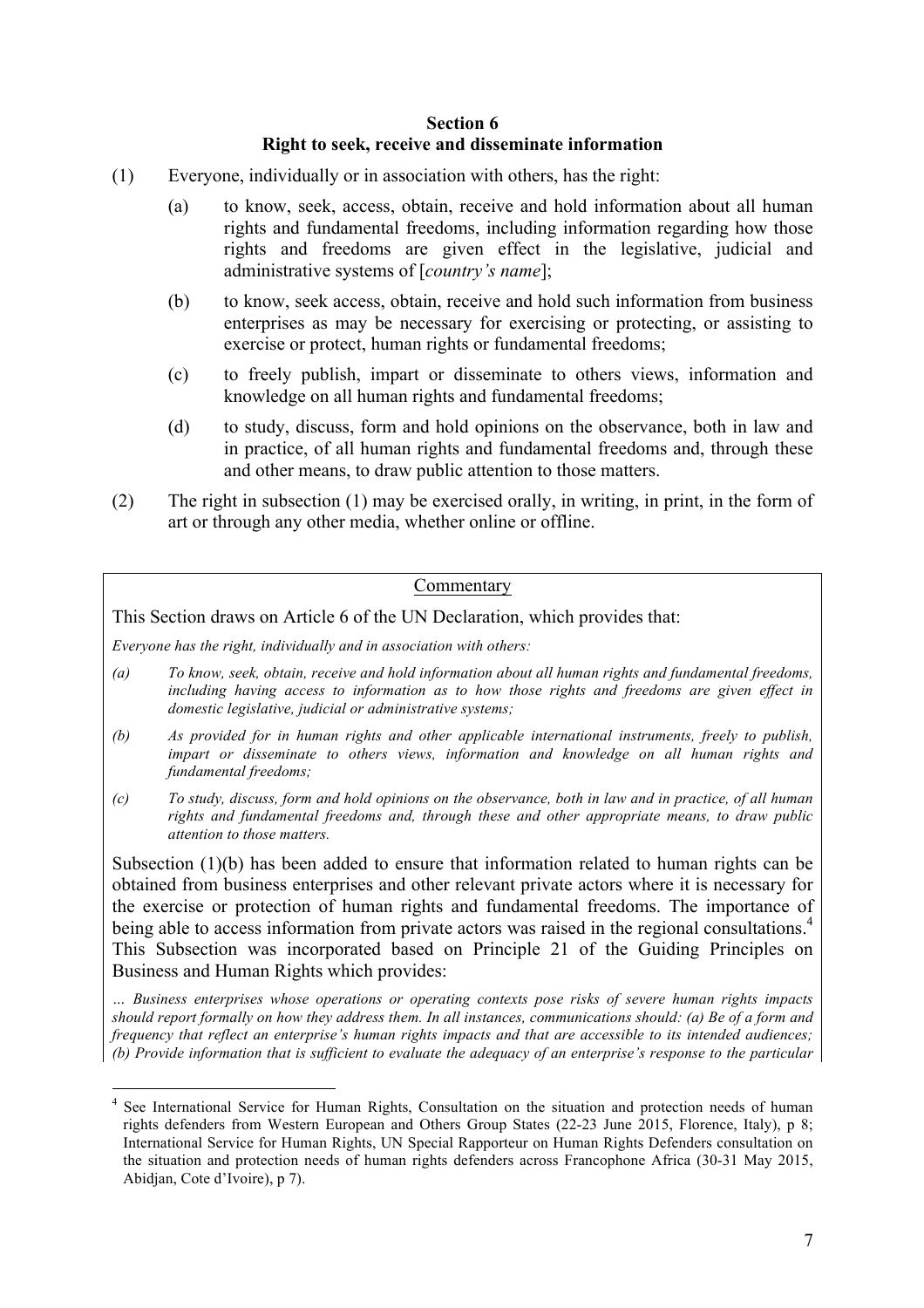#### **Section 6 Right to seek, receive and disseminate information**

- (1) Everyone, individually or in association with others, has the right:
	- (a) to know, seek, access, obtain, receive and hold information about all human rights and fundamental freedoms, including information regarding how those rights and freedoms are given effect in the legislative, judicial and administrative systems of [*country's name*];
	- (b) to know, seek access, obtain, receive and hold such information from business enterprises as may be necessary for exercising or protecting, or assisting to exercise or protect, human rights or fundamental freedoms;
	- (c) to freely publish, impart or disseminate to others views, information and knowledge on all human rights and fundamental freedoms;
	- (d) to study, discuss, form and hold opinions on the observance, both in law and in practice, of all human rights and fundamental freedoms and, through these and other means, to draw public attention to those matters.
- (2) The right in subsection (1) may be exercised orally, in writing, in print, in the form of art or through any other media, whether online or offline.

#### Commentary

This Section draws on Article 6 of the UN Declaration, which provides that:

*Everyone has the right, individually and in association with others:*

- *(a) To know, seek, obtain, receive and hold information about all human rights and fundamental freedoms, including having access to information as to how those rights and freedoms are given effect in domestic legislative, judicial or administrative systems;*
- *(b) As provided for in human rights and other applicable international instruments, freely to publish, impart or disseminate to others views, information and knowledge on all human rights and fundamental freedoms;*
- *(c) To study, discuss, form and hold opinions on the observance, both in law and in practice, of all human rights and fundamental freedoms and, through these and other appropriate means, to draw public attention to those matters.*

Subsection (1)(b) has been added to ensure that information related to human rights can be obtained from business enterprises and other relevant private actors where it is necessary for the exercise or protection of human rights and fundamental freedoms. The importance of being able to access information from private actors was raised in the regional consultations.<sup>4</sup> This Subsection was incorporated based on Principle 21 of the Guiding Principles on Business and Human Rights which provides:

*… Business enterprises whose operations or operating contexts pose risks of severe human rights impacts should report formally on how they address them. In all instances, communications should: (a) Be of a form and frequency that reflect an enterprise's human rights impacts and that are accessible to its intended audiences; (b) Provide information that is sufficient to evaluate the adequacy of an enterprise's response to the particular* 

<sup>&</sup>lt;sup>4</sup> See International Service for Human Rights, Consultation on the situation and protection needs of human rights defenders from Western European and Others Group States (22-23 June 2015, Florence, Italy), p 8; International Service for Human Rights, UN Special Rapporteur on Human Rights Defenders consultation on the situation and protection needs of human rights defenders across Francophone Africa (30-31 May 2015, Abidjan, Cote d'Ivoire), p 7).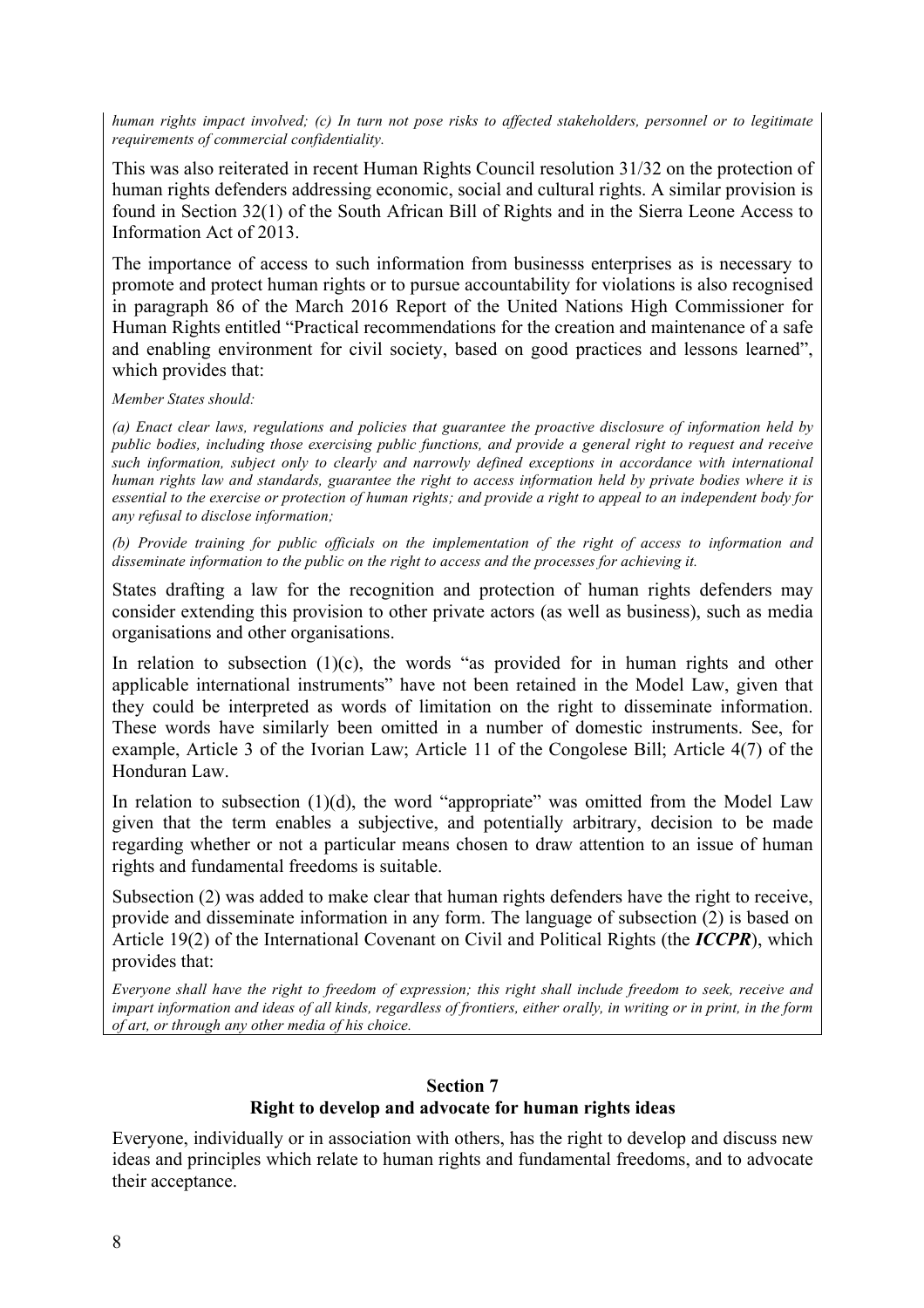*human rights impact involved; (c) In turn not pose risks to affected stakeholders, personnel or to legitimate requirements of commercial confidentiality.*

This was also reiterated in recent Human Rights Council resolution 31/32 on the protection of human rights defenders addressing economic, social and cultural rights. A similar provision is found in Section 32(1) of the South African Bill of Rights and in the Sierra Leone Access to Information Act of 2013.

The importance of access to such information from businesss enterprises as is necessary to promote and protect human rights or to pursue accountability for violations is also recognised in paragraph 86 of the March 2016 Report of the United Nations High Commissioner for Human Rights entitled "Practical recommendations for the creation and maintenance of a safe and enabling environment for civil society, based on good practices and lessons learned", which provides that:

*Member States should:* 

*(a) Enact clear laws, regulations and policies that guarantee the proactive disclosure of information held by public bodies, including those exercising public functions, and provide a general right to request and receive such information, subject only to clearly and narrowly defined exceptions in accordance with international human rights law and standards, guarantee the right to access information held by private bodies where it is essential to the exercise or protection of human rights; and provide a right to appeal to an independent body for any refusal to disclose information;* 

*(b) Provide training for public officials on the implementation of the right of access to information and disseminate information to the public on the right to access and the processes for achieving it.* 

States drafting a law for the recognition and protection of human rights defenders may consider extending this provision to other private actors (as well as business), such as media organisations and other organisations.

In relation to subsection  $(1)(c)$ , the words "as provided for in human rights and other applicable international instruments" have not been retained in the Model Law, given that they could be interpreted as words of limitation on the right to disseminate information. These words have similarly been omitted in a number of domestic instruments. See, for example, Article 3 of the Ivorian Law; Article 11 of the Congolese Bill; Article 4(7) of the Honduran Law.

In relation to subsection  $(1)(d)$ , the word "appropriate" was omitted from the Model Law given that the term enables a subjective, and potentially arbitrary, decision to be made regarding whether or not a particular means chosen to draw attention to an issue of human rights and fundamental freedoms is suitable.

Subsection (2) was added to make clear that human rights defenders have the right to receive, provide and disseminate information in any form. The language of subsection (2) is based on Article 19(2) of the International Covenant on Civil and Political Rights (the *ICCPR*), which provides that:

*Everyone shall have the right to freedom of expression; this right shall include freedom to seek, receive and impart information and ideas of all kinds, regardless of frontiers, either orally, in writing or in print, in the form of art, or through any other media of his choice.*

#### **Section 7**

#### **Right to develop and advocate for human rights ideas**

Everyone, individually or in association with others, has the right to develop and discuss new ideas and principles which relate to human rights and fundamental freedoms, and to advocate their acceptance.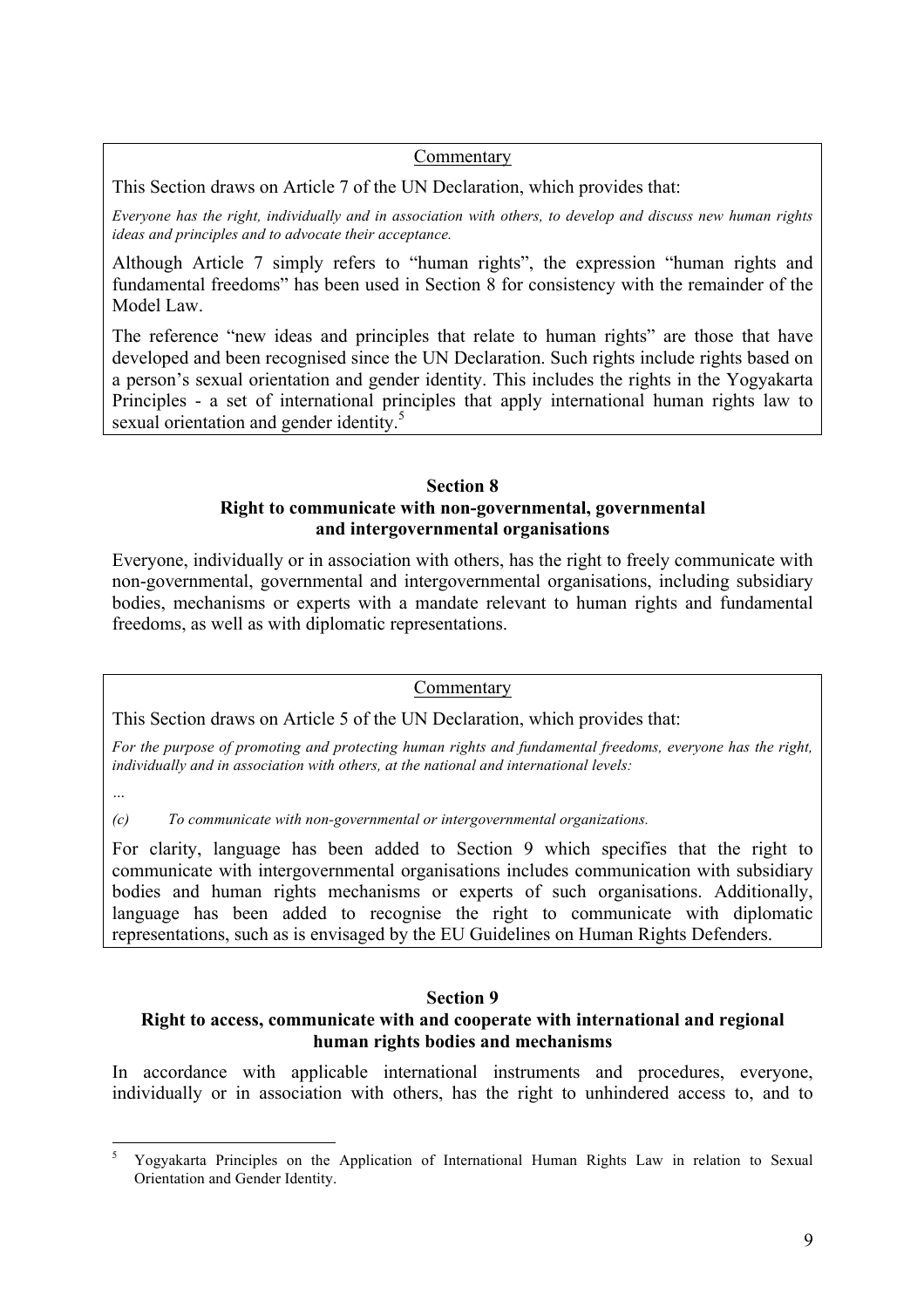#### Commentary

This Section draws on Article 7 of the UN Declaration, which provides that:

*Everyone has the right, individually and in association with others, to develop and discuss new human rights ideas and principles and to advocate their acceptance.*

Although Article 7 simply refers to "human rights", the expression "human rights and fundamental freedoms" has been used in Section 8 for consistency with the remainder of the Model Law.

The reference "new ideas and principles that relate to human rights" are those that have developed and been recognised since the UN Declaration. Such rights include rights based on a person's sexual orientation and gender identity. This includes the rights in the Yogyakarta Principles - a set of international principles that apply international human rights law to sexual orientation and gender identity.<sup>5</sup>

#### **Section 8 Right to communicate with non-governmental, governmental and intergovernmental organisations**

Everyone, individually or in association with others, has the right to freely communicate with non-governmental, governmental and intergovernmental organisations, including subsidiary bodies, mechanisms or experts with a mandate relevant to human rights and fundamental freedoms, as well as with diplomatic representations.

#### Commentary

This Section draws on Article 5 of the UN Declaration, which provides that:

*For the purpose of promoting and protecting human rights and fundamental freedoms, everyone has the right, individually and in association with others, at the national and international levels:*

*…*

*(c) To communicate with non-governmental or intergovernmental organizations.*

For clarity, language has been added to Section 9 which specifies that the right to communicate with intergovernmental organisations includes communication with subsidiary bodies and human rights mechanisms or experts of such organisations. Additionally, language has been added to recognise the right to communicate with diplomatic representations, such as is envisaged by the EU Guidelines on Human Rights Defenders.

#### **Section 9**

#### **Right to access, communicate with and cooperate with international and regional human rights bodies and mechanisms**

In accordance with applicable international instruments and procedures, everyone, individually or in association with others, has the right to unhindered access to, and to

 <sup>5</sup> Yogyakarta Principles on the Application of International Human Rights Law in relation to Sexual Orientation and Gender Identity.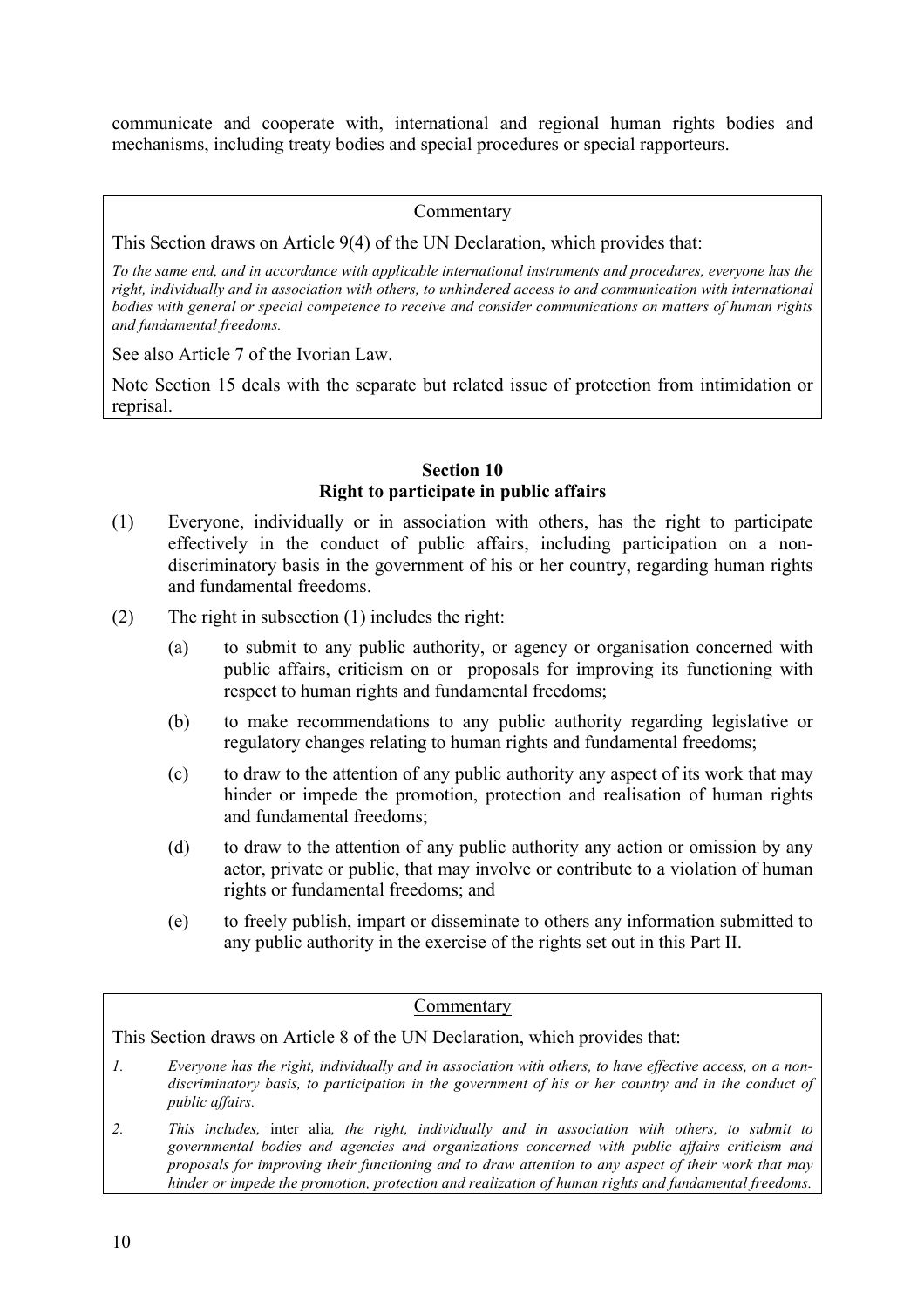communicate and cooperate with, international and regional human rights bodies and mechanisms, including treaty bodies and special procedures or special rapporteurs.

#### Commentary

This Section draws on Article 9(4) of the UN Declaration, which provides that:

*To the same end, and in accordance with applicable international instruments and procedures, everyone has the right, individually and in association with others, to unhindered access to and communication with international bodies with general or special competence to receive and consider communications on matters of human rights and fundamental freedoms.*

See also Article 7 of the Ivorian Law.

Note Section 15 deals with the separate but related issue of protection from intimidation or reprisal.

#### **Section 10 Right to participate in public affairs**

- (1) Everyone, individually or in association with others, has the right to participate effectively in the conduct of public affairs, including participation on a nondiscriminatory basis in the government of his or her country, regarding human rights and fundamental freedoms.
- (2) The right in subsection (1) includes the right:
	- (a) to submit to any public authority, or agency or organisation concerned with public affairs, criticism on or proposals for improving its functioning with respect to human rights and fundamental freedoms;
	- (b) to make recommendations to any public authority regarding legislative or regulatory changes relating to human rights and fundamental freedoms;
	- (c) to draw to the attention of any public authority any aspect of its work that may hinder or impede the promotion, protection and realisation of human rights and fundamental freedoms;
	- (d) to draw to the attention of any public authority any action or omission by any actor, private or public, that may involve or contribute to a violation of human rights or fundamental freedoms; and
	- (e) to freely publish, impart or disseminate to others any information submitted to any public authority in the exercise of the rights set out in this Part II.

#### Commentary

This Section draws on Article 8 of the UN Declaration, which provides that:

- *1. Everyone has the right, individually and in association with others, to have effective access, on a nondiscriminatory basis, to participation in the government of his or her country and in the conduct of public affairs.*
- *2. This includes,* inter alia*, the right, individually and in association with others, to submit to governmental bodies and agencies and organizations concerned with public affairs criticism and proposals for improving their functioning and to draw attention to any aspect of their work that may hinder or impede the promotion, protection and realization of human rights and fundamental freedoms.*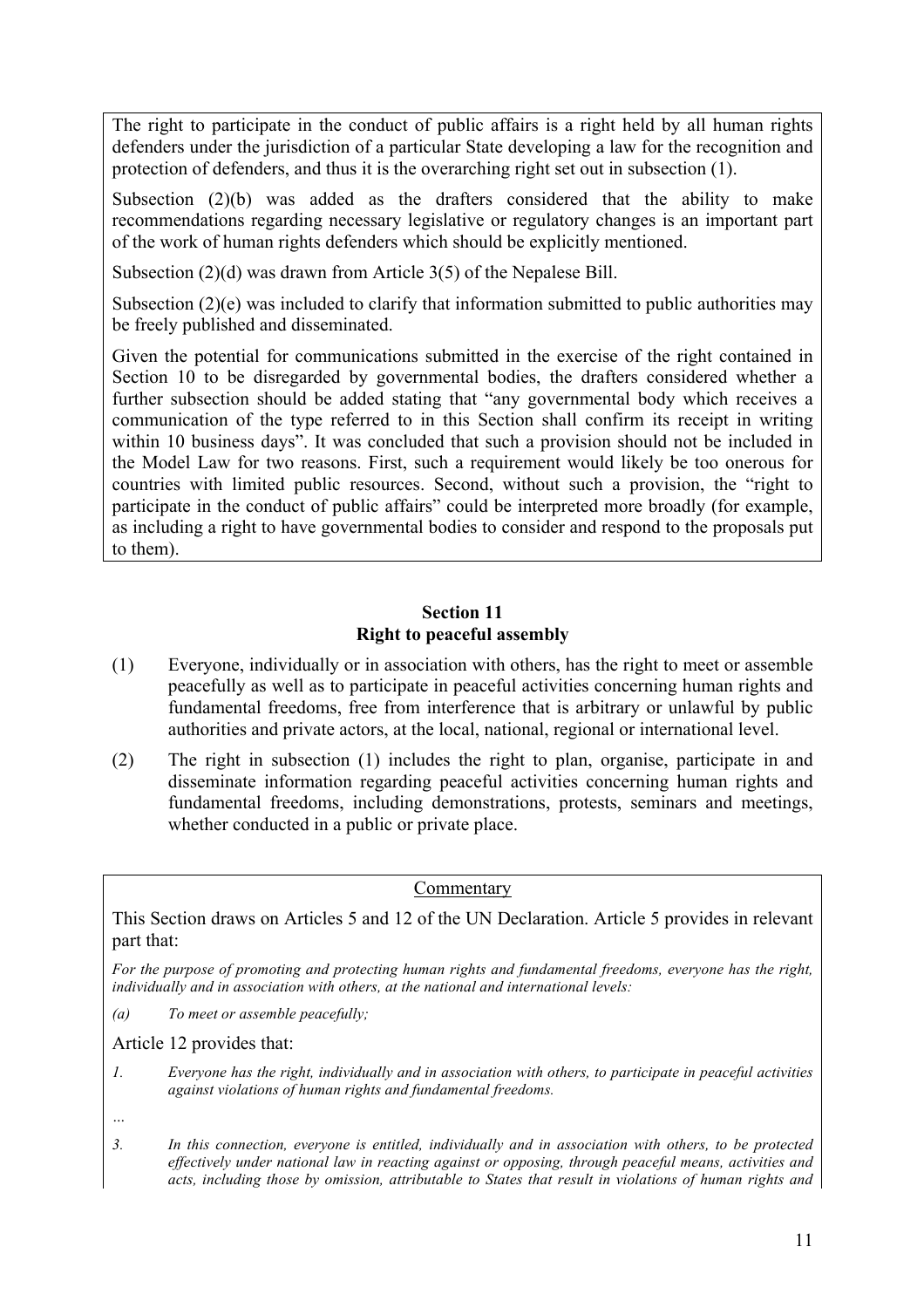The right to participate in the conduct of public affairs is a right held by all human rights defenders under the jurisdiction of a particular State developing a law for the recognition and protection of defenders, and thus it is the overarching right set out in subsection (1).

Subsection (2)(b) was added as the drafters considered that the ability to make recommendations regarding necessary legislative or regulatory changes is an important part of the work of human rights defenders which should be explicitly mentioned.

Subsection (2)(d) was drawn from Article 3(5) of the Nepalese Bill.

Subsection (2)(e) was included to clarify that information submitted to public authorities may be freely published and disseminated.

Given the potential for communications submitted in the exercise of the right contained in Section 10 to be disregarded by governmental bodies, the drafters considered whether a further subsection should be added stating that "any governmental body which receives a communication of the type referred to in this Section shall confirm its receipt in writing within 10 business days". It was concluded that such a provision should not be included in the Model Law for two reasons. First, such a requirement would likely be too onerous for countries with limited public resources. Second, without such a provision, the "right to participate in the conduct of public affairs" could be interpreted more broadly (for example, as including a right to have governmental bodies to consider and respond to the proposals put to them).

#### **Section 11 Right to peaceful assembly**

- (1) Everyone, individually or in association with others, has the right to meet or assemble peacefully as well as to participate in peaceful activities concerning human rights and fundamental freedoms, free from interference that is arbitrary or unlawful by public authorities and private actors, at the local, national, regional or international level.
- (2) The right in subsection (1) includes the right to plan, organise, participate in and disseminate information regarding peaceful activities concerning human rights and fundamental freedoms, including demonstrations, protests, seminars and meetings, whether conducted in a public or private place.

Commentary

This Section draws on Articles 5 and 12 of the UN Declaration. Article 5 provides in relevant part that:

*For the purpose of promoting and protecting human rights and fundamental freedoms, everyone has the right, individually and in association with others, at the national and international levels:*

*(a) To meet or assemble peacefully;*

Article 12 provides that:

*1. Everyone has the right, individually and in association with others, to participate in peaceful activities against violations of human rights and fundamental freedoms.* 

*3. In this connection, everyone is entitled, individually and in association with others, to be protected effectively under national law in reacting against or opposing, through peaceful means, activities and acts, including those by omission, attributable to States that result in violations of human rights and* 

*<sup>…</sup>*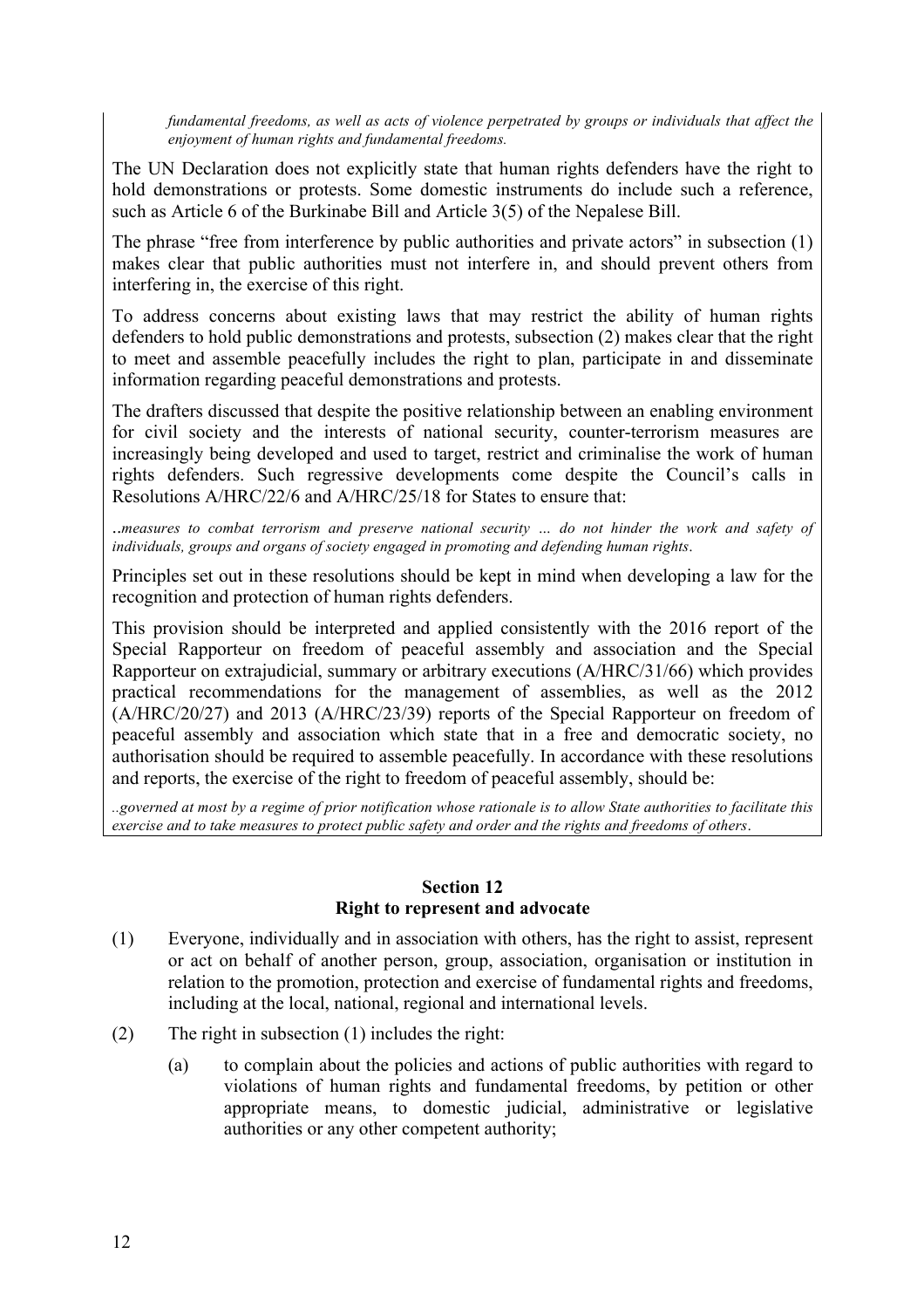*fundamental freedoms, as well as acts of violence perpetrated by groups or individuals that affect the enjoyment of human rights and fundamental freedoms.*

The UN Declaration does not explicitly state that human rights defenders have the right to hold demonstrations or protests. Some domestic instruments do include such a reference, such as Article 6 of the Burkinabe Bill and Article 3(5) of the Nepalese Bill.

The phrase "free from interference by public authorities and private actors" in subsection (1) makes clear that public authorities must not interfere in, and should prevent others from interfering in, the exercise of this right.

To address concerns about existing laws that may restrict the ability of human rights defenders to hold public demonstrations and protests, subsection (2) makes clear that the right to meet and assemble peacefully includes the right to plan, participate in and disseminate information regarding peaceful demonstrations and protests.

The drafters discussed that despite the positive relationship between an enabling environment for civil society and the interests of national security, counter-terrorism measures are increasingly being developed and used to target, restrict and criminalise the work of human rights defenders. Such regressive developments come despite the Council's calls in Resolutions A/HRC/22/6 and A/HRC/25/18 for States to ensure that:

..*measures to combat terrorism and preserve national security … do not hinder the work and safety of individuals, groups and organs of society engaged in promoting and defending human rights*.

Principles set out in these resolutions should be kept in mind when developing a law for the recognition and protection of human rights defenders.

This provision should be interpreted and applied consistently with the 2016 report of the Special Rapporteur on freedom of peaceful assembly and association and the Special Rapporteur on extrajudicial, summary or arbitrary executions (A/HRC/31/66) which provides practical recommendations for the management of assemblies, as well as the 2012 (A/HRC/20/27) and 2013 (A/HRC/23/39) reports of the Special Rapporteur on freedom of peaceful assembly and association which state that in a free and democratic society, no authorisation should be required to assemble peacefully. In accordance with these resolutions and reports, the exercise of the right to freedom of peaceful assembly, should be:

*..governed at most by a regime of prior notification whose rationale is to allow State authorities to facilitate this exercise and to take measures to protect public safety and order and the rights and freedoms of others*.

#### **Section 12 Right to represent and advocate**

- (1) Everyone, individually and in association with others, has the right to assist, represent or act on behalf of another person, group, association, organisation or institution in relation to the promotion, protection and exercise of fundamental rights and freedoms, including at the local, national, regional and international levels.
- (2) The right in subsection (1) includes the right:
	- (a) to complain about the policies and actions of public authorities with regard to violations of human rights and fundamental freedoms, by petition or other appropriate means, to domestic judicial, administrative or legislative authorities or any other competent authority;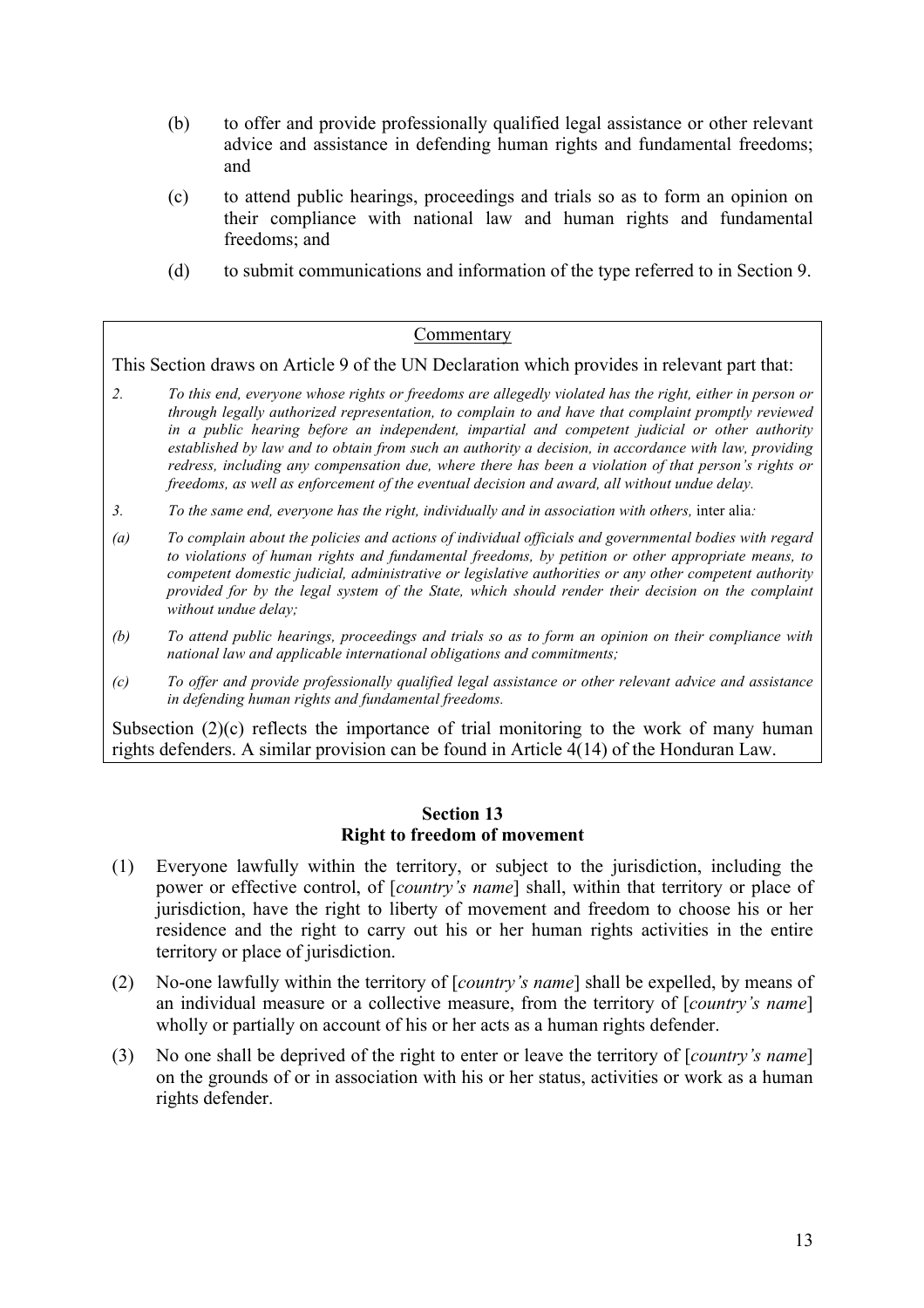- (b) to offer and provide professionally qualified legal assistance or other relevant advice and assistance in defending human rights and fundamental freedoms; and
- (c) to attend public hearings, proceedings and trials so as to form an opinion on their compliance with national law and human rights and fundamental freedoms; and
- (d) to submit communications and information of the type referred to in Section 9.

#### Commentary

This Section draws on Article 9 of the UN Declaration which provides in relevant part that:

- *2. To this end, everyone whose rights or freedoms are allegedly violated has the right, either in person or through legally authorized representation, to complain to and have that complaint promptly reviewed in a public hearing before an independent, impartial and competent judicial or other authority established by law and to obtain from such an authority a decision, in accordance with law, providing redress, including any compensation due, where there has been a violation of that person's rights or freedoms, as well as enforcement of the eventual decision and award, all without undue delay.*
- *3. To the same end, everyone has the right, individually and in association with others,* inter alia*:*
- *(a) To complain about the policies and actions of individual officials and governmental bodies with regard to violations of human rights and fundamental freedoms, by petition or other appropriate means, to competent domestic judicial, administrative or legislative authorities or any other competent authority provided for by the legal system of the State, which should render their decision on the complaint without undue delay;*
- *(b) To attend public hearings, proceedings and trials so as to form an opinion on their compliance with national law and applicable international obligations and commitments;*
- *(c) To offer and provide professionally qualified legal assistance or other relevant advice and assistance in defending human rights and fundamental freedoms.*

Subsection  $(2)(c)$  reflects the importance of trial monitoring to the work of many human rights defenders. A similar provision can be found in Article 4(14) of the Honduran Law.

#### **Section 13 Right to freedom of movement**

- (1) Everyone lawfully within the territory, or subject to the jurisdiction, including the power or effective control, of [*country's name*] shall, within that territory or place of jurisdiction, have the right to liberty of movement and freedom to choose his or her residence and the right to carry out his or her human rights activities in the entire territory or place of jurisdiction.
- (2) No-one lawfully within the territory of [*country's name*] shall be expelled, by means of an individual measure or a collective measure, from the territory of [*country's name*] wholly or partially on account of his or her acts as a human rights defender.
- (3) No one shall be deprived of the right to enter or leave the territory of [*country's name*] on the grounds of or in association with his or her status, activities or work as a human rights defender.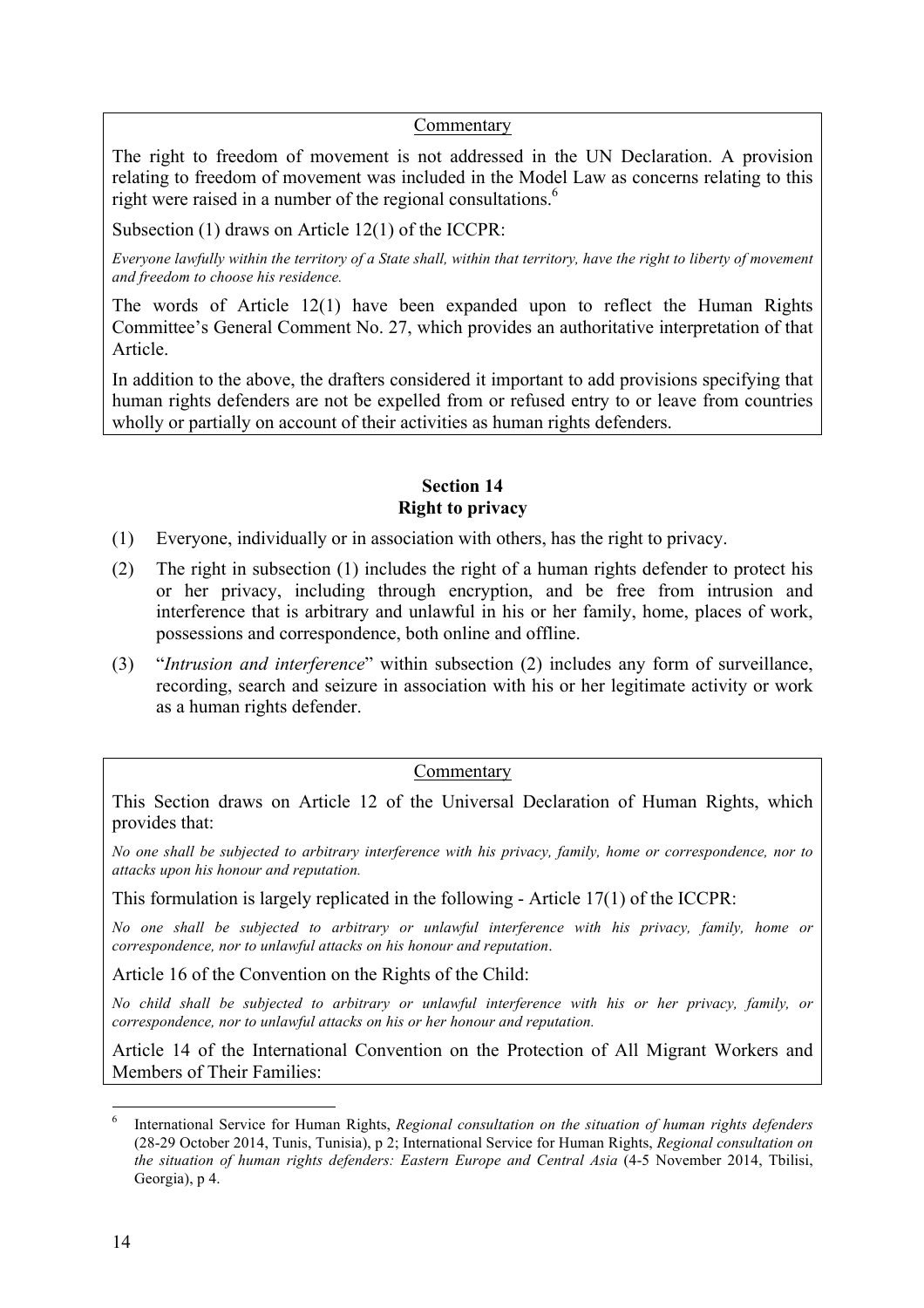#### Commentary

The right to freedom of movement is not addressed in the UN Declaration. A provision relating to freedom of movement was included in the Model Law as concerns relating to this right were raised in a number of the regional consultations.<sup>6</sup>

Subsection (1) draws on Article 12(1) of the ICCPR:

*Everyone lawfully within the territory of a State shall, within that territory, have the right to liberty of movement and freedom to choose his residence.*

The words of Article 12(1) have been expanded upon to reflect the Human Rights Committee's General Comment No. 27, which provides an authoritative interpretation of that Article.

In addition to the above, the drafters considered it important to add provisions specifying that human rights defenders are not be expelled from or refused entry to or leave from countries wholly or partially on account of their activities as human rights defenders.

#### **Section 14 Right to privacy**

- (1) Everyone, individually or in association with others, has the right to privacy.
- (2) The right in subsection (1) includes the right of a human rights defender to protect his or her privacy, including through encryption, and be free from intrusion and interference that is arbitrary and unlawful in his or her family, home, places of work, possessions and correspondence, both online and offline.
- (3) "*Intrusion and interference*" within subsection (2) includes any form of surveillance, recording, search and seizure in association with his or her legitimate activity or work as a human rights defender.

#### Commentary

This Section draws on Article 12 of the Universal Declaration of Human Rights, which provides that:

*No one shall be subjected to arbitrary interference with his privacy, family, home or correspondence, nor to attacks upon his honour and reputation.*

This formulation is largely replicated in the following - Article 17(1) of the ICCPR:

*No one shall be subjected to arbitrary or unlawful interference with his privacy, family, home or correspondence, nor to unlawful attacks on his honour and reputation*.

Article 16 of the Convention on the Rights of the Child:

*No child shall be subjected to arbitrary or unlawful interference with his or her privacy, family, or correspondence, nor to unlawful attacks on his or her honour and reputation.*

Article 14 of the International Convention on the Protection of All Migrant Workers and Members of Their Families:

 <sup>6</sup> International Service for Human Rights, *Regional consultation on the situation of human rights defenders*  (28-29 October 2014, Tunis, Tunisia), p 2; International Service for Human Rights, *Regional consultation on the situation of human rights defenders: Eastern Europe and Central Asia* (4-5 November 2014, Tbilisi, Georgia), p 4.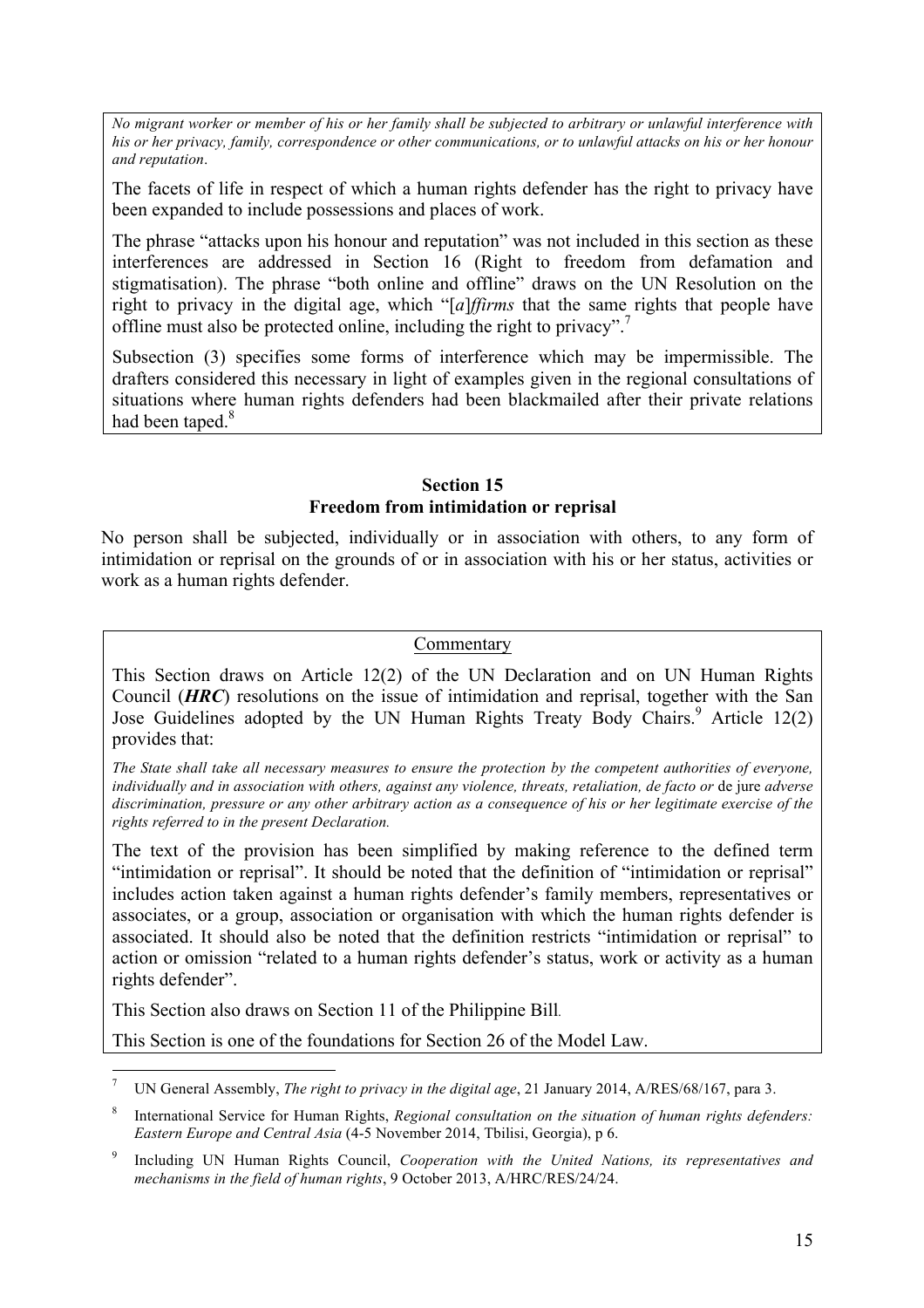*No migrant worker or member of his or her family shall be subjected to arbitrary or unlawful interference with his or her privacy, family, correspondence or other communications, or to unlawful attacks on his or her honour and reputation*.

The facets of life in respect of which a human rights defender has the right to privacy have been expanded to include possessions and places of work.

The phrase "attacks upon his honour and reputation" was not included in this section as these interferences are addressed in Section 16 (Right to freedom from defamation and stigmatisation). The phrase "both online and offline" draws on the UN Resolution on the right to privacy in the digital age, which "[*a*]*ffirms* that the same rights that people have offline must also be protected online, including the right to privacy".<sup>7</sup>

Subsection (3) specifies some forms of interference which may be impermissible. The drafters considered this necessary in light of examples given in the regional consultations of situations where human rights defenders had been blackmailed after their private relations had been taped.<sup>8</sup>

#### **Section 15 Freedom from intimidation or reprisal**

No person shall be subjected, individually or in association with others, to any form of intimidation or reprisal on the grounds of or in association with his or her status, activities or work as a human rights defender.

#### Commentary

This Section draws on Article 12(2) of the UN Declaration and on UN Human Rights Council (*HRC*) resolutions on the issue of intimidation and reprisal, together with the San Jose Guidelines adopted by the UN Human Rights Treaty Body Chairs.<sup>9</sup> Article 12(2) provides that:

*The State shall take all necessary measures to ensure the protection by the competent authorities of everyone, individually and in association with others, against any violence, threats, retaliation, de facto or* de jure *adverse discrimination, pressure or any other arbitrary action as a consequence of his or her legitimate exercise of the rights referred to in the present Declaration.* 

The text of the provision has been simplified by making reference to the defined term "intimidation or reprisal". It should be noted that the definition of "intimidation or reprisal" includes action taken against a human rights defender's family members, representatives or associates, or a group, association or organisation with which the human rights defender is associated. It should also be noted that the definition restricts "intimidation or reprisal" to action or omission "related to a human rights defender's status, work or activity as a human rights defender".

This Section also draws on Section 11 of the Philippine Bill*.*

This Section is one of the foundations for Section 26 of the Model Law.

 <sup>7</sup> UN General Assembly, *The right to privacy in the digital age*, 21 January 2014, A/RES/68/167, para 3.

<sup>8</sup> International Service for Human Rights, *Regional consultation on the situation of human rights defenders: Eastern Europe and Central Asia* (4-5 November 2014, Tbilisi, Georgia), p 6.

<sup>9</sup> Including UN Human Rights Council, *Cooperation with the United Nations, its representatives and mechanisms in the field of human rights*, 9 October 2013, A/HRC/RES/24/24.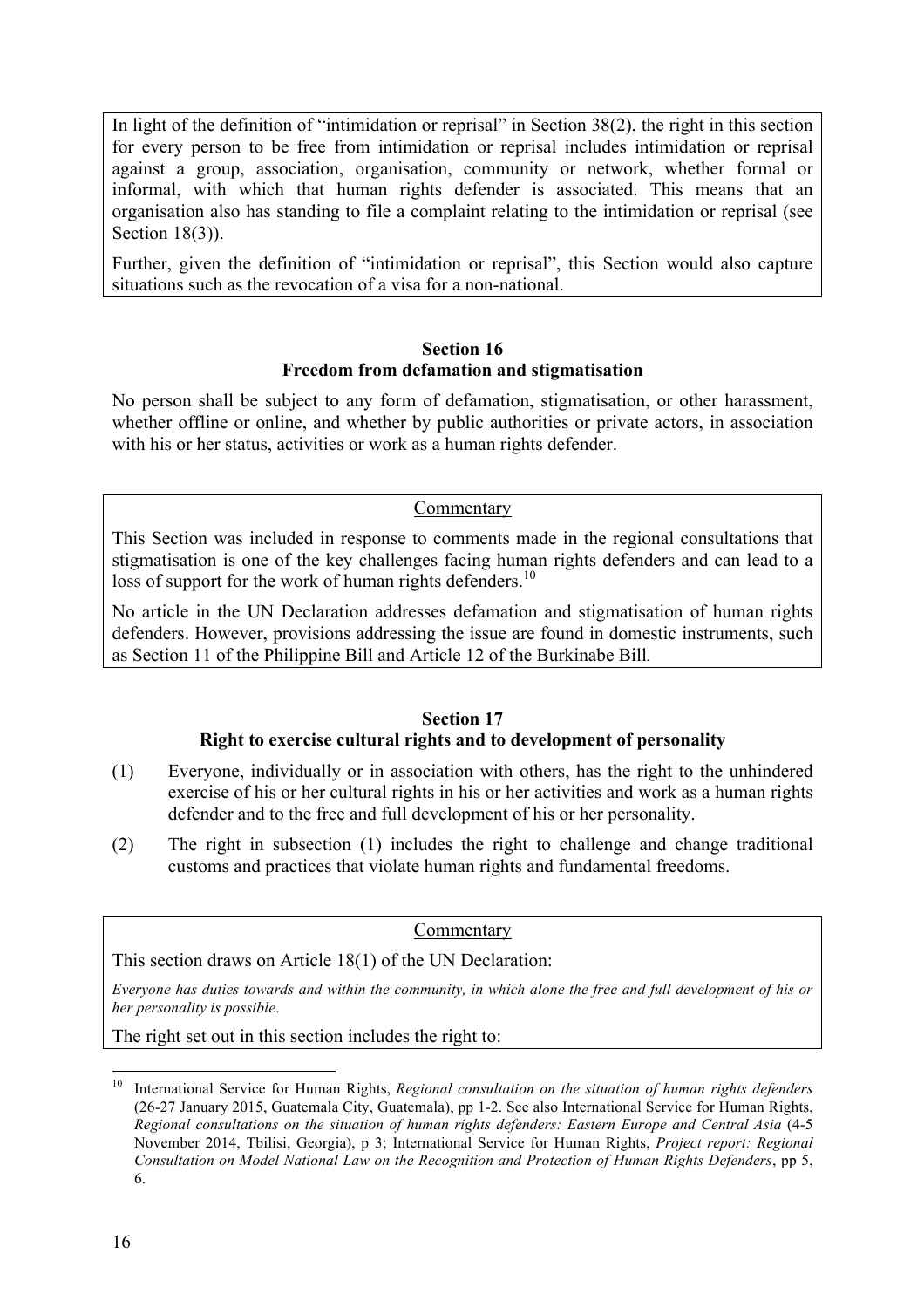In light of the definition of "intimidation or reprisal" in Section 38(2), the right in this section for every person to be free from intimidation or reprisal includes intimidation or reprisal against a group, association, organisation, community or network, whether formal or informal, with which that human rights defender is associated. This means that an organisation also has standing to file a complaint relating to the intimidation or reprisal (see Section 18(3)).

Further, given the definition of "intimidation or reprisal", this Section would also capture situations such as the revocation of a visa for a non-national.

#### **Section 16 Freedom from defamation and stigmatisation**

No person shall be subject to any form of defamation, stigmatisation, or other harassment, whether offline or online, and whether by public authorities or private actors, in association with his or her status, activities or work as a human rights defender.

#### Commentary

This Section was included in response to comments made in the regional consultations that stigmatisation is one of the key challenges facing human rights defenders and can lead to a loss of support for the work of human rights defenders.<sup>10</sup>

No article in the UN Declaration addresses defamation and stigmatisation of human rights defenders. However, provisions addressing the issue are found in domestic instruments, such as Section 11 of the Philippine Bill and Article 12 of the Burkinabe Bill*.*

#### **Section 17**

#### **Right to exercise cultural rights and to development of personality**

- (1) Everyone, individually or in association with others, has the right to the unhindered exercise of his or her cultural rights in his or her activities and work as a human rights defender and to the free and full development of his or her personality.
- (2) The right in subsection (1) includes the right to challenge and change traditional customs and practices that violate human rights and fundamental freedoms.

Commentary

This section draws on Article 18(1) of the UN Declaration:

*Everyone has duties towards and within the community, in which alone the free and full development of his or her personality is possible*.

The right set out in this section includes the right to:

 <sup>10</sup> International Service for Human Rights, *Regional consultation on the situation of human rights defenders* (26-27 January 2015, Guatemala City, Guatemala), pp 1-2. See also International Service for Human Rights, *Regional consultations on the situation of human rights defenders: Eastern Europe and Central Asia* (4-5 November 2014, Tbilisi, Georgia), p 3; International Service for Human Rights, *Project report: Regional Consultation on Model National Law on the Recognition and Protection of Human Rights Defenders*, pp 5, 6.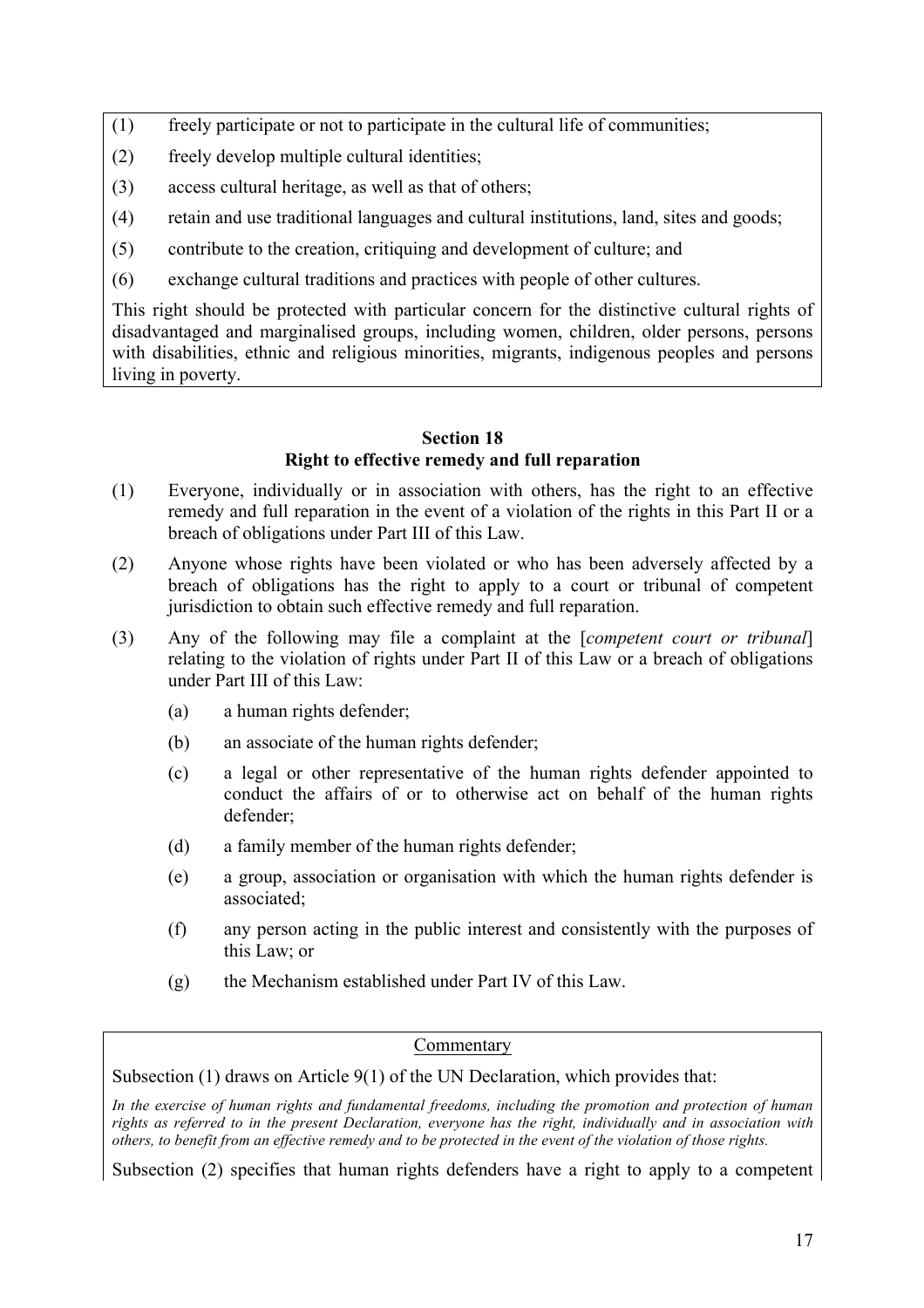- (1) freely participate or not to participate in the cultural life of communities;
- (2) freely develop multiple cultural identities;
- (3) access cultural heritage, as well as that of others;
- (4) retain and use traditional languages and cultural institutions, land, sites and goods;
- (5) contribute to the creation, critiquing and development of culture; and
- (6) exchange cultural traditions and practices with people of other cultures.

This right should be protected with particular concern for the distinctive cultural rights of disadvantaged and marginalised groups, including women, children, older persons, persons with disabilities, ethnic and religious minorities, migrants, indigenous peoples and persons living in poverty.

#### **Section 18 Right to effective remedy and full reparation**

- (1) Everyone, individually or in association with others, has the right to an effective remedy and full reparation in the event of a violation of the rights in this Part II or a breach of obligations under Part III of this Law.
- (2) Anyone whose rights have been violated or who has been adversely affected by a breach of obligations has the right to apply to a court or tribunal of competent jurisdiction to obtain such effective remedy and full reparation.
- (3) Any of the following may file a complaint at the [*competent court or tribunal*] relating to the violation of rights under Part II of this Law or a breach of obligations under Part III of this Law:
	- (a) a human rights defender;
	- (b) an associate of the human rights defender;
	- (c) a legal or other representative of the human rights defender appointed to conduct the affairs of or to otherwise act on behalf of the human rights defender;
	- (d) a family member of the human rights defender;
	- (e) a group, association or organisation with which the human rights defender is associated;
	- (f) any person acting in the public interest and consistently with the purposes of this Law; or
	- (g) the Mechanism established under Part IV of this Law.

#### Commentary

Subsection (1) draws on Article 9(1) of the UN Declaration, which provides that:

*In the exercise of human rights and fundamental freedoms, including the promotion and protection of human rights as referred to in the present Declaration, everyone has the right, individually and in association with others, to benefit from an effective remedy and to be protected in the event of the violation of those rights.*

Subsection (2) specifies that human rights defenders have a right to apply to a competent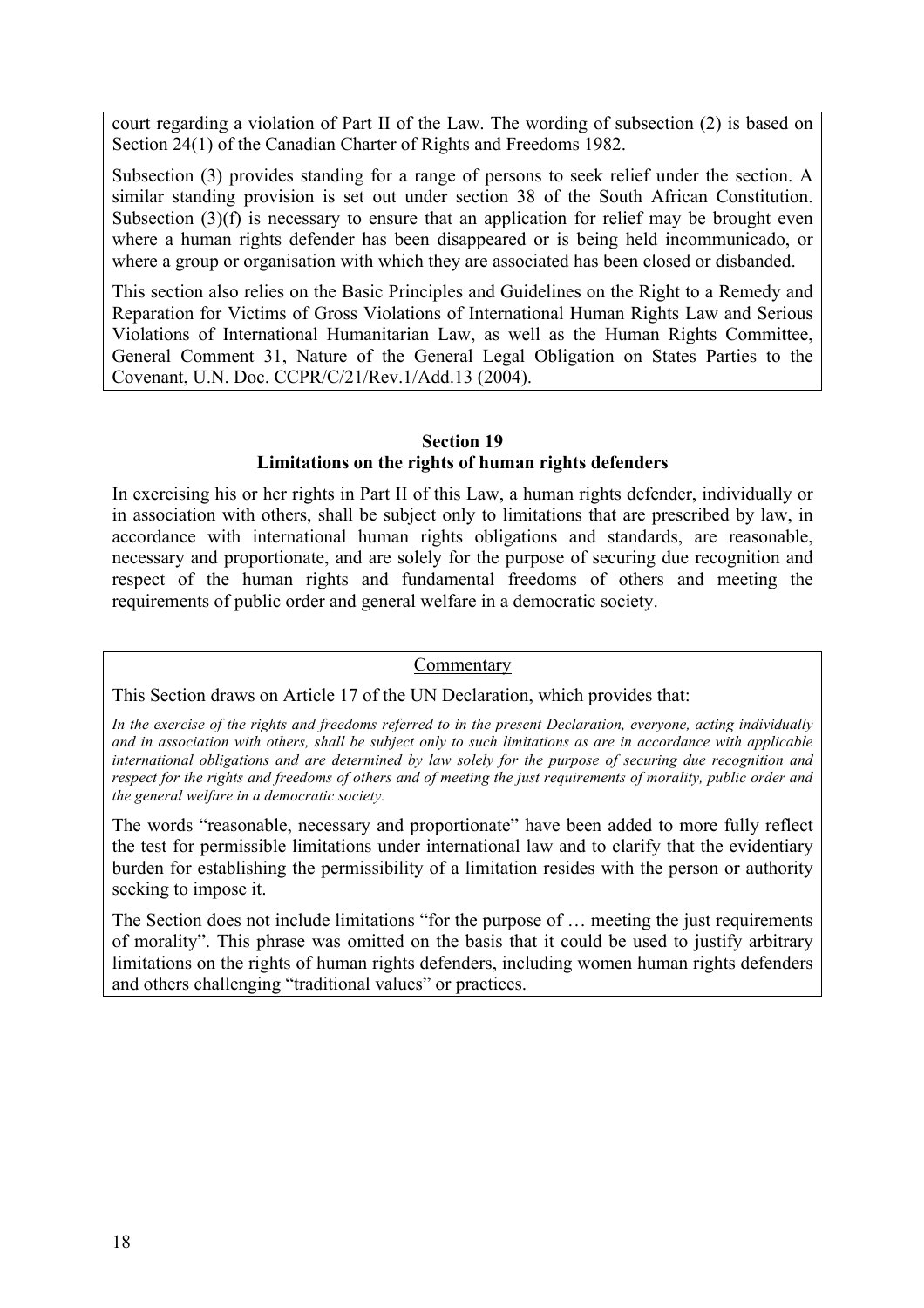court regarding a violation of Part II of the Law. The wording of subsection (2) is based on Section 24(1) of the Canadian Charter of Rights and Freedoms 1982.

Subsection (3) provides standing for a range of persons to seek relief under the section. A similar standing provision is set out under section 38 of the South African Constitution. Subsection (3)(f) is necessary to ensure that an application for relief may be brought even where a human rights defender has been disappeared or is being held incommunicado, or where a group or organisation with which they are associated has been closed or disbanded.

This section also relies on the Basic Principles and Guidelines on the Right to a Remedy and Reparation for Victims of Gross Violations of International Human Rights Law and Serious Violations of International Humanitarian Law, as well as the Human Rights Committee, General Comment 31, Nature of the General Legal Obligation on States Parties to the Covenant, U.N. Doc. CCPR/C/21/Rev.1/Add.13 (2004).

#### **Section 19**

#### **Limitations on the rights of human rights defenders**

In exercising his or her rights in Part II of this Law, a human rights defender, individually or in association with others, shall be subject only to limitations that are prescribed by law, in accordance with international human rights obligations and standards, are reasonable, necessary and proportionate, and are solely for the purpose of securing due recognition and respect of the human rights and fundamental freedoms of others and meeting the requirements of public order and general welfare in a democratic society.

#### Commentary

This Section draws on Article 17 of the UN Declaration, which provides that:

*In the exercise of the rights and freedoms referred to in the present Declaration, everyone, acting individually and in association with others, shall be subject only to such limitations as are in accordance with applicable international obligations and are determined by law solely for the purpose of securing due recognition and respect for the rights and freedoms of others and of meeting the just requirements of morality, public order and the general welfare in a democratic society.*

The words "reasonable, necessary and proportionate" have been added to more fully reflect the test for permissible limitations under international law and to clarify that the evidentiary burden for establishing the permissibility of a limitation resides with the person or authority seeking to impose it.

The Section does not include limitations "for the purpose of … meeting the just requirements of morality". This phrase was omitted on the basis that it could be used to justify arbitrary limitations on the rights of human rights defenders, including women human rights defenders and others challenging "traditional values" or practices.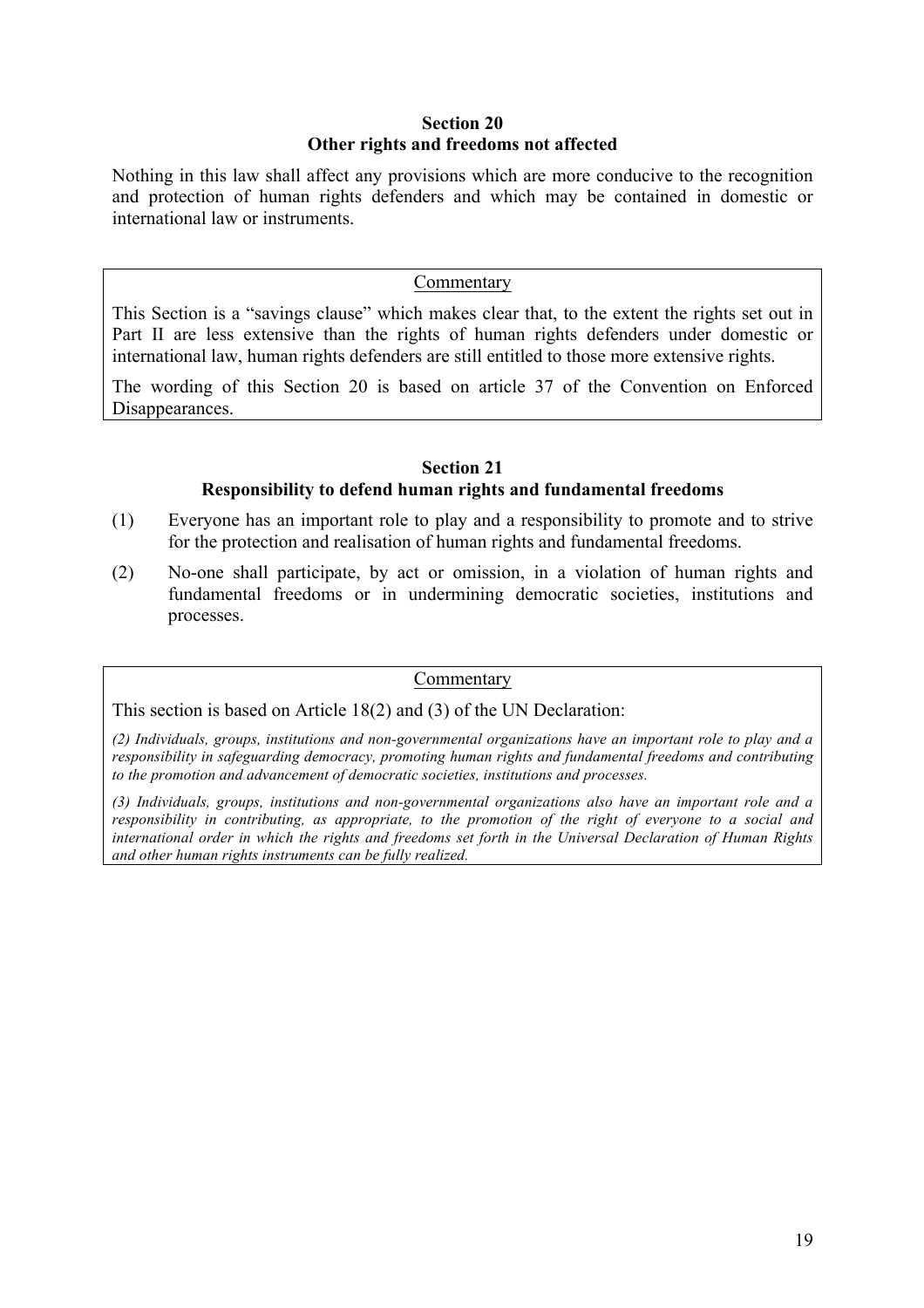#### **Section 20 Other rights and freedoms not affected**

Nothing in this law shall affect any provisions which are more conducive to the recognition and protection of human rights defenders and which may be contained in domestic or international law or instruments.

#### Commentary

This Section is a "savings clause" which makes clear that, to the extent the rights set out in Part II are less extensive than the rights of human rights defenders under domestic or international law, human rights defenders are still entitled to those more extensive rights.

The wording of this Section 20 is based on article 37 of the Convention on Enforced Disappearances.

#### **Section 21**

#### **Responsibility to defend human rights and fundamental freedoms**

- (1) Everyone has an important role to play and a responsibility to promote and to strive for the protection and realisation of human rights and fundamental freedoms.
- (2) No-one shall participate, by act or omission, in a violation of human rights and fundamental freedoms or in undermining democratic societies, institutions and processes.

#### Commentary

This section is based on Article 18(2) and (3) of the UN Declaration:

*(2) Individuals, groups, institutions and non-governmental organizations have an important role to play and a responsibility in safeguarding democracy, promoting human rights and fundamental freedoms and contributing to the promotion and advancement of democratic societies, institutions and processes.* 

*(3) Individuals, groups, institutions and non-governmental organizations also have an important role and a responsibility in contributing, as appropriate, to the promotion of the right of everyone to a social and international order in which the rights and freedoms set forth in the Universal Declaration of Human Rights and other human rights instruments can be fully realized.*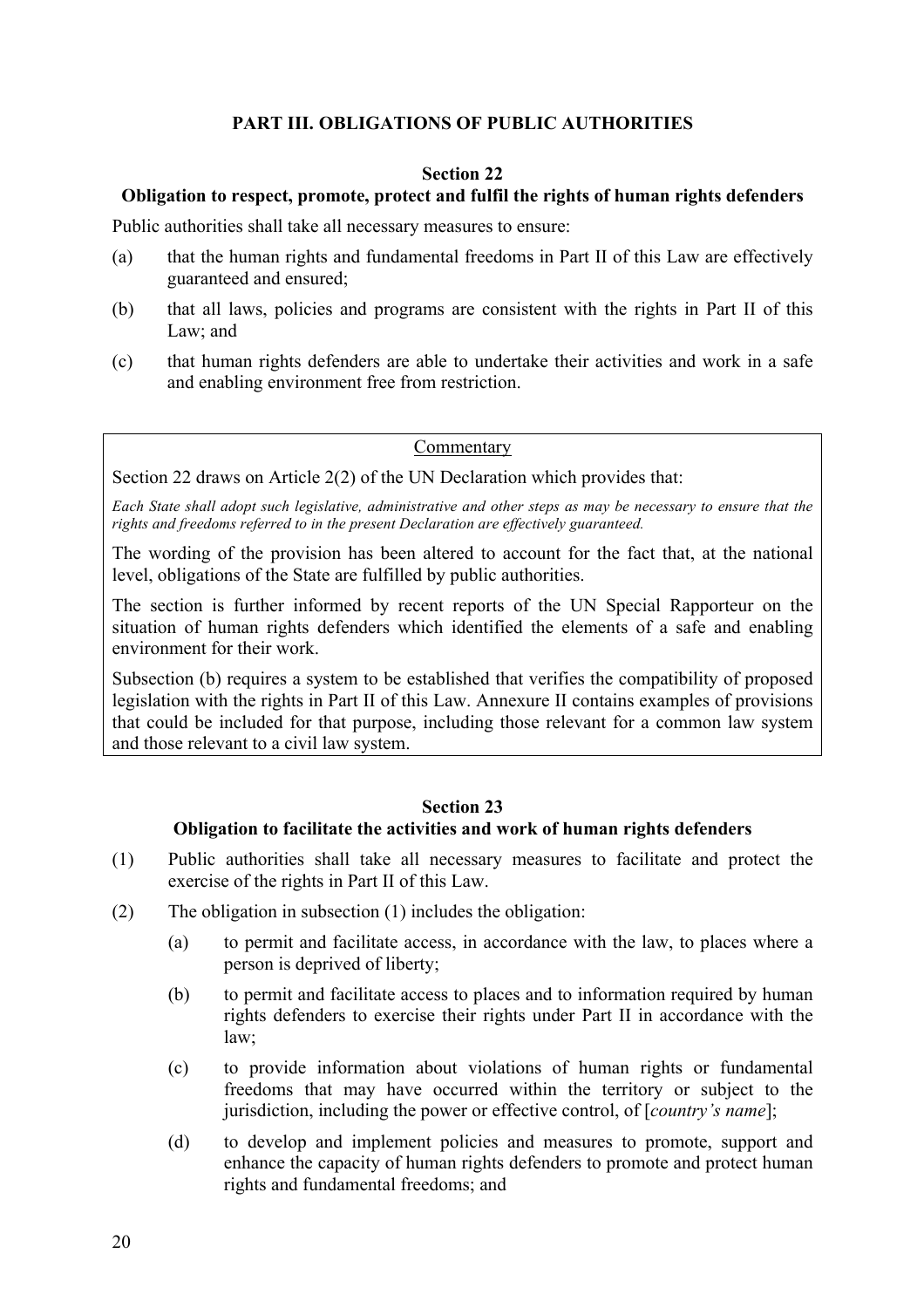#### **PART III. OBLIGATIONS OF PUBLIC AUTHORITIES**

#### **Section 22**

#### **Obligation to respect, promote, protect and fulfil the rights of human rights defenders**

Public authorities shall take all necessary measures to ensure:

- (a) that the human rights and fundamental freedoms in Part II of this Law are effectively guaranteed and ensured;
- (b) that all laws, policies and programs are consistent with the rights in Part II of this Law; and
- (c) that human rights defenders are able to undertake their activities and work in a safe and enabling environment free from restriction.

#### Commentary

Section 22 draws on Article 2(2) of the UN Declaration which provides that:

*Each State shall adopt such legislative, administrative and other steps as may be necessary to ensure that the rights and freedoms referred to in the present Declaration are effectively guaranteed.* 

The wording of the provision has been altered to account for the fact that, at the national level, obligations of the State are fulfilled by public authorities.

The section is further informed by recent reports of the UN Special Rapporteur on the situation of human rights defenders which identified the elements of a safe and enabling environment for their work.

Subsection (b) requires a system to be established that verifies the compatibility of proposed legislation with the rights in Part II of this Law. Annexure II contains examples of provisions that could be included for that purpose, including those relevant for a common law system and those relevant to a civil law system.

#### **Section 23**

#### **Obligation to facilitate the activities and work of human rights defenders**

- (1) Public authorities shall take all necessary measures to facilitate and protect the exercise of the rights in Part II of this Law.
- (2) The obligation in subsection (1) includes the obligation:
	- (a) to permit and facilitate access, in accordance with the law, to places where a person is deprived of liberty;
	- (b) to permit and facilitate access to places and to information required by human rights defenders to exercise their rights under Part II in accordance with the law;
	- (c) to provide information about violations of human rights or fundamental freedoms that may have occurred within the territory or subject to the jurisdiction, including the power or effective control, of [*country's name*];
	- (d) to develop and implement policies and measures to promote, support and enhance the capacity of human rights defenders to promote and protect human rights and fundamental freedoms; and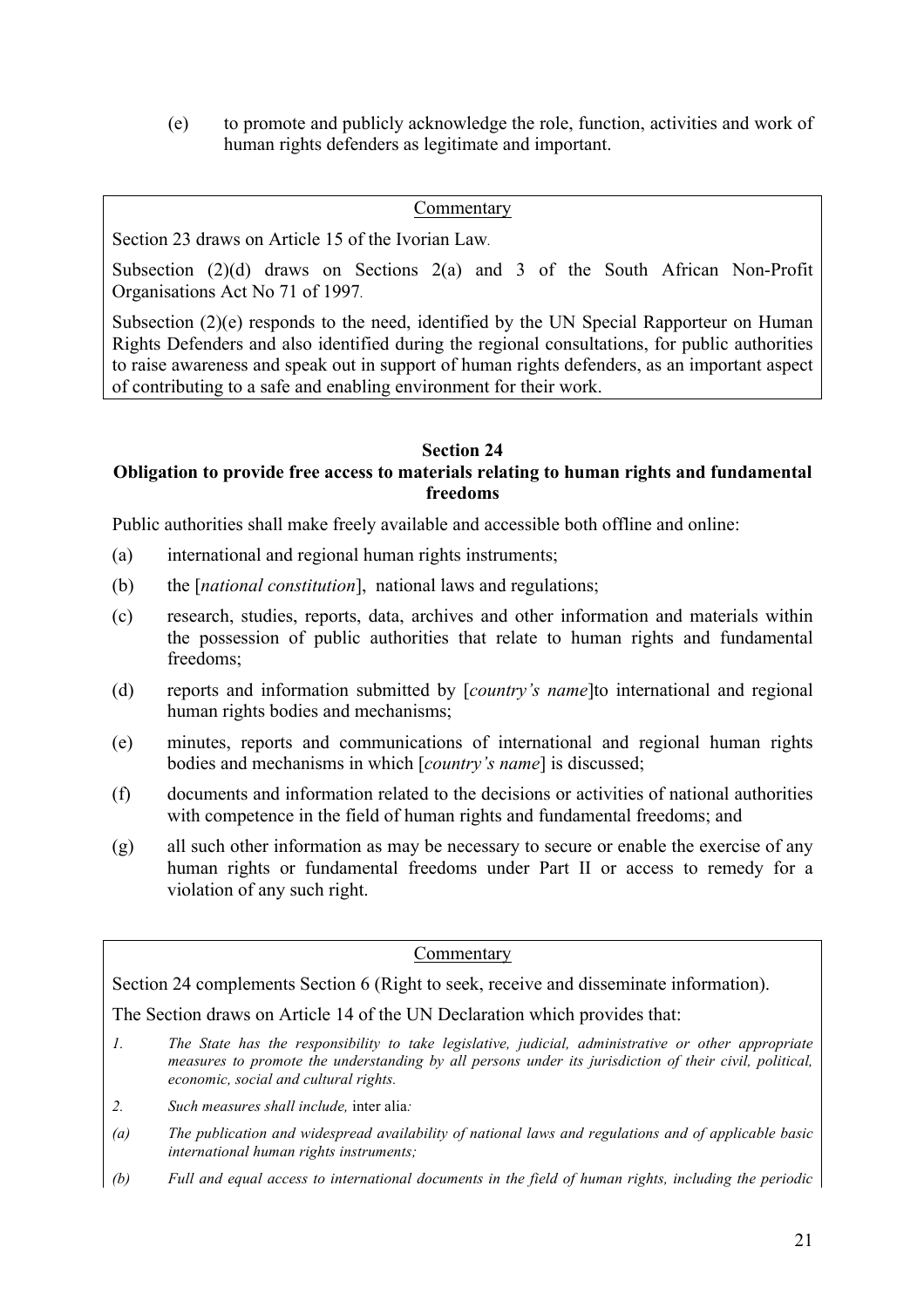(e) to promote and publicly acknowledge the role, function, activities and work of human rights defenders as legitimate and important.

#### Commentary

Section 23 draws on Article 15 of the Ivorian Law*.*

Subsection (2)(d) draws on Sections 2(a) and 3 of the South African Non-Profit Organisations Act No 71 of 1997*.*

Subsection (2)(e) responds to the need, identified by the UN Special Rapporteur on Human Rights Defenders and also identified during the regional consultations, for public authorities to raise awareness and speak out in support of human rights defenders, as an important aspect of contributing to a safe and enabling environment for their work.

#### **Section 24**

#### **Obligation to provide free access to materials relating to human rights and fundamental freedoms**

Public authorities shall make freely available and accessible both offline and online:

- (a) international and regional human rights instruments;
- (b) the [*national constitution*], national laws and regulations;
- (c) research, studies, reports, data, archives and other information and materials within the possession of public authorities that relate to human rights and fundamental freedoms;
- (d) reports and information submitted by [*country's name*]to international and regional human rights bodies and mechanisms;
- (e) minutes, reports and communications of international and regional human rights bodies and mechanisms in which [*country's name*] is discussed;
- (f) documents and information related to the decisions or activities of national authorities with competence in the field of human rights and fundamental freedoms; and
- (g) all such other information as may be necessary to secure or enable the exercise of any human rights or fundamental freedoms under Part II or access to remedy for a violation of any such right.

#### Commentary

Section 24 complements Section 6 (Right to seek, receive and disseminate information).

The Section draws on Article 14 of the UN Declaration which provides that:

- *1. The State has the responsibility to take legislative, judicial, administrative or other appropriate measures to promote the understanding by all persons under its jurisdiction of their civil, political, economic, social and cultural rights.*
- *2. Such measures shall include,* inter alia*:*
- *(a) The publication and widespread availability of national laws and regulations and of applicable basic international human rights instruments;*
- *(b) Full and equal access to international documents in the field of human rights, including the periodic*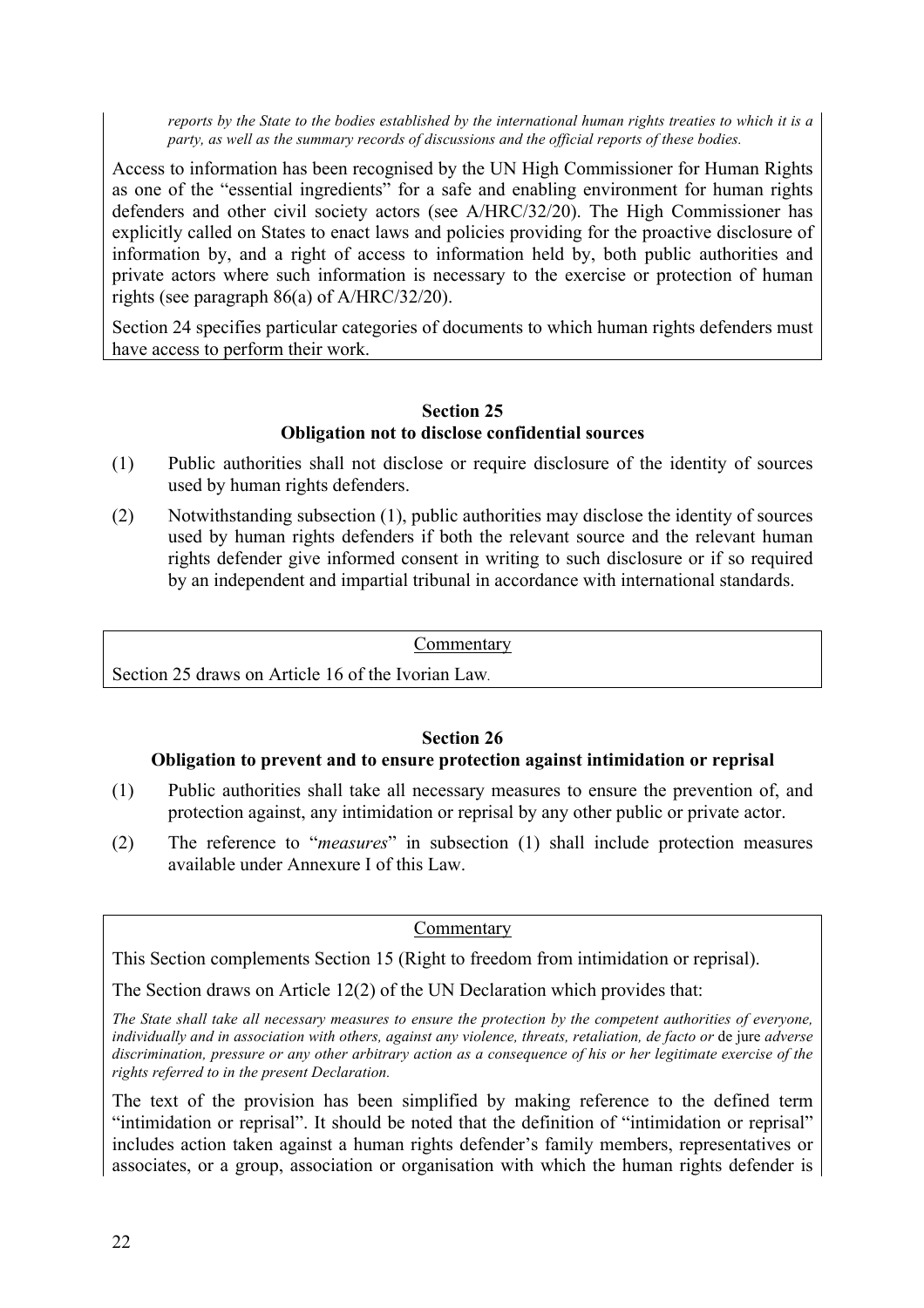*reports by the State to the bodies established by the international human rights treaties to which it is a party, as well as the summary records of discussions and the official reports of these bodies.*

Access to information has been recognised by the UN High Commissioner for Human Rights as one of the "essential ingredients" for a safe and enabling environment for human rights defenders and other civil society actors (see A/HRC/32/20). The High Commissioner has explicitly called on States to enact laws and policies providing for the proactive disclosure of information by, and a right of access to information held by, both public authorities and private actors where such information is necessary to the exercise or protection of human rights (see paragraph 86(a) of A/HRC/32/20).

Section 24 specifies particular categories of documents to which human rights defenders must have access to perform their work.

#### **Section 25 Obligation not to disclose confidential sources**

- (1) Public authorities shall not disclose or require disclosure of the identity of sources used by human rights defenders.
- (2) Notwithstanding subsection (1), public authorities may disclose the identity of sources used by human rights defenders if both the relevant source and the relevant human rights defender give informed consent in writing to such disclosure or if so required by an independent and impartial tribunal in accordance with international standards.

#### Commentary

Section 25 draws on Article 16 of the Ivorian Law*.*

#### **Section 26**

#### **Obligation to prevent and to ensure protection against intimidation or reprisal**

- (1) Public authorities shall take all necessary measures to ensure the prevention of, and protection against, any intimidation or reprisal by any other public or private actor.
- (2) The reference to "*measures*" in subsection (1) shall include protection measures available under Annexure I of this Law.

#### Commentary

This Section complements Section 15 (Right to freedom from intimidation or reprisal).

The Section draws on Article 12(2) of the UN Declaration which provides that:

*The State shall take all necessary measures to ensure the protection by the competent authorities of everyone, individually and in association with others, against any violence, threats, retaliation, de facto or* de jure *adverse discrimination, pressure or any other arbitrary action as a consequence of his or her legitimate exercise of the rights referred to in the present Declaration.* 

The text of the provision has been simplified by making reference to the defined term "intimidation or reprisal". It should be noted that the definition of "intimidation or reprisal" includes action taken against a human rights defender's family members, representatives or associates, or a group, association or organisation with which the human rights defender is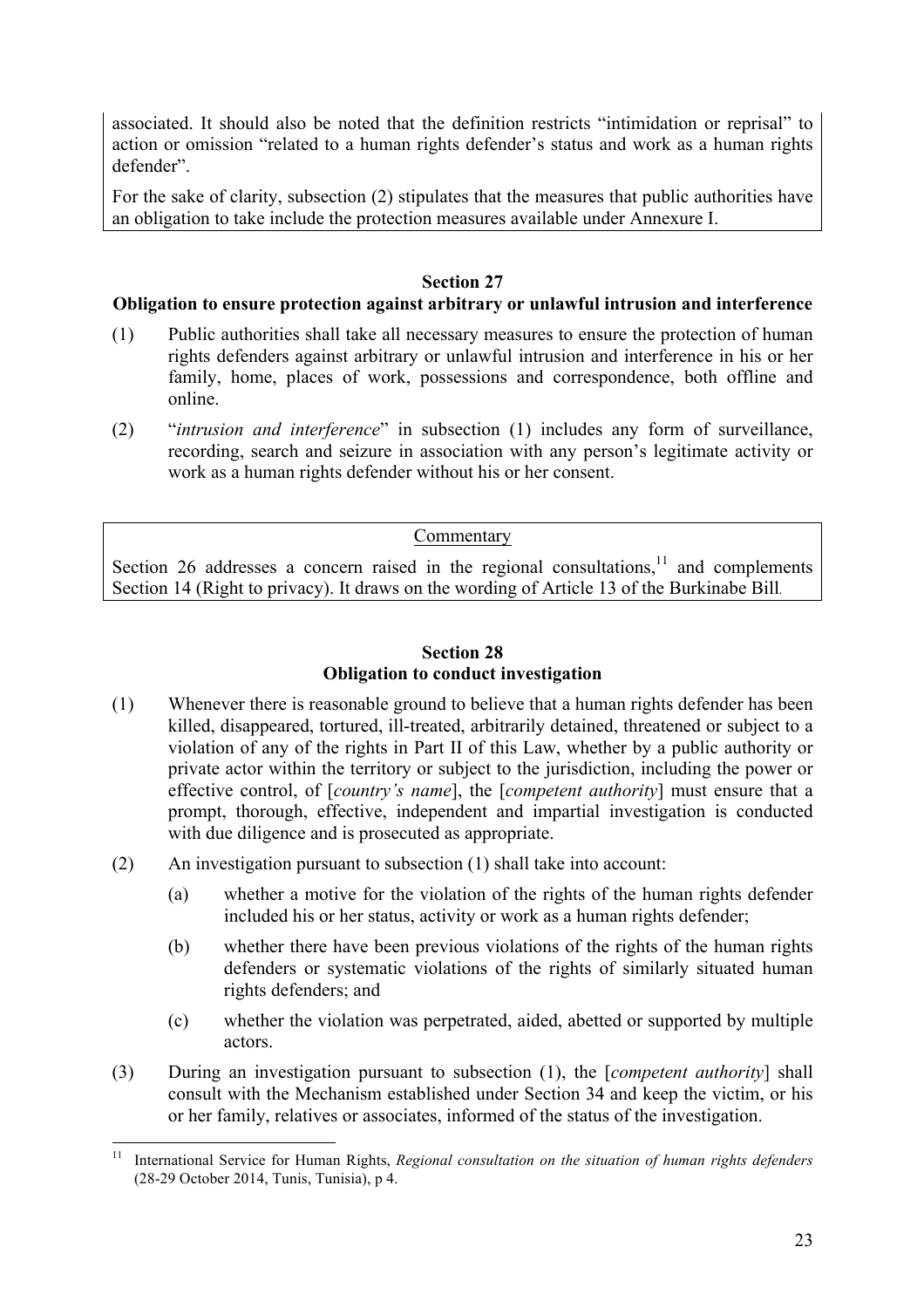associated. It should also be noted that the definition restricts "intimidation or reprisal" to action or omission "related to a human rights defender's status and work as a human rights defender".

For the sake of clarity, subsection (2) stipulates that the measures that public authorities have an obligation to take include the protection measures available under Annexure I.

#### **Section 27**

#### **Obligation to ensure protection against arbitrary or unlawful intrusion and interference**

- (1) Public authorities shall take all necessary measures to ensure the protection of human rights defenders against arbitrary or unlawful intrusion and interference in his or her family, home, places of work, possessions and correspondence, both offline and online.
- (2) "*intrusion and interference*" in subsection (1) includes any form of surveillance, recording, search and seizure in association with any person's legitimate activity or work as a human rights defender without his or her consent.

#### Commentary

Section 26 addresses a concern raised in the regional consultations, $11$  and complements Section 14 (Right to privacy). It draws on the wording of Article 13 of the Burkinabe Bill*.* 

#### **Section 28 Obligation to conduct investigation**

- (1) Whenever there is reasonable ground to believe that a human rights defender has been killed, disappeared, tortured, ill-treated, arbitrarily detained, threatened or subject to a violation of any of the rights in Part II of this Law, whether by a public authority or private actor within the territory or subject to the jurisdiction, including the power or effective control, of [*country's name*], the [*competent authority*] must ensure that a prompt, thorough, effective, independent and impartial investigation is conducted with due diligence and is prosecuted as appropriate.
- (2) An investigation pursuant to subsection (1) shall take into account:
	- (a) whether a motive for the violation of the rights of the human rights defender included his or her status, activity or work as a human rights defender;
	- (b) whether there have been previous violations of the rights of the human rights defenders or systematic violations of the rights of similarly situated human rights defenders; and
	- (c) whether the violation was perpetrated, aided, abetted or supported by multiple actors.
- (3) During an investigation pursuant to subsection (1), the [*competent authority*] shall consult with the Mechanism established under Section 34 and keep the victim, or his or her family, relatives or associates, informed of the status of the investigation.

 <sup>11</sup> International Service for Human Rights, *Regional consultation on the situation of human rights defenders*  (28-29 October 2014, Tunis, Tunisia), p 4.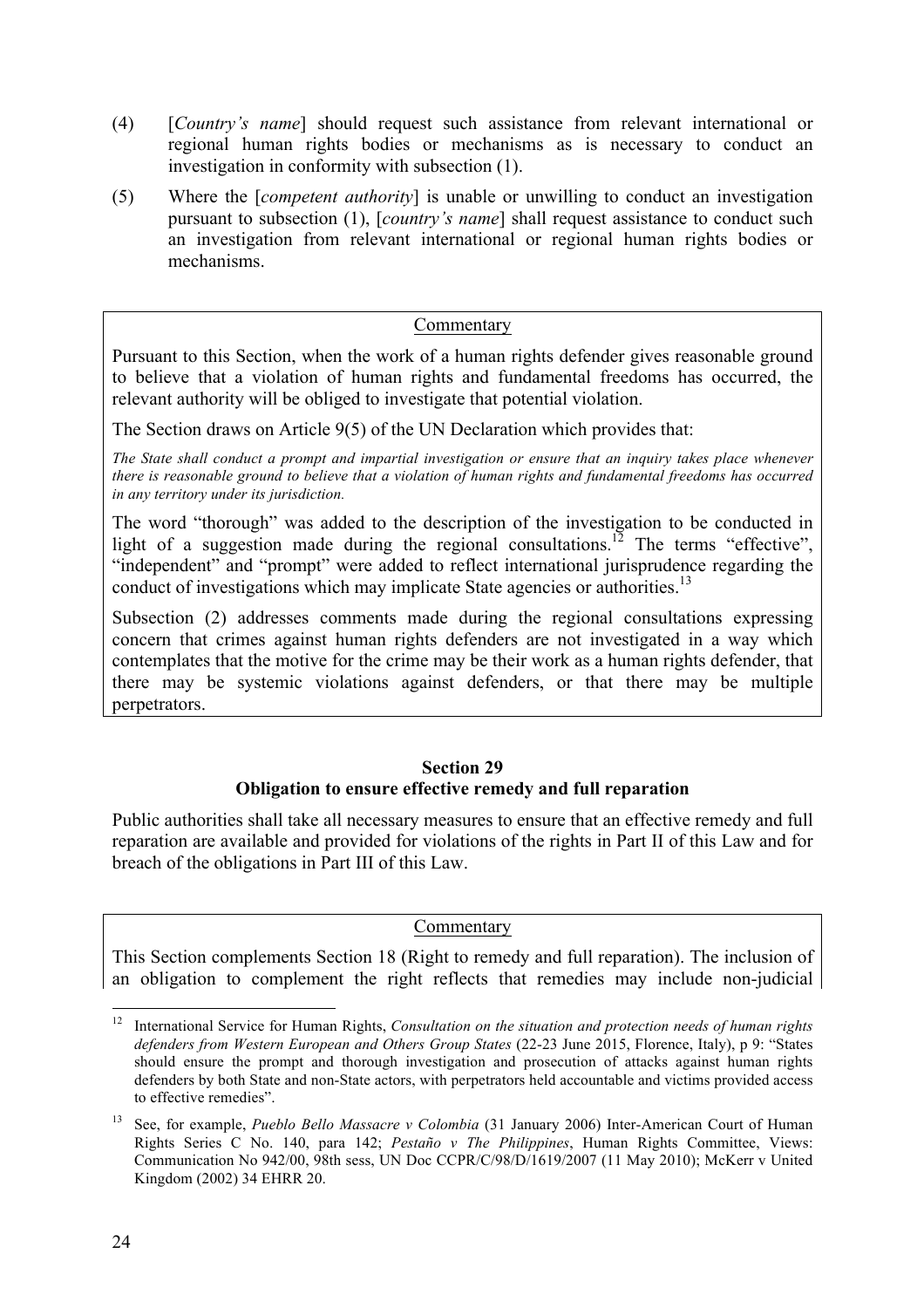- (4) [*Country's name*] should request such assistance from relevant international or regional human rights bodies or mechanisms as is necessary to conduct an investigation in conformity with subsection (1).
- (5) Where the [*competent authority*] is unable or unwilling to conduct an investigation pursuant to subsection (1), [*country's name*] shall request assistance to conduct such an investigation from relevant international or regional human rights bodies or mechanisms.

#### Commentary

Pursuant to this Section, when the work of a human rights defender gives reasonable ground to believe that a violation of human rights and fundamental freedoms has occurred, the relevant authority will be obliged to investigate that potential violation.

The Section draws on Article 9(5) of the UN Declaration which provides that:

*The State shall conduct a prompt and impartial investigation or ensure that an inquiry takes place whenever there is reasonable ground to believe that a violation of human rights and fundamental freedoms has occurred in any territory under its jurisdiction.* 

The word "thorough" was added to the description of the investigation to be conducted in light of a suggestion made during the regional consultations.<sup>12</sup> The terms "effective", "independent" and "prompt" were added to reflect international jurisprudence regarding the conduct of investigations which may implicate State agencies or authorities.<sup>13</sup>

Subsection (2) addresses comments made during the regional consultations expressing concern that crimes against human rights defenders are not investigated in a way which contemplates that the motive for the crime may be their work as a human rights defender, that there may be systemic violations against defenders, or that there may be multiple perpetrators.

#### **Section 29 Obligation to ensure effective remedy and full reparation**

Public authorities shall take all necessary measures to ensure that an effective remedy and full reparation are available and provided for violations of the rights in Part II of this Law and for breach of the obligations in Part III of this Law.

#### Commentary

This Section complements Section 18 (Right to remedy and full reparation). The inclusion of an obligation to complement the right reflects that remedies may include non-judicial

<sup>&</sup>lt;sup>12</sup> International Service for Human Rights, *Consultation on the situation and protection needs of human rights defenders from Western European and Others Group States* (22-23 June 2015, Florence, Italy), p 9: "States should ensure the prompt and thorough investigation and prosecution of attacks against human rights defenders by both State and non-State actors, with perpetrators held accountable and victims provided access to effective remedies".

<sup>13</sup> See, for example, *Pueblo Bello Massacre v Colombia* (31 January 2006) Inter-American Court of Human Rights Series C No. 140, para 142; *Pestaño v The Philippines*, Human Rights Committee, Views: Communication No 942/00, 98th sess, UN Doc CCPR/C/98/D/1619/2007 (11 May 2010); McKerr v United Kingdom (2002) 34 EHRR 20.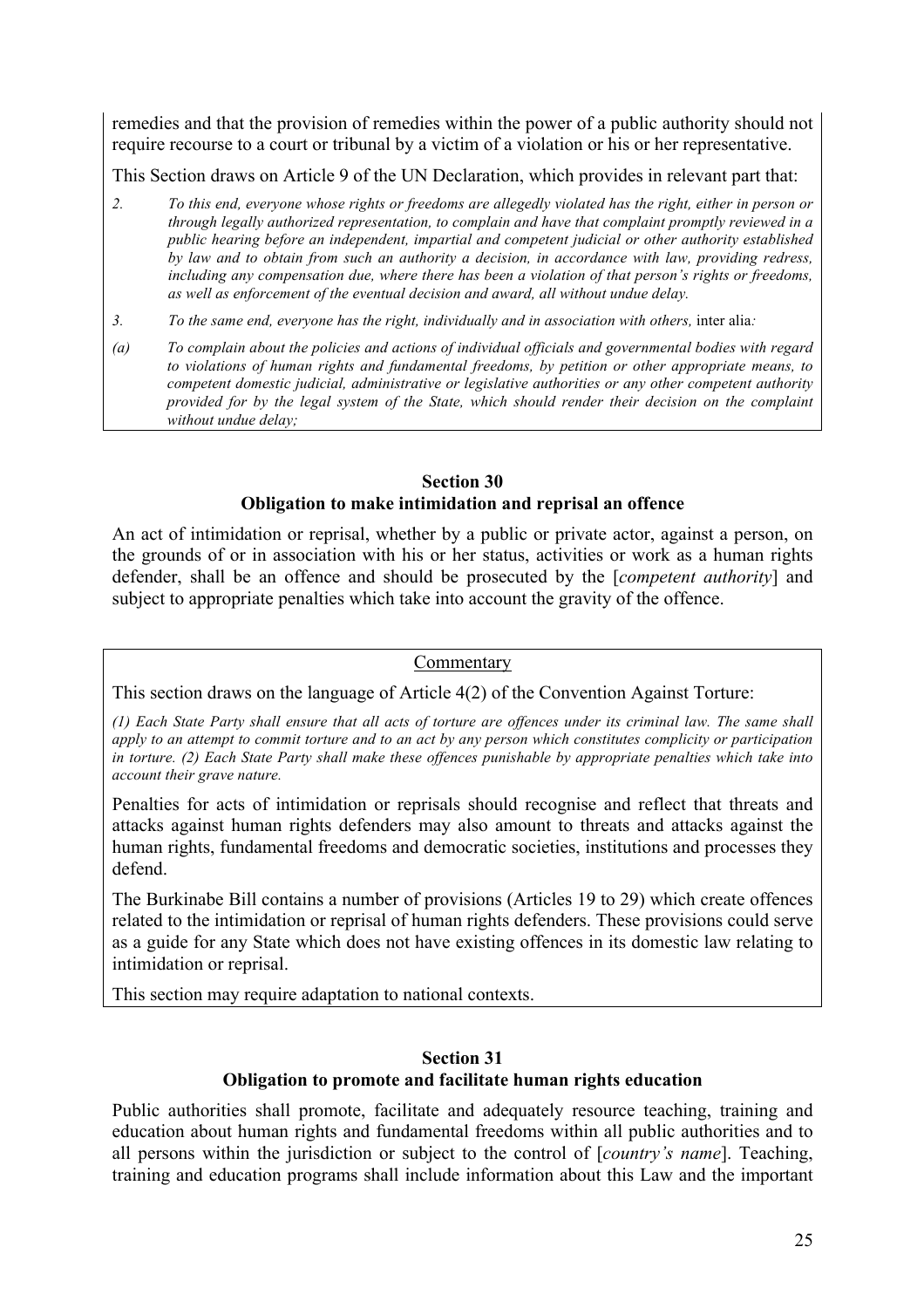remedies and that the provision of remedies within the power of a public authority should not require recourse to a court or tribunal by a victim of a violation or his or her representative.

This Section draws on Article 9 of the UN Declaration, which provides in relevant part that:

- *2. To this end, everyone whose rights or freedoms are allegedly violated has the right, either in person or through legally authorized representation, to complain and have that complaint promptly reviewed in a public hearing before an independent, impartial and competent judicial or other authority established by law and to obtain from such an authority a decision, in accordance with law, providing redress, including any compensation due, where there has been a violation of that person's rights or freedoms, as well as enforcement of the eventual decision and award, all without undue delay.*
- *3. To the same end, everyone has the right, individually and in association with others,* inter alia*:*
- *(a) To complain about the policies and actions of individual officials and governmental bodies with regard to violations of human rights and fundamental freedoms, by petition or other appropriate means, to competent domestic judicial, administrative or legislative authorities or any other competent authority provided for by the legal system of the State, which should render their decision on the complaint without undue delay;*

#### **Section 30 Obligation to make intimidation and reprisal an offence**

An act of intimidation or reprisal, whether by a public or private actor, against a person, on the grounds of or in association with his or her status, activities or work as a human rights defender, shall be an offence and should be prosecuted by the [*competent authority*] and subject to appropriate penalties which take into account the gravity of the offence.

#### Commentary

This section draws on the language of Article 4(2) of the Convention Against Torture:

*(1) Each State Party shall ensure that all acts of torture are offences under its criminal law. The same shall apply to an attempt to commit torture and to an act by any person which constitutes complicity or participation in torture. (2) Each State Party shall make these offences punishable by appropriate penalties which take into account their grave nature.*

Penalties for acts of intimidation or reprisals should recognise and reflect that threats and attacks against human rights defenders may also amount to threats and attacks against the human rights, fundamental freedoms and democratic societies, institutions and processes they defend.

The Burkinabe Bill contains a number of provisions (Articles 19 to 29) which create offences related to the intimidation or reprisal of human rights defenders. These provisions could serve as a guide for any State which does not have existing offences in its domestic law relating to intimidation or reprisal.

This section may require adaptation to national contexts.

#### **Section 31 Obligation to promote and facilitate human rights education**

Public authorities shall promote, facilitate and adequately resource teaching, training and education about human rights and fundamental freedoms within all public authorities and to all persons within the jurisdiction or subject to the control of [*country's name*]. Teaching, training and education programs shall include information about this Law and the important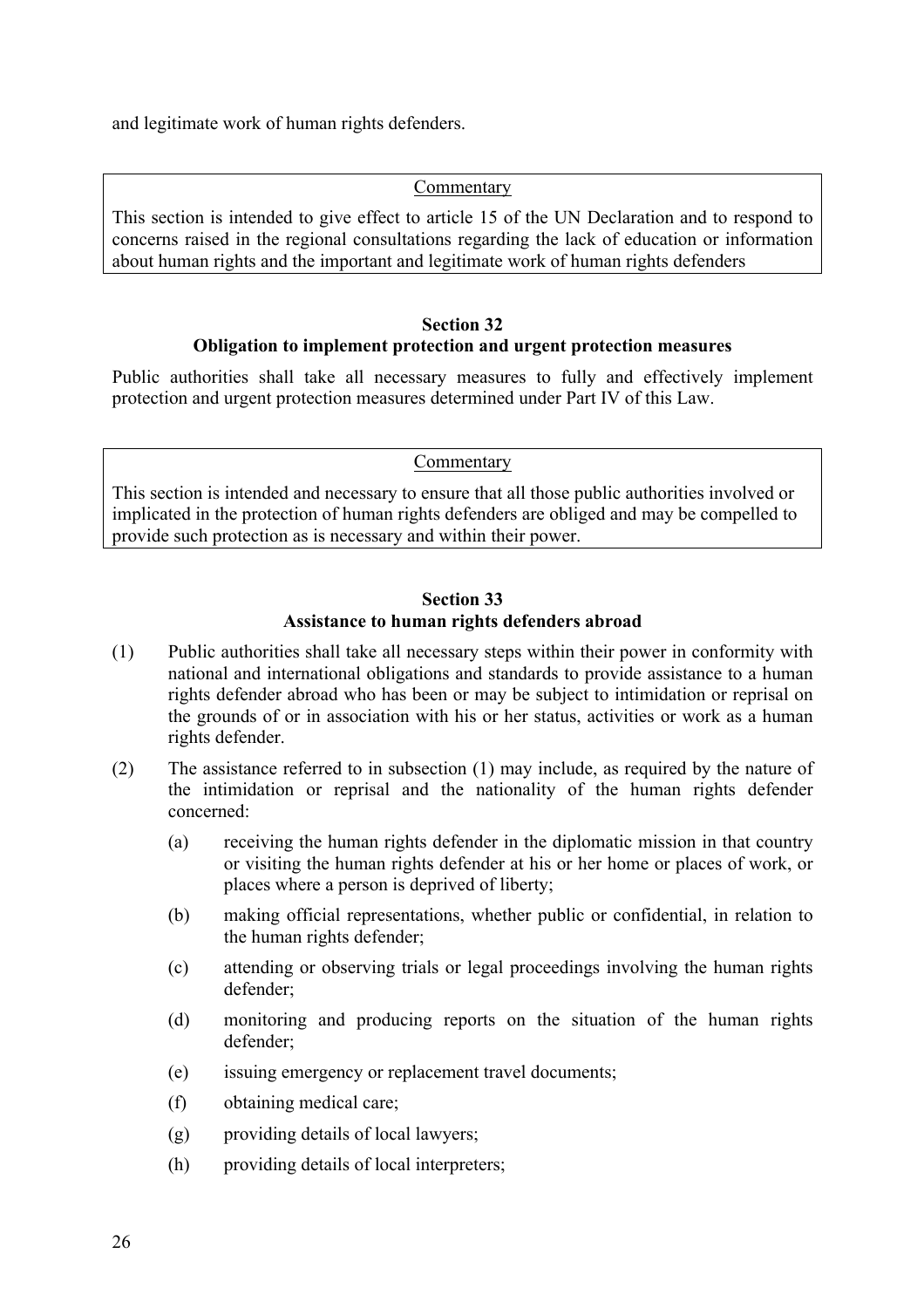and legitimate work of human rights defenders.

#### Commentary

This section is intended to give effect to article 15 of the UN Declaration and to respond to concerns raised in the regional consultations regarding the lack of education or information about human rights and the important and legitimate work of human rights defenders

#### **Section 32 Obligation to implement protection and urgent protection measures**

Public authorities shall take all necessary measures to fully and effectively implement protection and urgent protection measures determined under Part IV of this Law.

#### **Commentary**

This section is intended and necessary to ensure that all those public authorities involved or implicated in the protection of human rights defenders are obliged and may be compelled to provide such protection as is necessary and within their power.

#### **Section 33 Assistance to human rights defenders abroad**

- (1) Public authorities shall take all necessary steps within their power in conformity with national and international obligations and standards to provide assistance to a human rights defender abroad who has been or may be subject to intimidation or reprisal on the grounds of or in association with his or her status, activities or work as a human rights defender.
- (2) The assistance referred to in subsection (1) may include, as required by the nature of the intimidation or reprisal and the nationality of the human rights defender concerned:
	- (a) receiving the human rights defender in the diplomatic mission in that country or visiting the human rights defender at his or her home or places of work, or places where a person is deprived of liberty;
	- (b) making official representations, whether public or confidential, in relation to the human rights defender;
	- (c) attending or observing trials or legal proceedings involving the human rights defender;
	- (d) monitoring and producing reports on the situation of the human rights defender;
	- (e) issuing emergency or replacement travel documents;
	- (f) obtaining medical care;
	- (g) providing details of local lawyers;
	- (h) providing details of local interpreters;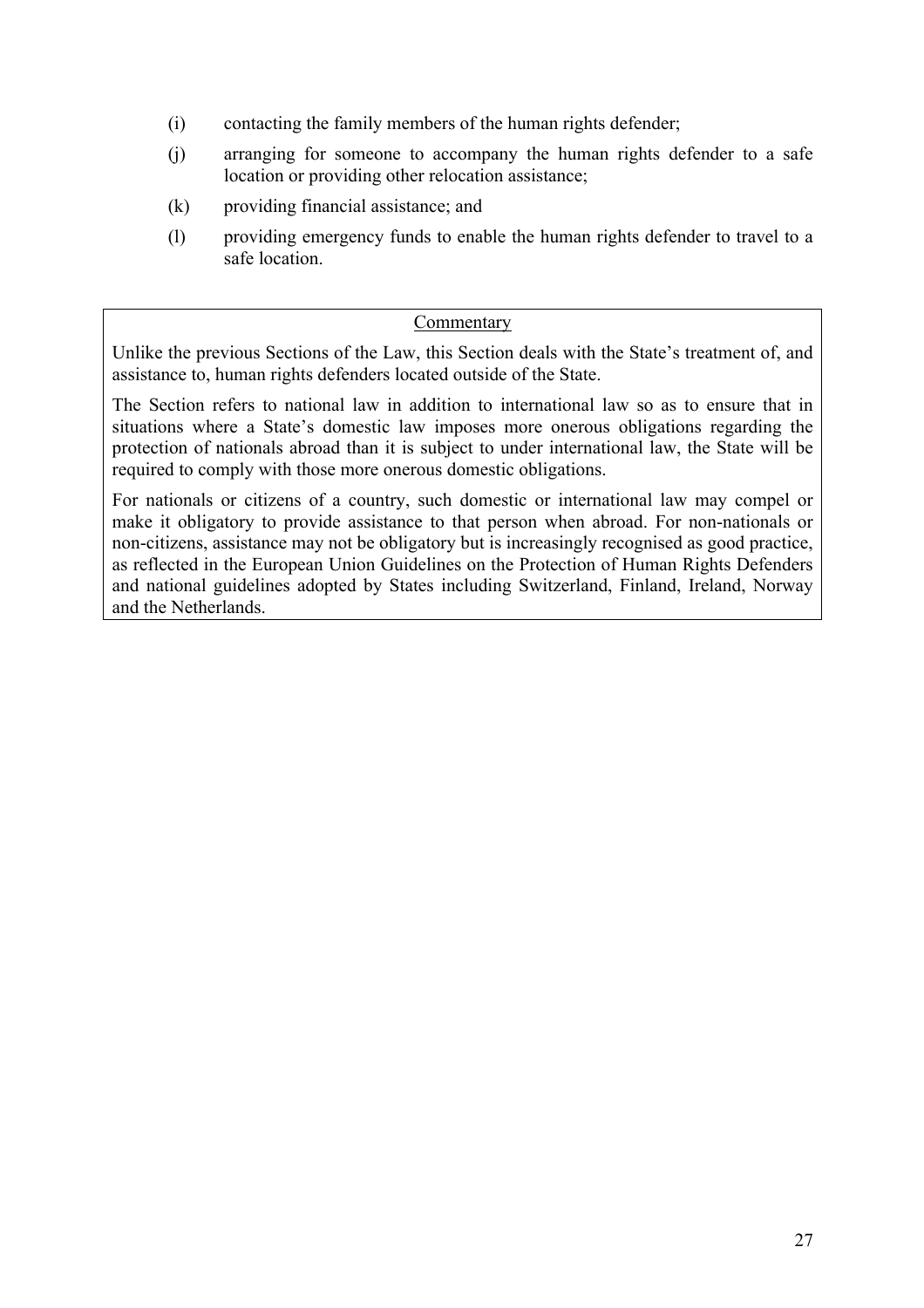- (i) contacting the family members of the human rights defender;
- (j) arranging for someone to accompany the human rights defender to a safe location or providing other relocation assistance;
- (k) providing financial assistance; and
- (l) providing emergency funds to enable the human rights defender to travel to a safe location.

#### Commentary

Unlike the previous Sections of the Law, this Section deals with the State's treatment of, and assistance to, human rights defenders located outside of the State.

The Section refers to national law in addition to international law so as to ensure that in situations where a State's domestic law imposes more onerous obligations regarding the protection of nationals abroad than it is subject to under international law, the State will be required to comply with those more onerous domestic obligations.

For nationals or citizens of a country, such domestic or international law may compel or make it obligatory to provide assistance to that person when abroad. For non-nationals or non-citizens, assistance may not be obligatory but is increasingly recognised as good practice, as reflected in the European Union Guidelines on the Protection of Human Rights Defenders and national guidelines adopted by States including Switzerland, Finland, Ireland, Norway and the Netherlands.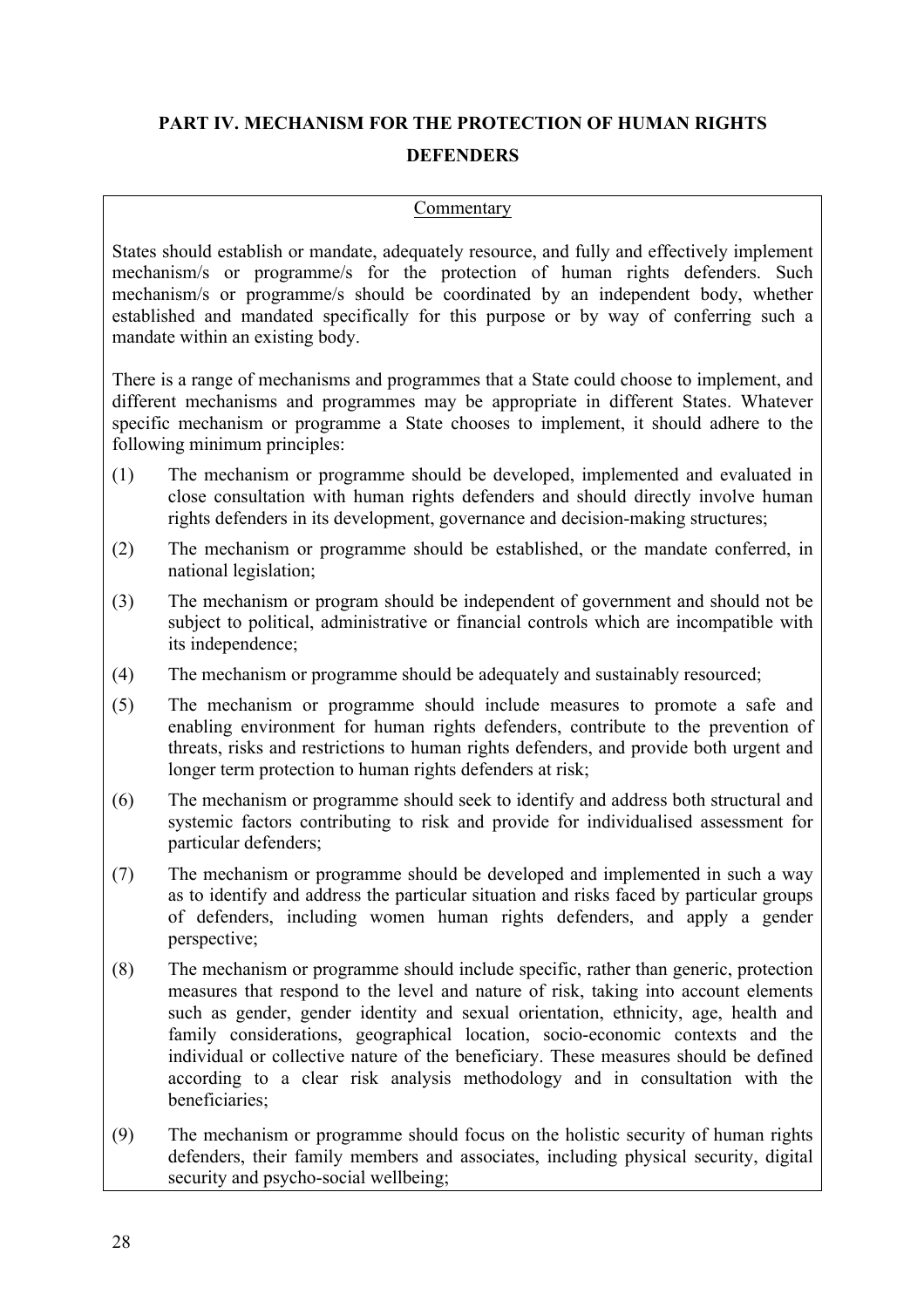## **PART IV. MECHANISM FOR THE PROTECTION OF HUMAN RIGHTS DEFENDERS**

#### Commentary

States should establish or mandate, adequately resource, and fully and effectively implement mechanism/s or programme/s for the protection of human rights defenders. Such mechanism/s or programme/s should be coordinated by an independent body, whether established and mandated specifically for this purpose or by way of conferring such a mandate within an existing body.

There is a range of mechanisms and programmes that a State could choose to implement, and different mechanisms and programmes may be appropriate in different States. Whatever specific mechanism or programme a State chooses to implement, it should adhere to the following minimum principles:

- (1) The mechanism or programme should be developed, implemented and evaluated in close consultation with human rights defenders and should directly involve human rights defenders in its development, governance and decision-making structures;
- (2) The mechanism or programme should be established, or the mandate conferred, in national legislation;
- (3) The mechanism or program should be independent of government and should not be subject to political, administrative or financial controls which are incompatible with its independence;
- (4) The mechanism or programme should be adequately and sustainably resourced;
- (5) The mechanism or programme should include measures to promote a safe and enabling environment for human rights defenders, contribute to the prevention of threats, risks and restrictions to human rights defenders, and provide both urgent and longer term protection to human rights defenders at risk;
- (6) The mechanism or programme should seek to identify and address both structural and systemic factors contributing to risk and provide for individualised assessment for particular defenders;
- (7) The mechanism or programme should be developed and implemented in such a way as to identify and address the particular situation and risks faced by particular groups of defenders, including women human rights defenders, and apply a gender perspective;
- (8) The mechanism or programme should include specific, rather than generic, protection measures that respond to the level and nature of risk, taking into account elements such as gender, gender identity and sexual orientation, ethnicity, age, health and family considerations, geographical location, socio-economic contexts and the individual or collective nature of the beneficiary. These measures should be defined according to a clear risk analysis methodology and in consultation with the beneficiaries;
- (9) The mechanism or programme should focus on the holistic security of human rights defenders, their family members and associates, including physical security, digital security and psycho-social wellbeing;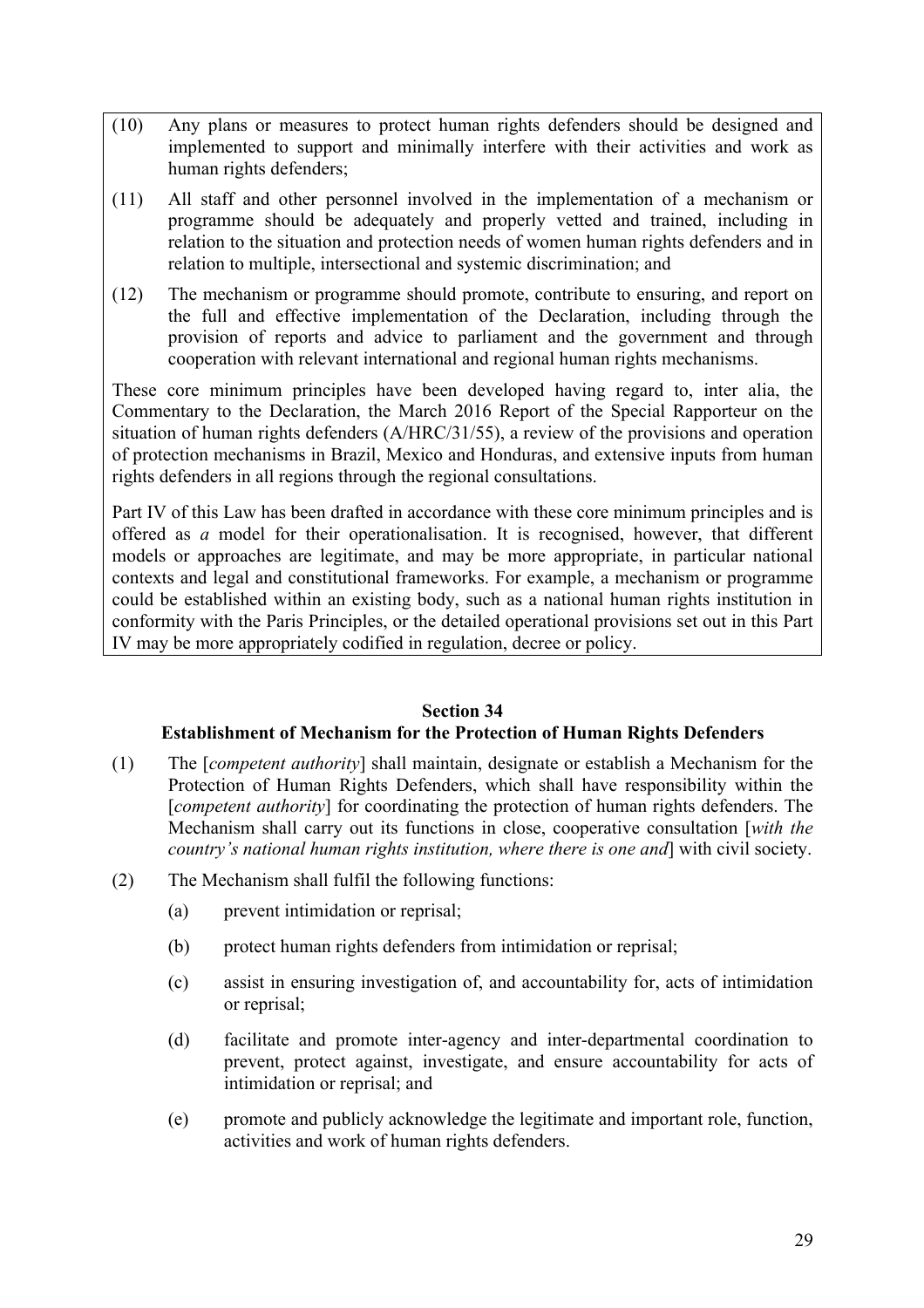- (10) Any plans or measures to protect human rights defenders should be designed and implemented to support and minimally interfere with their activities and work as human rights defenders;
- (11) All staff and other personnel involved in the implementation of a mechanism or programme should be adequately and properly vetted and trained, including in relation to the situation and protection needs of women human rights defenders and in relation to multiple, intersectional and systemic discrimination; and
- (12) The mechanism or programme should promote, contribute to ensuring, and report on the full and effective implementation of the Declaration, including through the provision of reports and advice to parliament and the government and through cooperation with relevant international and regional human rights mechanisms.

These core minimum principles have been developed having regard to, inter alia, the Commentary to the Declaration, the March 2016 Report of the Special Rapporteur on the situation of human rights defenders (A/HRC/31/55), a review of the provisions and operation of protection mechanisms in Brazil, Mexico and Honduras, and extensive inputs from human rights defenders in all regions through the regional consultations.

Part IV of this Law has been drafted in accordance with these core minimum principles and is offered as *a* model for their operationalisation. It is recognised, however, that different models or approaches are legitimate, and may be more appropriate, in particular national contexts and legal and constitutional frameworks. For example, a mechanism or programme could be established within an existing body, such as a national human rights institution in conformity with the Paris Principles, or the detailed operational provisions set out in this Part IV may be more appropriately codified in regulation, decree or policy.

#### **Section 34**

#### **Establishment of Mechanism for the Protection of Human Rights Defenders**

- (1) The [*competent authority*] shall maintain, designate or establish a Mechanism for the Protection of Human Rights Defenders, which shall have responsibility within the [*competent authority*] for coordinating the protection of human rights defenders. The Mechanism shall carry out its functions in close, cooperative consultation [*with the country's national human rights institution, where there is one and*] with civil society.
- (2) The Mechanism shall fulfil the following functions:
	- (a) prevent intimidation or reprisal;
	- (b) protect human rights defenders from intimidation or reprisal;
	- (c) assist in ensuring investigation of, and accountability for, acts of intimidation or reprisal;
	- (d) facilitate and promote inter-agency and inter-departmental coordination to prevent, protect against, investigate, and ensure accountability for acts of intimidation or reprisal; and
	- (e) promote and publicly acknowledge the legitimate and important role, function, activities and work of human rights defenders.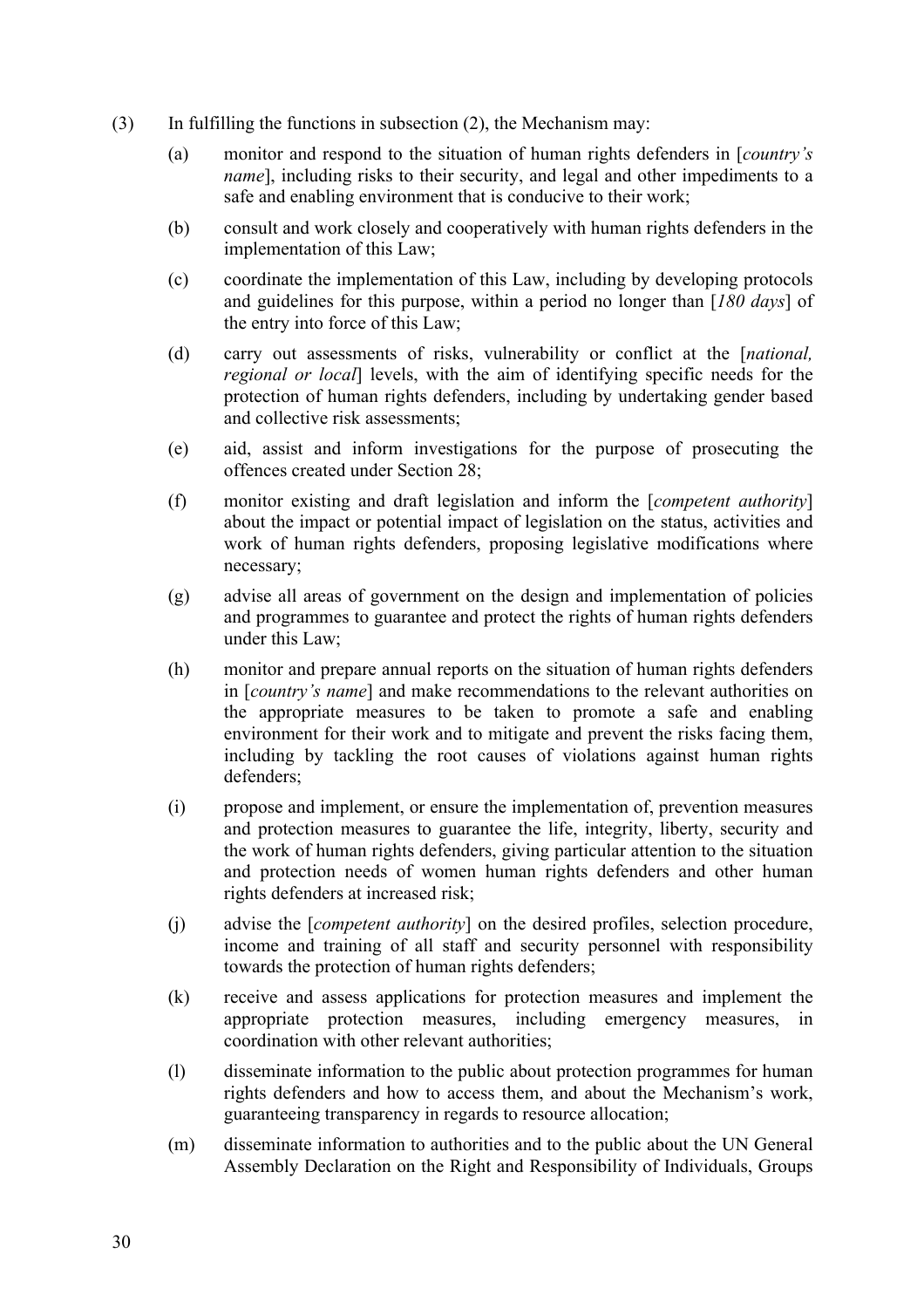- (3) In fulfilling the functions in subsection (2), the Mechanism may:
	- (a) monitor and respond to the situation of human rights defenders in [*country's name*], including risks to their security, and legal and other impediments to a safe and enabling environment that is conducive to their work;
	- (b) consult and work closely and cooperatively with human rights defenders in the implementation of this Law;
	- (c) coordinate the implementation of this Law, including by developing protocols and guidelines for this purpose, within a period no longer than [*180 days*] of the entry into force of this Law;
	- (d) carry out assessments of risks, vulnerability or conflict at the [*national, regional or local*] levels, with the aim of identifying specific needs for the protection of human rights defenders, including by undertaking gender based and collective risk assessments;
	- (e) aid, assist and inform investigations for the purpose of prosecuting the offences created under Section 28;
	- (f) monitor existing and draft legislation and inform the [*competent authority*] about the impact or potential impact of legislation on the status, activities and work of human rights defenders, proposing legislative modifications where necessary;
	- (g) advise all areas of government on the design and implementation of policies and programmes to guarantee and protect the rights of human rights defenders under this Law;
	- (h) monitor and prepare annual reports on the situation of human rights defenders in [*country's name*] and make recommendations to the relevant authorities on the appropriate measures to be taken to promote a safe and enabling environment for their work and to mitigate and prevent the risks facing them, including by tackling the root causes of violations against human rights defenders;
	- (i) propose and implement, or ensure the implementation of, prevention measures and protection measures to guarantee the life, integrity, liberty, security and the work of human rights defenders, giving particular attention to the situation and protection needs of women human rights defenders and other human rights defenders at increased risk;
	- (j) advise the [*competent authority*] on the desired profiles, selection procedure, income and training of all staff and security personnel with responsibility towards the protection of human rights defenders;
	- (k) receive and assess applications for protection measures and implement the appropriate protection measures, including emergency measures, in coordination with other relevant authorities;
	- (l) disseminate information to the public about protection programmes for human rights defenders and how to access them, and about the Mechanism's work, guaranteeing transparency in regards to resource allocation;
	- (m) disseminate information to authorities and to the public about the UN General Assembly Declaration on the Right and Responsibility of Individuals, Groups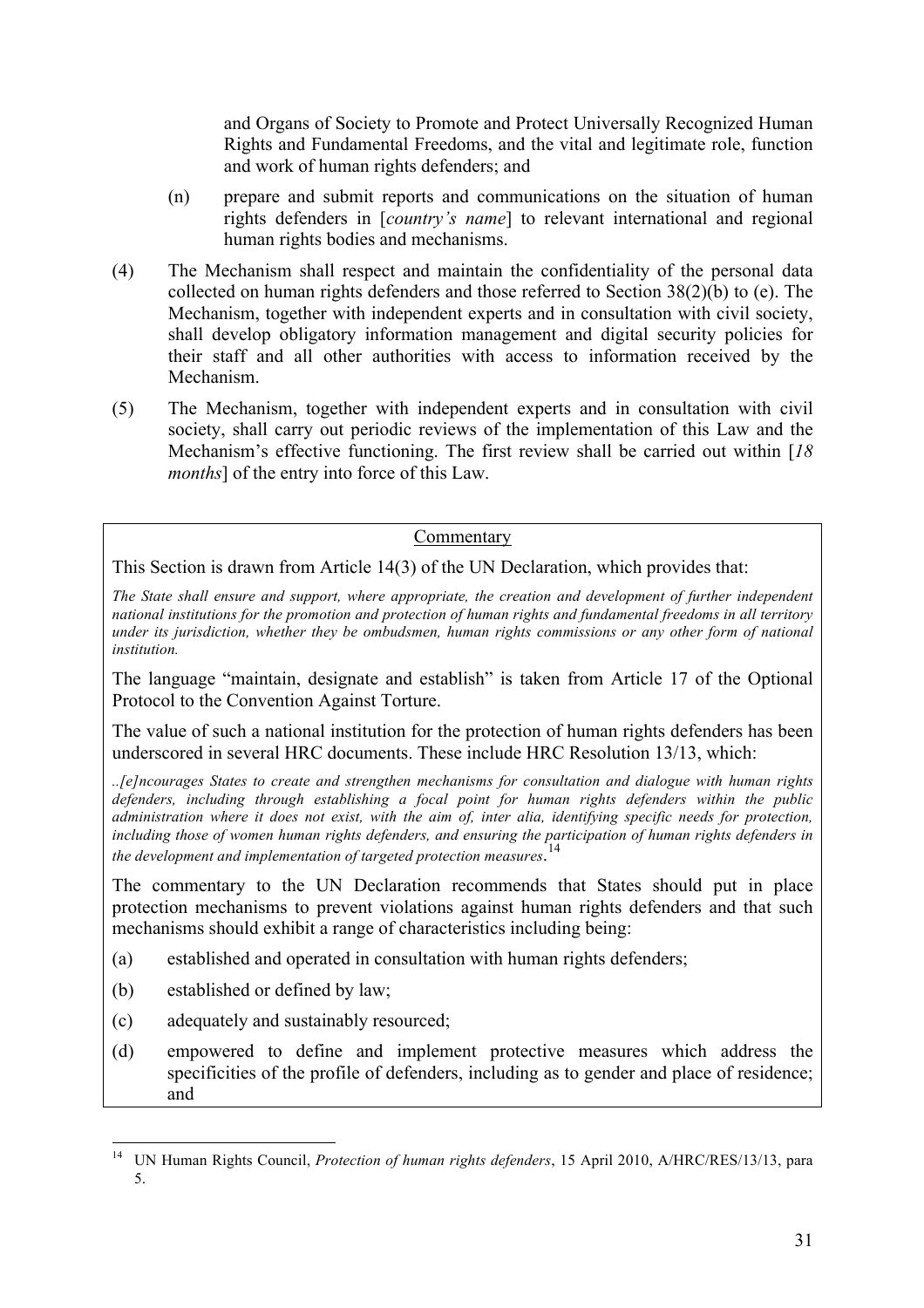and Organs of Society to Promote and Protect Universally Recognized Human Rights and Fundamental Freedoms, and the vital and legitimate role, function and work of human rights defenders; and

- (n) prepare and submit reports and communications on the situation of human rights defenders in [*country's name*] to relevant international and regional human rights bodies and mechanisms.
- (4) The Mechanism shall respect and maintain the confidentiality of the personal data collected on human rights defenders and those referred to Section 38(2)(b) to (e). The Mechanism, together with independent experts and in consultation with civil society, shall develop obligatory information management and digital security policies for their staff and all other authorities with access to information received by the Mechanism.
- (5) The Mechanism, together with independent experts and in consultation with civil society, shall carry out periodic reviews of the implementation of this Law and the Mechanism's effective functioning. The first review shall be carried out within [*18 months*] of the entry into force of this Law.

#### Commentary

This Section is drawn from Article 14(3) of the UN Declaration, which provides that:

*The State shall ensure and support, where appropriate, the creation and development of further independent national institutions for the promotion and protection of human rights and fundamental freedoms in all territory under its jurisdiction, whether they be ombudsmen, human rights commissions or any other form of national institution.* 

The language "maintain, designate and establish" is taken from Article 17 of the Optional Protocol to the Convention Against Torture.

The value of such a national institution for the protection of human rights defenders has been underscored in several HRC documents. These include HRC Resolution 13/13, which:

*..[e]ncourages States to create and strengthen mechanisms for consultation and dialogue with human rights defenders, including through establishing a focal point for human rights defenders within the public administration where it does not exist, with the aim of, inter alia, identifying specific needs for protection, including those of women human rights defenders, and ensuring the participation of human rights defenders in the development and implementation of targeted protection measures*. 14

The commentary to the UN Declaration recommends that States should put in place protection mechanisms to prevent violations against human rights defenders and that such mechanisms should exhibit a range of characteristics including being:

- (a) established and operated in consultation with human rights defenders;
- (b) established or defined by law;
- (c) adequately and sustainably resourced;
- (d) empowered to define and implement protective measures which address the specificities of the profile of defenders, including as to gender and place of residence; and

 <sup>14</sup> UN Human Rights Council, *Protection of human rights defenders*, 15 April 2010, A/HRC/RES/13/13, para 5.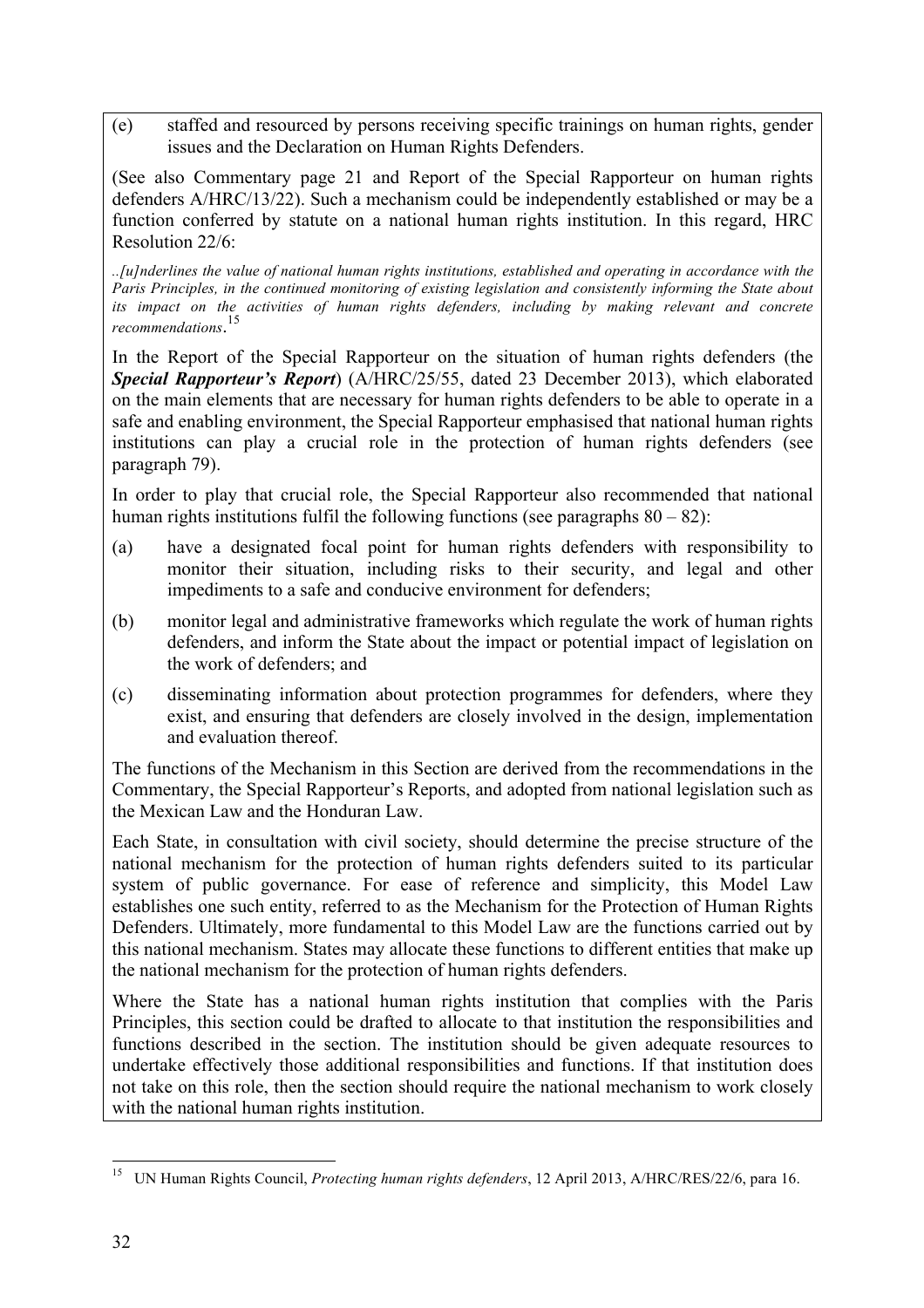(e) staffed and resourced by persons receiving specific trainings on human rights, gender issues and the Declaration on Human Rights Defenders.

(See also Commentary page 21 and Report of the Special Rapporteur on human rights defenders A/HRC/13/22). Such a mechanism could be independently established or may be a function conferred by statute on a national human rights institution. In this regard, HRC Resolution 22/6:

*..[u]nderlines the value of national human rights institutions, established and operating in accordance with the Paris Principles, in the continued monitoring of existing legislation and consistently informing the State about its impact on the activities of human rights defenders, including by making relevant and concrete recommendations*. 15

In the Report of the Special Rapporteur on the situation of human rights defenders (the *Special Rapporteur's Report*) (A/HRC/25/55, dated 23 December 2013), which elaborated on the main elements that are necessary for human rights defenders to be able to operate in a safe and enabling environment, the Special Rapporteur emphasised that national human rights institutions can play a crucial role in the protection of human rights defenders (see paragraph 79).

In order to play that crucial role, the Special Rapporteur also recommended that national human rights institutions fulfil the following functions (see paragraphs  $80 - 82$ ):

- (a) have a designated focal point for human rights defenders with responsibility to monitor their situation, including risks to their security, and legal and other impediments to a safe and conducive environment for defenders;
- (b) monitor legal and administrative frameworks which regulate the work of human rights defenders, and inform the State about the impact or potential impact of legislation on the work of defenders; and
- (c) disseminating information about protection programmes for defenders, where they exist, and ensuring that defenders are closely involved in the design, implementation and evaluation thereof.

The functions of the Mechanism in this Section are derived from the recommendations in the Commentary, the Special Rapporteur's Reports, and adopted from national legislation such as the Mexican Law and the Honduran Law.

Each State, in consultation with civil society, should determine the precise structure of the national mechanism for the protection of human rights defenders suited to its particular system of public governance. For ease of reference and simplicity, this Model Law establishes one such entity, referred to as the Mechanism for the Protection of Human Rights Defenders. Ultimately, more fundamental to this Model Law are the functions carried out by this national mechanism. States may allocate these functions to different entities that make up the national mechanism for the protection of human rights defenders.

Where the State has a national human rights institution that complies with the Paris Principles, this section could be drafted to allocate to that institution the responsibilities and functions described in the section. The institution should be given adequate resources to undertake effectively those additional responsibilities and functions. If that institution does not take on this role, then the section should require the national mechanism to work closely with the national human rights institution.

 <sup>15</sup> UN Human Rights Council, *Protecting human rights defenders*, 12 April 2013, A/HRC/RES/22/6, para 16.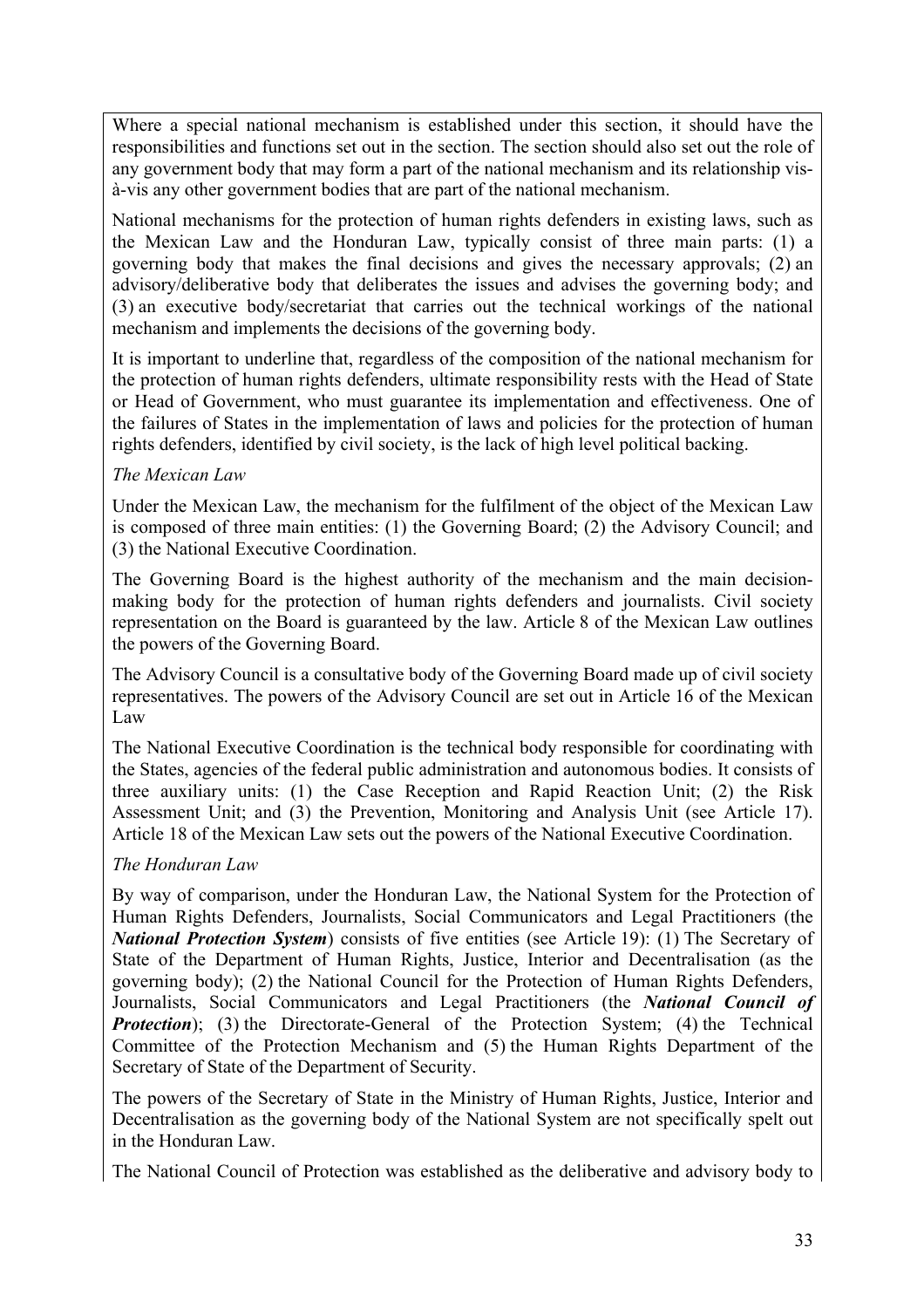Where a special national mechanism is established under this section, it should have the responsibilities and functions set out in the section. The section should also set out the role of any government body that may form a part of the national mechanism and its relationship visà-vis any other government bodies that are part of the national mechanism.

National mechanisms for the protection of human rights defenders in existing laws, such as the Mexican Law and the Honduran Law, typically consist of three main parts: (1) a governing body that makes the final decisions and gives the necessary approvals; (2) an advisory/deliberative body that deliberates the issues and advises the governing body; and (3) an executive body/secretariat that carries out the technical workings of the national mechanism and implements the decisions of the governing body.

It is important to underline that, regardless of the composition of the national mechanism for the protection of human rights defenders, ultimate responsibility rests with the Head of State or Head of Government, who must guarantee its implementation and effectiveness. One of the failures of States in the implementation of laws and policies for the protection of human rights defenders, identified by civil society, is the lack of high level political backing.

#### *The Mexican Law*

Under the Mexican Law, the mechanism for the fulfilment of the object of the Mexican Law is composed of three main entities: (1) the Governing Board; (2) the Advisory Council; and (3) the National Executive Coordination.

The Governing Board is the highest authority of the mechanism and the main decisionmaking body for the protection of human rights defenders and journalists. Civil society representation on the Board is guaranteed by the law. Article 8 of the Mexican Law outlines the powers of the Governing Board.

The Advisory Council is a consultative body of the Governing Board made up of civil society representatives. The powers of the Advisory Council are set out in Article 16 of the Mexican Law

The National Executive Coordination is the technical body responsible for coordinating with the States, agencies of the federal public administration and autonomous bodies. It consists of three auxiliary units: (1) the Case Reception and Rapid Reaction Unit; (2) the Risk Assessment Unit; and (3) the Prevention, Monitoring and Analysis Unit (see Article 17). Article 18 of the Mexican Law sets out the powers of the National Executive Coordination.

#### *The Honduran Law*

By way of comparison, under the Honduran Law, the National System for the Protection of Human Rights Defenders, Journalists, Social Communicators and Legal Practitioners (the *National Protection System*) consists of five entities (see Article 19): (1) The Secretary of State of the Department of Human Rights, Justice, Interior and Decentralisation (as the governing body); (2) the National Council for the Protection of Human Rights Defenders, Journalists, Social Communicators and Legal Practitioners (the *National Council of Protection*); (3) the Directorate-General of the Protection System; (4) the Technical Committee of the Protection Mechanism and (5) the Human Rights Department of the Secretary of State of the Department of Security.

The powers of the Secretary of State in the Ministry of Human Rights, Justice, Interior and Decentralisation as the governing body of the National System are not specifically spelt out in the Honduran Law.

The National Council of Protection was established as the deliberative and advisory body to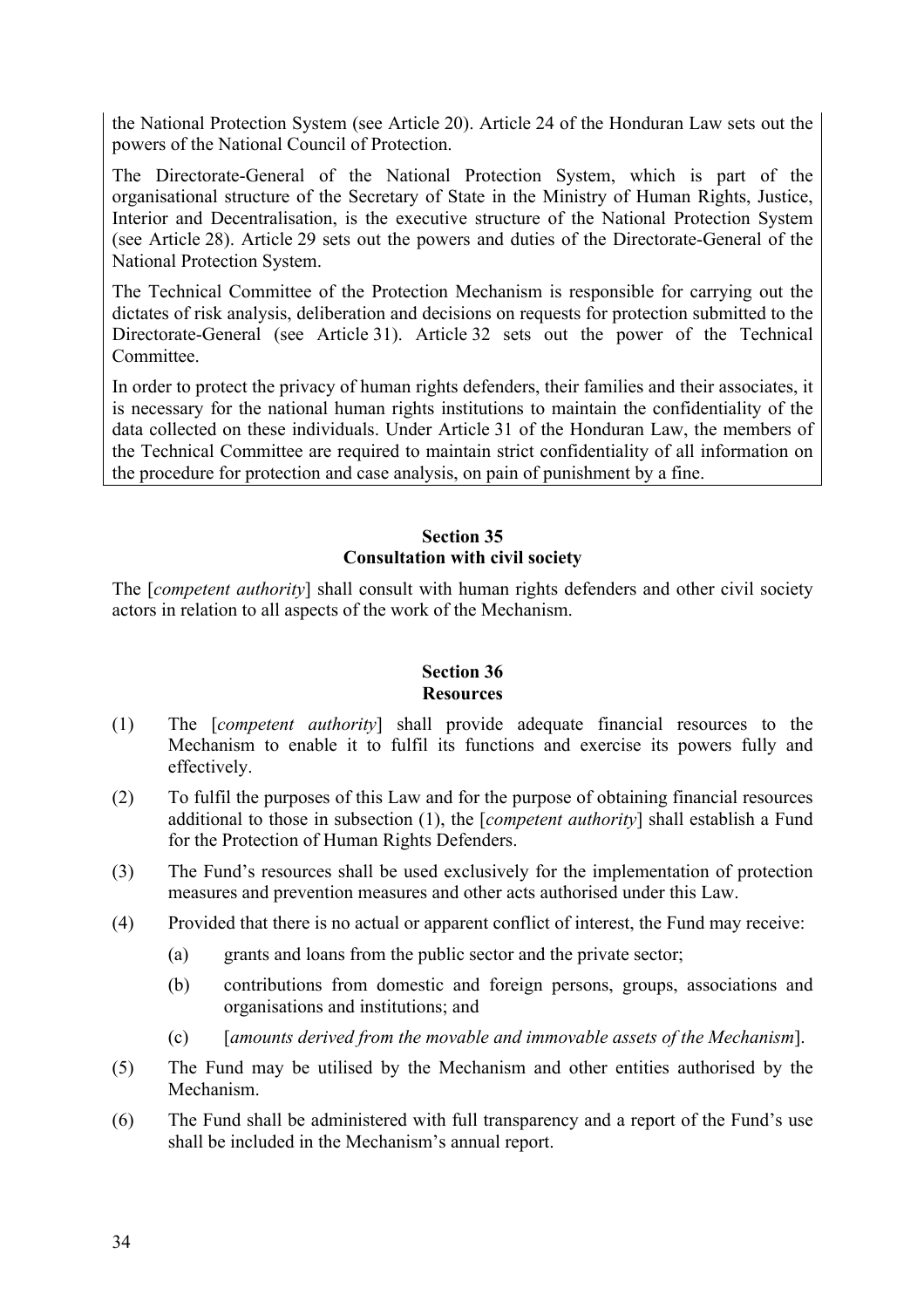the National Protection System (see Article 20). Article 24 of the Honduran Law sets out the powers of the National Council of Protection.

The Directorate-General of the National Protection System, which is part of the organisational structure of the Secretary of State in the Ministry of Human Rights, Justice, Interior and Decentralisation, is the executive structure of the National Protection System (see Article 28). Article 29 sets out the powers and duties of the Directorate-General of the National Protection System.

The Technical Committee of the Protection Mechanism is responsible for carrying out the dictates of risk analysis, deliberation and decisions on requests for protection submitted to the Directorate-General (see Article 31). Article 32 sets out the power of the Technical Committee.

In order to protect the privacy of human rights defenders, their families and their associates, it is necessary for the national human rights institutions to maintain the confidentiality of the data collected on these individuals. Under Article 31 of the Honduran Law, the members of the Technical Committee are required to maintain strict confidentiality of all information on the procedure for protection and case analysis, on pain of punishment by a fine.

#### **Section 35 Consultation with civil society**

The [*competent authority*] shall consult with human rights defenders and other civil society actors in relation to all aspects of the work of the Mechanism.

#### **Section 36 Resources**

- (1) The [*competent authority*] shall provide adequate financial resources to the Mechanism to enable it to fulfil its functions and exercise its powers fully and effectively.
- (2) To fulfil the purposes of this Law and for the purpose of obtaining financial resources additional to those in subsection (1), the [*competent authority*] shall establish a Fund for the Protection of Human Rights Defenders.
- (3) The Fund's resources shall be used exclusively for the implementation of protection measures and prevention measures and other acts authorised under this Law.
- (4) Provided that there is no actual or apparent conflict of interest, the Fund may receive:
	- (a) grants and loans from the public sector and the private sector;
	- (b) contributions from domestic and foreign persons, groups, associations and organisations and institutions; and
	- (c) [*amounts derived from the movable and immovable assets of the Mechanism*].
- (5) The Fund may be utilised by the Mechanism and other entities authorised by the Mechanism.
- (6) The Fund shall be administered with full transparency and a report of the Fund's use shall be included in the Mechanism's annual report.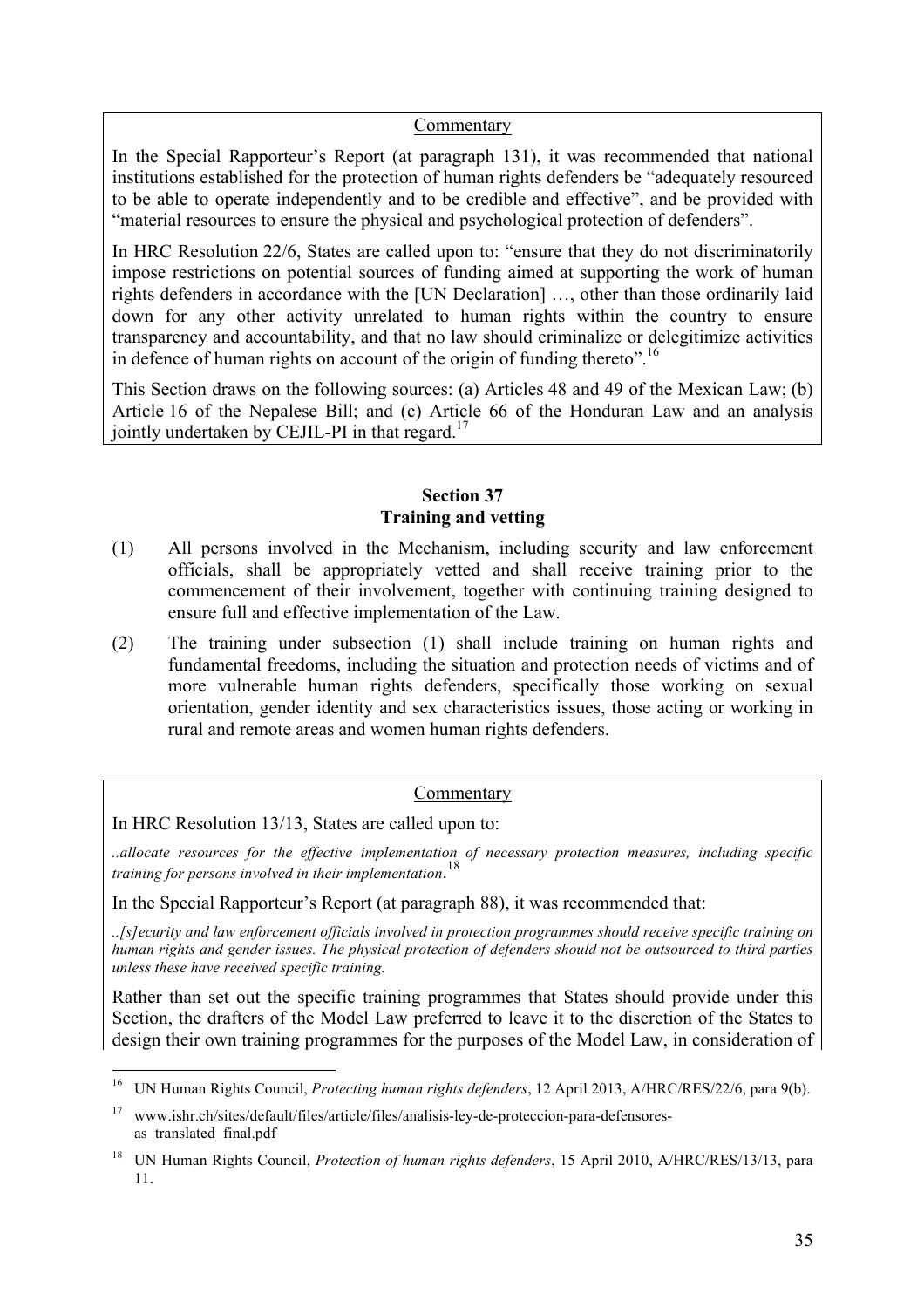#### Commentary

In the Special Rapporteur's Report (at paragraph 131), it was recommended that national institutions established for the protection of human rights defenders be "adequately resourced to be able to operate independently and to be credible and effective", and be provided with "material resources to ensure the physical and psychological protection of defenders".

In HRC Resolution 22/6, States are called upon to: "ensure that they do not discriminatorily impose restrictions on potential sources of funding aimed at supporting the work of human rights defenders in accordance with the [UN Declaration] …, other than those ordinarily laid down for any other activity unrelated to human rights within the country to ensure transparency and accountability, and that no law should criminalize or delegitimize activities in defence of human rights on account of the origin of funding thereto".<sup>16</sup>

This Section draws on the following sources: (a) Articles 48 and 49 of the Mexican Law; (b) Article 16 of the Nepalese Bill; and (c) Article 66 of the Honduran Law and an analysis jointly undertaken by CEJIL-PI in that regard.<sup>17</sup>

#### **Section 37 Training and vetting**

- (1) All persons involved in the Mechanism, including security and law enforcement officials, shall be appropriately vetted and shall receive training prior to the commencement of their involvement, together with continuing training designed to ensure full and effective implementation of the Law.
- (2) The training under subsection (1) shall include training on human rights and fundamental freedoms, including the situation and protection needs of victims and of more vulnerable human rights defenders, specifically those working on sexual orientation, gender identity and sex characteristics issues, those acting or working in rural and remote areas and women human rights defenders.

#### **Commentary**

In HRC Resolution 13/13, States are called upon to:

*..allocate resources for the effective implementation of necessary protection measures, including specific training for persons involved in their implementation*. 18

In the Special Rapporteur's Report (at paragraph 88), it was recommended that:

*..[s]ecurity and law enforcement officials involved in protection programmes should receive specific training on human rights and gender issues. The physical protection of defenders should not be outsourced to third parties unless these have received specific training.* 

Rather than set out the specific training programmes that States should provide under this Section, the drafters of the Model Law preferred to leave it to the discretion of the States to design their own training programmes for the purposes of the Model Law, in consideration of

 <sup>16</sup> UN Human Rights Council, *Protecting human rights defenders*, 12 April 2013, A/HRC/RES/22/6, para 9(b).

<sup>17</sup> www.ishr.ch/sites/default/files/article/files/analisis-ley-de-proteccion-para-defensoresas translated final.pdf

<sup>18</sup> UN Human Rights Council, *Protection of human rights defenders*, 15 April 2010, A/HRC/RES/13/13, para 11.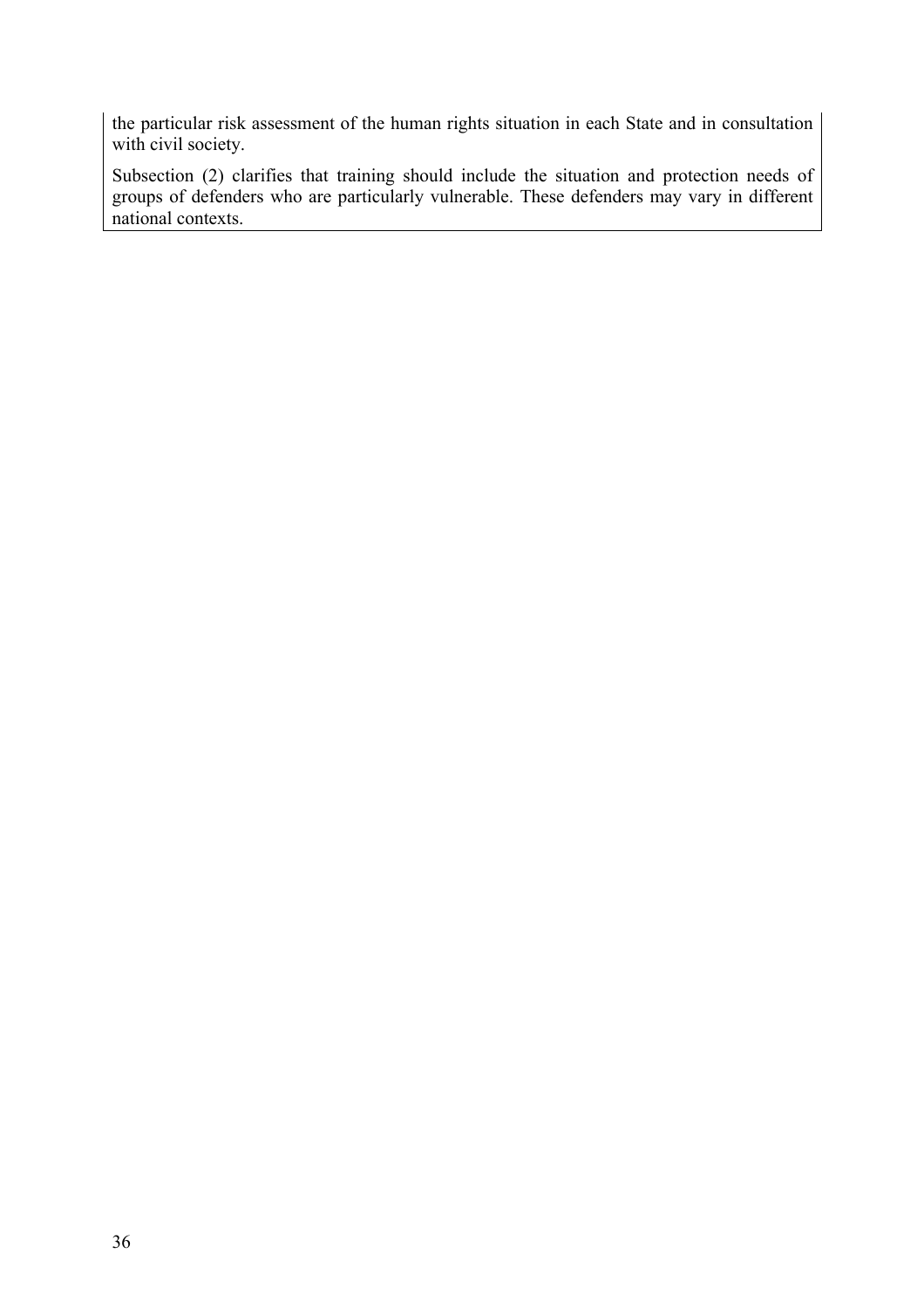the particular risk assessment of the human rights situation in each State and in consultation with civil society.

Subsection (2) clarifies that training should include the situation and protection needs of groups of defenders who are particularly vulnerable. These defenders may vary in different national contexts.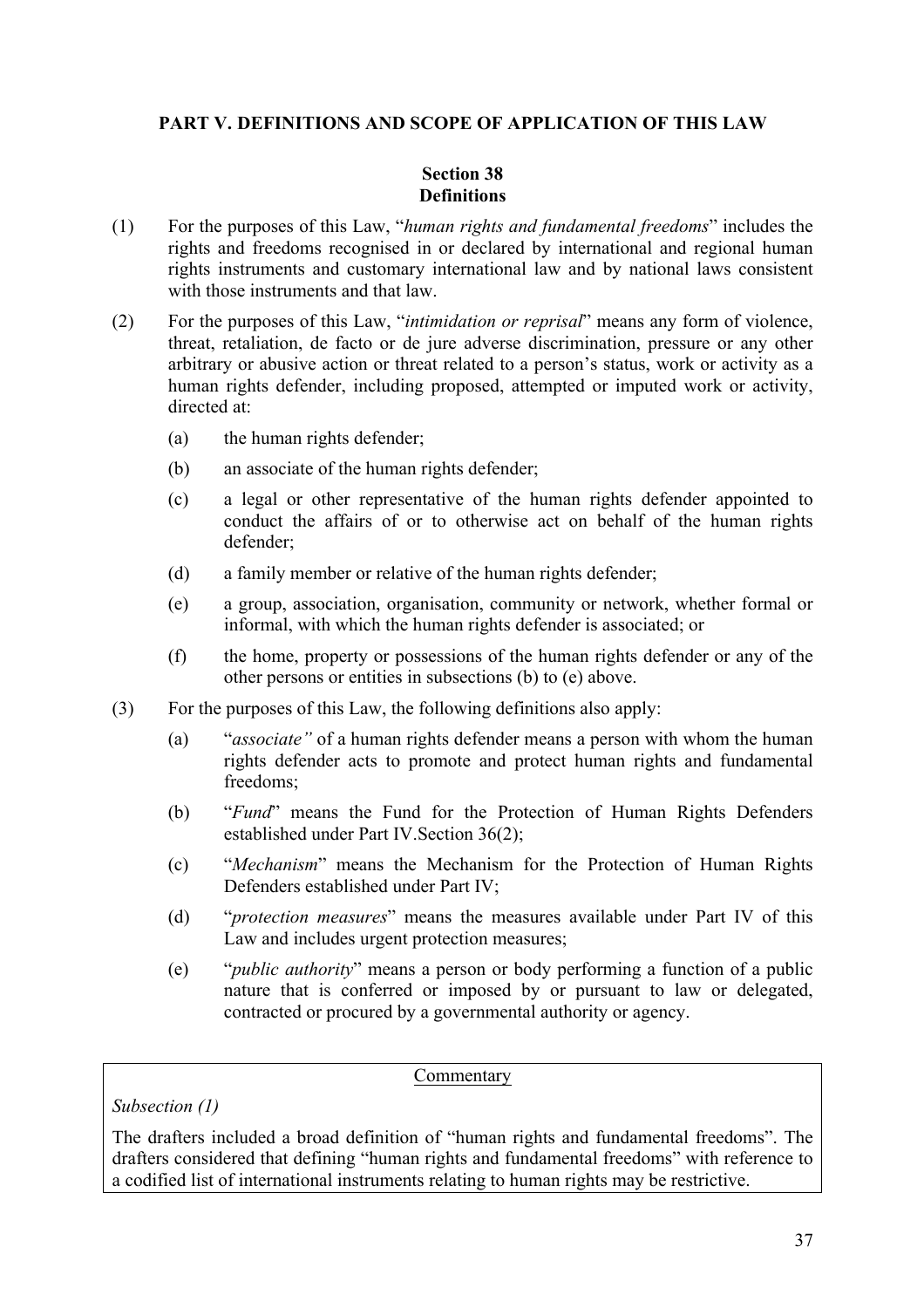#### **PART V. DEFINITIONS AND SCOPE OF APPLICATION OF THIS LAW**

#### **Section 38 Definitions**

- (1) For the purposes of this Law, "*human rights and fundamental freedoms*" includes the rights and freedoms recognised in or declared by international and regional human rights instruments and customary international law and by national laws consistent with those instruments and that law.
- (2) For the purposes of this Law, "*intimidation or reprisal*" means any form of violence, threat, retaliation, de facto or de jure adverse discrimination, pressure or any other arbitrary or abusive action or threat related to a person's status, work or activity as a human rights defender, including proposed, attempted or imputed work or activity, directed at:
	- (a) the human rights defender;
	- (b) an associate of the human rights defender;
	- (c) a legal or other representative of the human rights defender appointed to conduct the affairs of or to otherwise act on behalf of the human rights defender;
	- (d) a family member or relative of the human rights defender;
	- (e) a group, association, organisation, community or network, whether formal or informal, with which the human rights defender is associated; or
	- (f) the home, property or possessions of the human rights defender or any of the other persons or entities in subsections (b) to (e) above.
- (3) For the purposes of this Law, the following definitions also apply:
	- (a) "*associate"* of a human rights defender means a person with whom the human rights defender acts to promote and protect human rights and fundamental freedoms;
	- (b) "*Fund*" means the Fund for the Protection of Human Rights Defenders established under Part IV.Section 36(2);
	- (c) "*Mechanism*" means the Mechanism for the Protection of Human Rights Defenders established under Part IV;
	- (d) "*protection measures*" means the measures available under Part IV of this Law and includes urgent protection measures;
	- (e) "*public authority*" means a person or body performing a function of a public nature that is conferred or imposed by or pursuant to law or delegated, contracted or procured by a governmental authority or agency.

#### Commentary

*Subsection (1)*

The drafters included a broad definition of "human rights and fundamental freedoms". The drafters considered that defining "human rights and fundamental freedoms" with reference to a codified list of international instruments relating to human rights may be restrictive.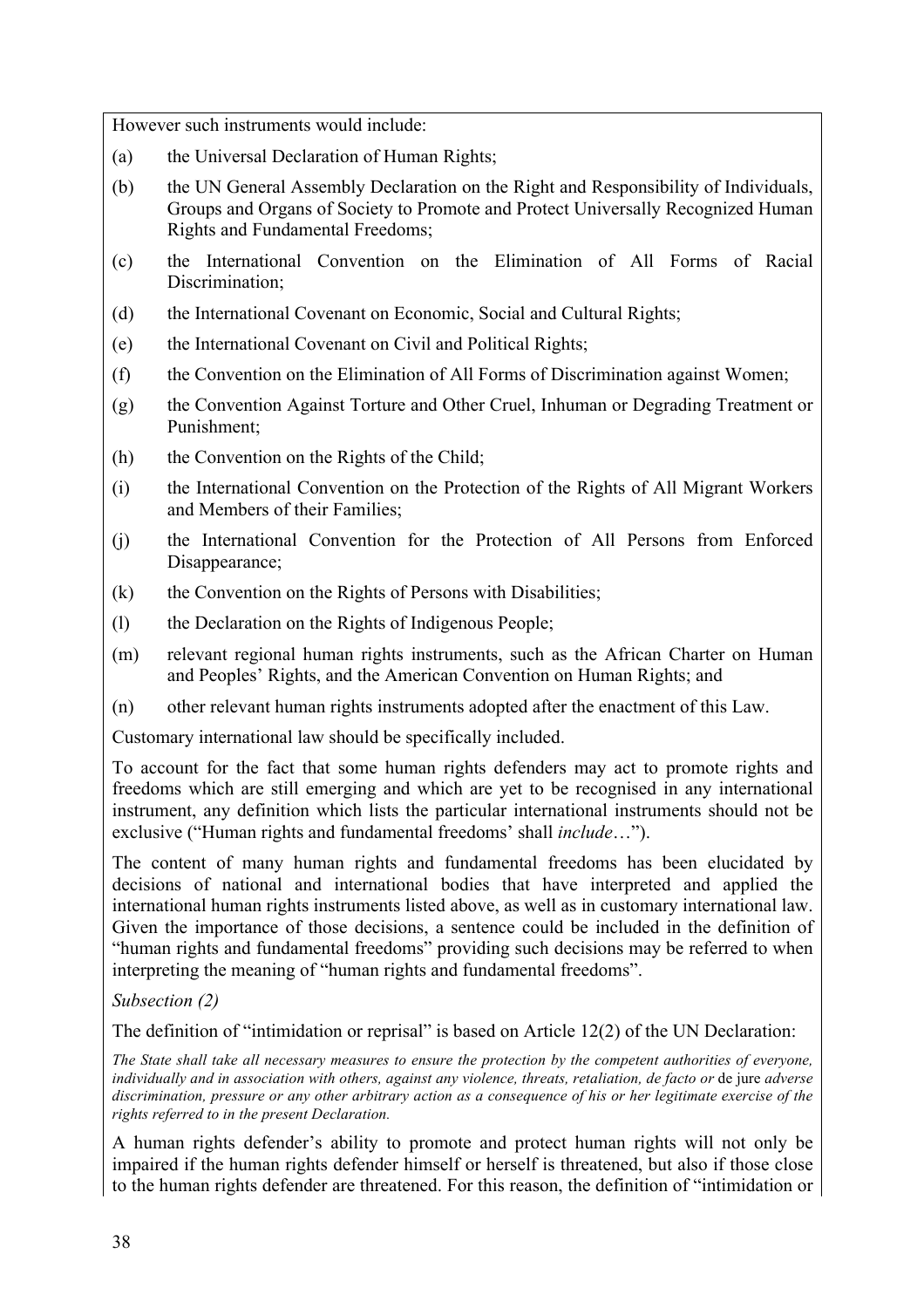However such instruments would include:

- (a) the Universal Declaration of Human Rights;
- (b) the UN General Assembly Declaration on the Right and Responsibility of Individuals, Groups and Organs of Society to Promote and Protect Universally Recognized Human Rights and Fundamental Freedoms;
- (c) the International Convention on the Elimination of All Forms of Racial Discrimination<sup>.</sup>
- (d) the International Covenant on Economic, Social and Cultural Rights;
- (e) the International Covenant on Civil and Political Rights;
- (f) the Convention on the Elimination of All Forms of Discrimination against Women;
- (g) the Convention Against Torture and Other Cruel, Inhuman or Degrading Treatment or Punishment;
- (h) the Convention on the Rights of the Child;
- (i) the International Convention on the Protection of the Rights of All Migrant Workers and Members of their Families;
- (j) the International Convention for the Protection of All Persons from Enforced Disappearance;
- (k) the Convention on the Rights of Persons with Disabilities;
- (l) the Declaration on the Rights of Indigenous People;
- (m) relevant regional human rights instruments, such as the African Charter on Human and Peoples' Rights, and the American Convention on Human Rights; and
- (n) other relevant human rights instruments adopted after the enactment of this Law.

Customary international law should be specifically included.

To account for the fact that some human rights defenders may act to promote rights and freedoms which are still emerging and which are yet to be recognised in any international instrument, any definition which lists the particular international instruments should not be exclusive ("Human rights and fundamental freedoms' shall *include*…").

The content of many human rights and fundamental freedoms has been elucidated by decisions of national and international bodies that have interpreted and applied the international human rights instruments listed above, as well as in customary international law. Given the importance of those decisions, a sentence could be included in the definition of "human rights and fundamental freedoms" providing such decisions may be referred to when interpreting the meaning of "human rights and fundamental freedoms".

*Subsection (2)*

The definition of "intimidation or reprisal" is based on Article 12(2) of the UN Declaration:

*The State shall take all necessary measures to ensure the protection by the competent authorities of everyone, individually and in association with others, against any violence, threats, retaliation, de facto or* de jure *adverse discrimination, pressure or any other arbitrary action as a consequence of his or her legitimate exercise of the rights referred to in the present Declaration.*

A human rights defender's ability to promote and protect human rights will not only be impaired if the human rights defender himself or herself is threatened, but also if those close to the human rights defender are threatened. For this reason, the definition of "intimidation or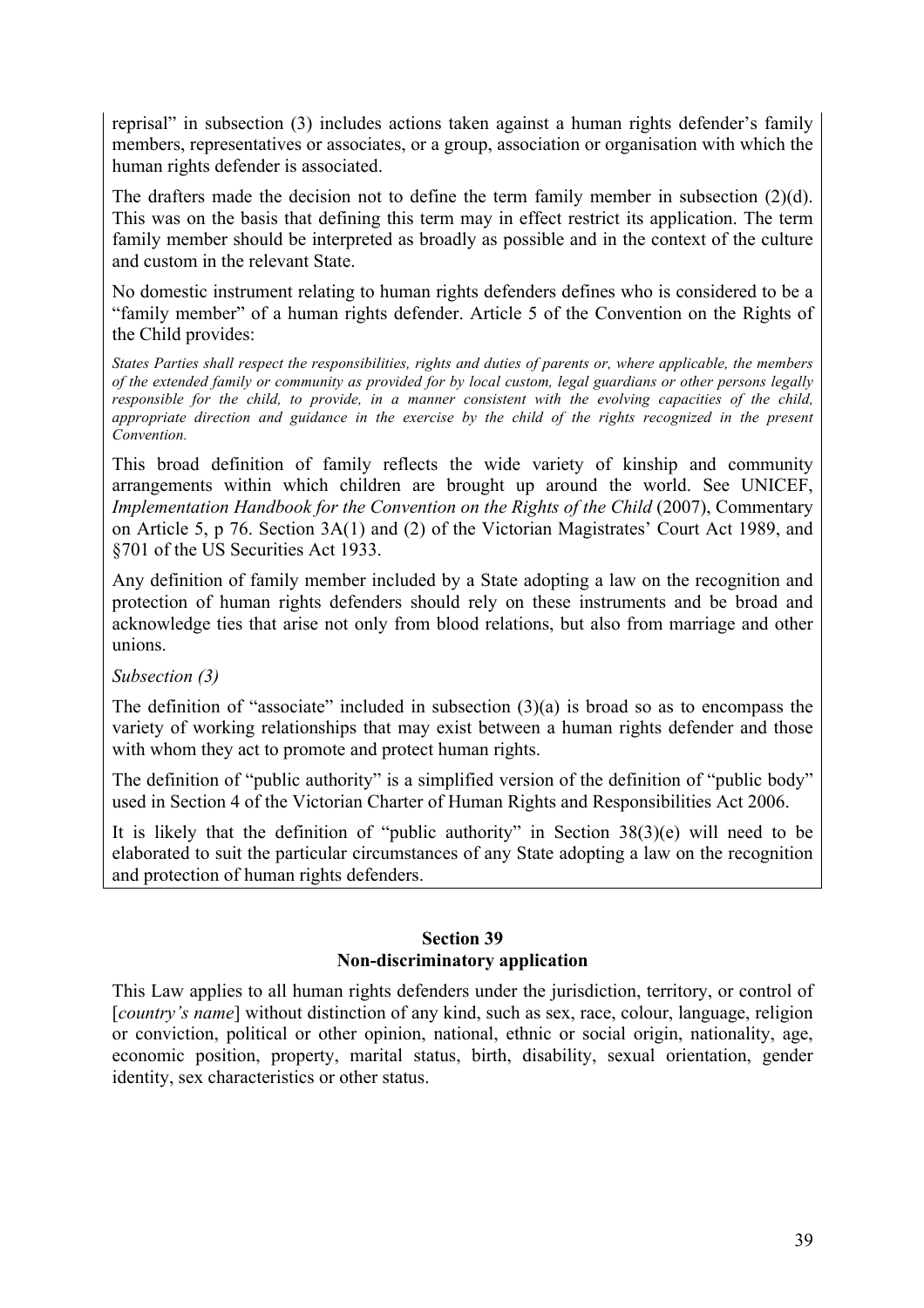reprisal" in subsection (3) includes actions taken against a human rights defender's family members, representatives or associates, or a group, association or organisation with which the human rights defender is associated.

The drafters made the decision not to define the term family member in subsection  $(2)(d)$ . This was on the basis that defining this term may in effect restrict its application. The term family member should be interpreted as broadly as possible and in the context of the culture and custom in the relevant State.

No domestic instrument relating to human rights defenders defines who is considered to be a "family member" of a human rights defender. Article 5 of the Convention on the Rights of the Child provides:

*States Parties shall respect the responsibilities, rights and duties of parents or, where applicable, the members of the extended family or community as provided for by local custom, legal guardians or other persons legally responsible for the child, to provide, in a manner consistent with the evolving capacities of the child, appropriate direction and guidance in the exercise by the child of the rights recognized in the present Convention.* 

This broad definition of family reflects the wide variety of kinship and community arrangements within which children are brought up around the world. See UNICEF, *Implementation Handbook for the Convention on the Rights of the Child* (2007), Commentary on Article 5, p 76. Section 3A(1) and (2) of the Victorian Magistrates' Court Act 1989, and §701 of the US Securities Act 1933.

Any definition of family member included by a State adopting a law on the recognition and protection of human rights defenders should rely on these instruments and be broad and acknowledge ties that arise not only from blood relations, but also from marriage and other unions.

*Subsection (3)*

The definition of "associate" included in subsection  $(3)(a)$  is broad so as to encompass the variety of working relationships that may exist between a human rights defender and those with whom they act to promote and protect human rights.

The definition of "public authority" is a simplified version of the definition of "public body" used in Section 4 of the Victorian Charter of Human Rights and Responsibilities Act 2006.

It is likely that the definition of "public authority" in Section 38(3)(e) will need to be elaborated to suit the particular circumstances of any State adopting a law on the recognition and protection of human rights defenders.

#### **Section 39 Non-discriminatory application**

This Law applies to all human rights defenders under the jurisdiction, territory, or control of [*country's name*] without distinction of any kind, such as sex, race, colour, language, religion or conviction, political or other opinion, national, ethnic or social origin, nationality, age, economic position, property, marital status, birth, disability, sexual orientation, gender identity, sex characteristics or other status.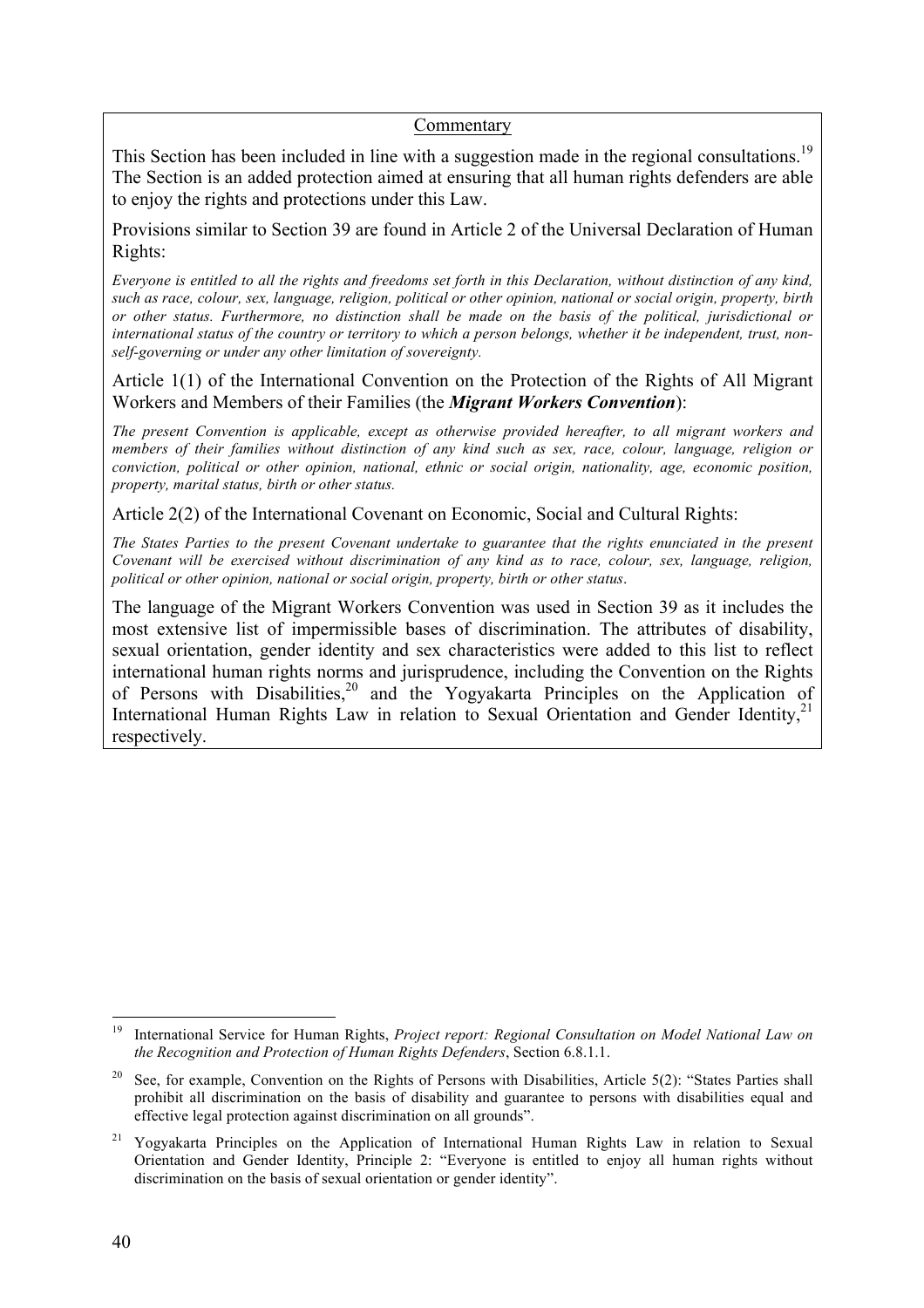#### Commentary

This Section has been included in line with a suggestion made in the regional consultations.<sup>19</sup> The Section is an added protection aimed at ensuring that all human rights defenders are able to enjoy the rights and protections under this Law.

Provisions similar to Section 39 are found in Article 2 of the Universal Declaration of Human Rights:

*Everyone is entitled to all the rights and freedoms set forth in this Declaration, without distinction of any kind, such as race, colour, sex, language, religion, political or other opinion, national or social origin, property, birth or other status. Furthermore, no distinction shall be made on the basis of the political, jurisdictional or international status of the country or territory to which a person belongs, whether it be independent, trust, nonself-governing or under any other limitation of sovereignty.*

Article 1(1) of the International Convention on the Protection of the Rights of All Migrant Workers and Members of their Families (the *Migrant Workers Convention*):

*The present Convention is applicable, except as otherwise provided hereafter, to all migrant workers and members of their families without distinction of any kind such as sex, race, colour, language, religion or conviction, political or other opinion, national, ethnic or social origin, nationality, age, economic position, property, marital status, birth or other status.*

Article 2(2) of the International Covenant on Economic, Social and Cultural Rights:

*The States Parties to the present Covenant undertake to guarantee that the rights enunciated in the present Covenant will be exercised without discrimination of any kind as to race, colour, sex, language, religion, political or other opinion, national or social origin, property, birth or other status*.

The language of the Migrant Workers Convention was used in Section 39 as it includes the most extensive list of impermissible bases of discrimination. The attributes of disability, sexual orientation, gender identity and sex characteristics were added to this list to reflect international human rights norms and jurisprudence, including the Convention on the Rights of Persons with Disabilities,<sup>20</sup> and the Yogyakarta Principles on the Application of International Human Rights Law in relation to Sexual Orientation and Gender Identity, $2<sup>1</sup>$ respectively.

 <sup>19</sup> International Service for Human Rights, *Project report: Regional Consultation on Model National Law on the Recognition and Protection of Human Rights Defenders*, Section 6.8.1.1.

<sup>&</sup>lt;sup>20</sup> See, for example, Convention on the Rights of Persons with Disabilities, Article 5(2): "States Parties shall prohibit all discrimination on the basis of disability and guarantee to persons with disabilities equal and effective legal protection against discrimination on all grounds".

<sup>&</sup>lt;sup>21</sup> Yogyakarta Principles on the Application of International Human Rights Law in relation to Sexual Orientation and Gender Identity, Principle 2: "Everyone is entitled to enjoy all human rights without discrimination on the basis of sexual orientation or gender identity".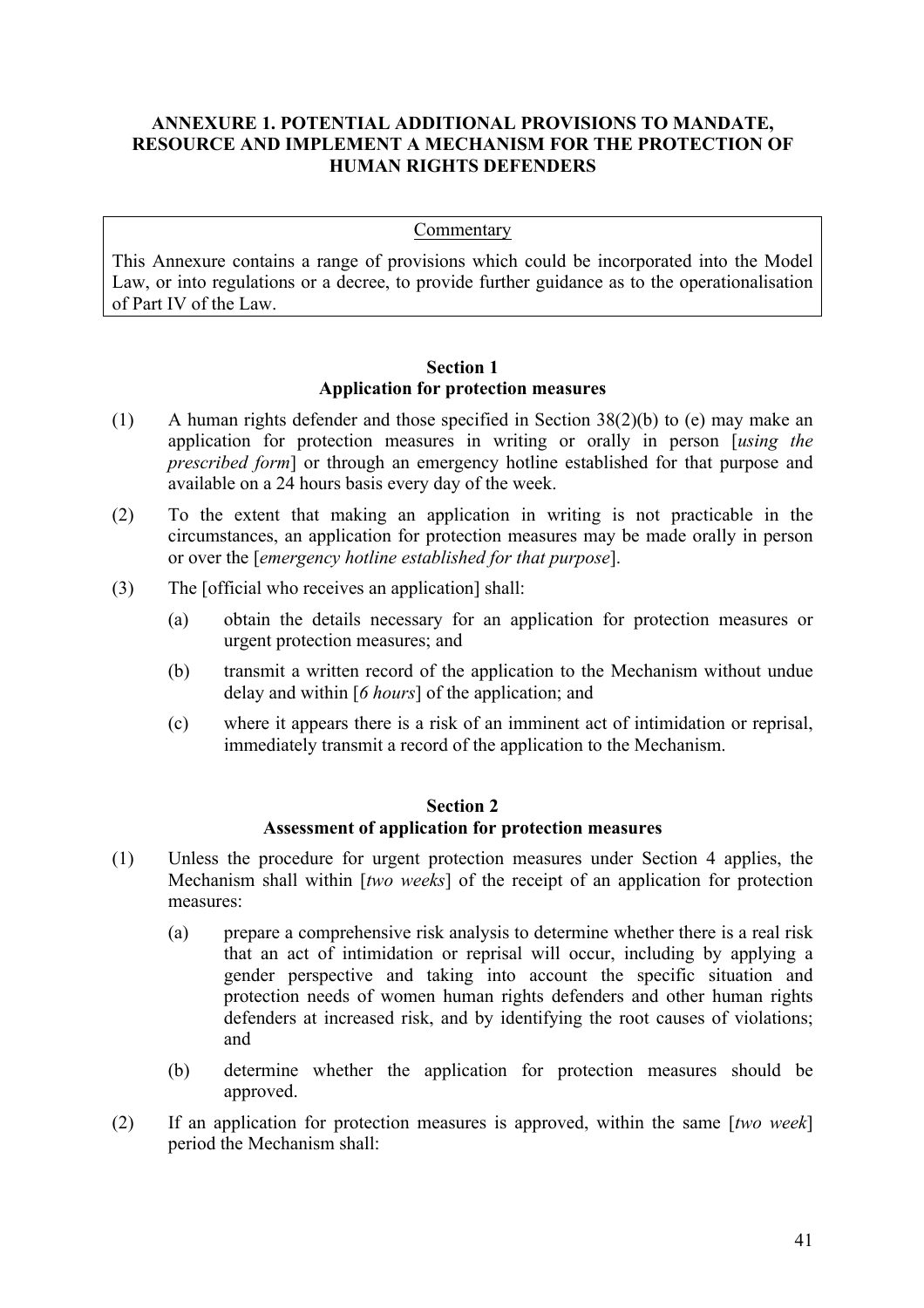#### **ANNEXURE 1. POTENTIAL ADDITIONAL PROVISIONS TO MANDATE, RESOURCE AND IMPLEMENT A MECHANISM FOR THE PROTECTION OF HUMAN RIGHTS DEFENDERS**

#### **Commentary**

This Annexure contains a range of provisions which could be incorporated into the Model Law, or into regulations or a decree, to provide further guidance as to the operationalisation of Part IV of the Law.

#### **Section 1 Application for protection measures**

- (1) A human rights defender and those specified in Section 38(2)(b) to (e) may make an application for protection measures in writing or orally in person [*using the prescribed form*] or through an emergency hotline established for that purpose and available on a 24 hours basis every day of the week.
- (2) To the extent that making an application in writing is not practicable in the circumstances, an application for protection measures may be made orally in person or over the [*emergency hotline established for that purpose*].
- (3) The [official who receives an application] shall:
	- (a) obtain the details necessary for an application for protection measures or urgent protection measures; and
	- (b) transmit a written record of the application to the Mechanism without undue delay and within [*6 hours*] of the application; and
	- (c) where it appears there is a risk of an imminent act of intimidation or reprisal, immediately transmit a record of the application to the Mechanism.

#### **Section 2 Assessment of application for protection measures**

- (1) Unless the procedure for urgent protection measures under Section 4 applies, the Mechanism shall within [*two weeks*] of the receipt of an application for protection measures:
	- (a) prepare a comprehensive risk analysis to determine whether there is a real risk that an act of intimidation or reprisal will occur, including by applying a gender perspective and taking into account the specific situation and protection needs of women human rights defenders and other human rights defenders at increased risk, and by identifying the root causes of violations; and
	- (b) determine whether the application for protection measures should be approved.
- (2) If an application for protection measures is approved, within the same [*two week*] period the Mechanism shall: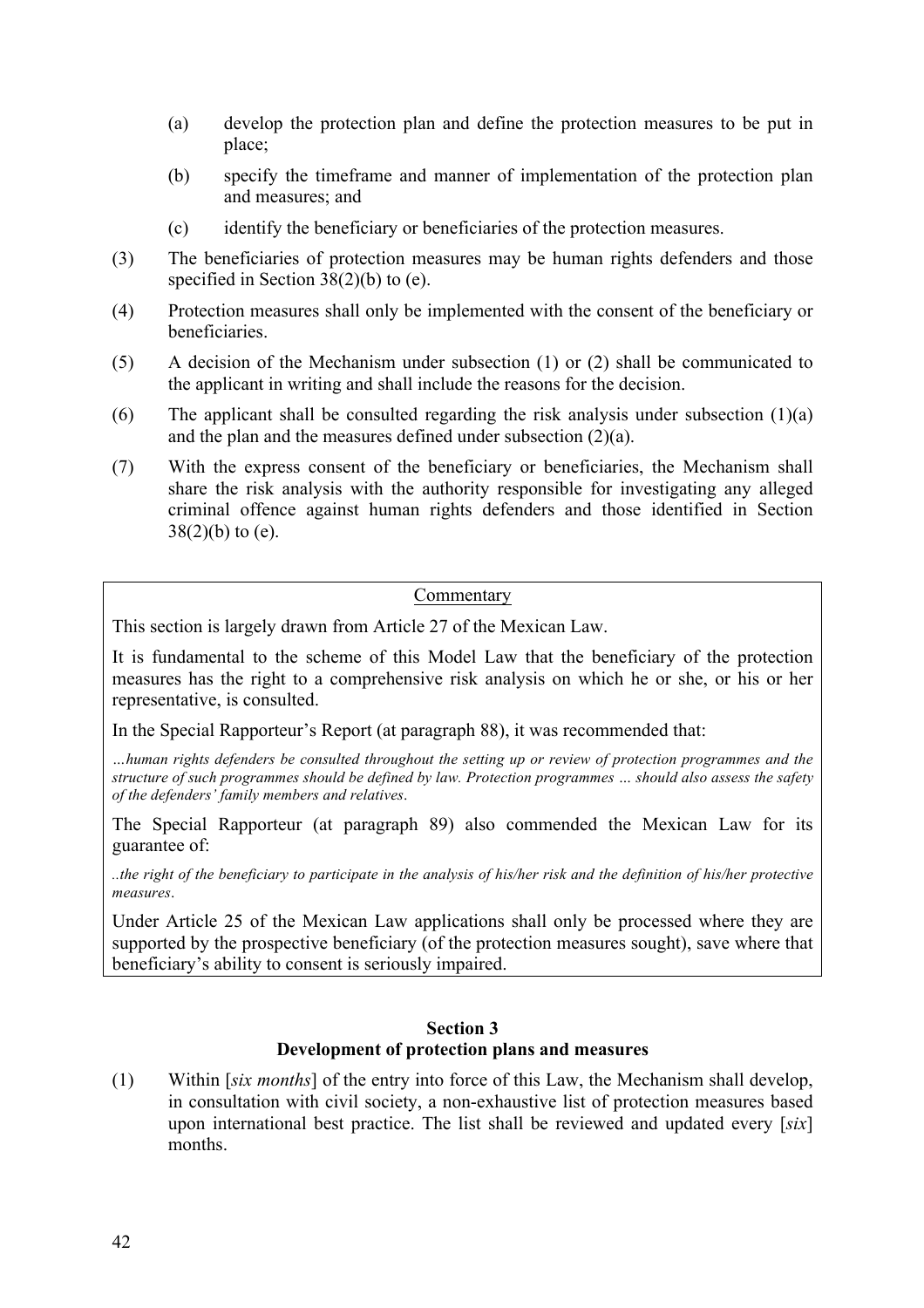- (a) develop the protection plan and define the protection measures to be put in place;
- (b) specify the timeframe and manner of implementation of the protection plan and measures; and
- (c) identify the beneficiary or beneficiaries of the protection measures.
- (3) The beneficiaries of protection measures may be human rights defenders and those specified in Section 38(2)(b) to (e).
- (4) Protection measures shall only be implemented with the consent of the beneficiary or beneficiaries.
- (5) A decision of the Mechanism under subsection (1) or (2) shall be communicated to the applicant in writing and shall include the reasons for the decision.
- (6) The applicant shall be consulted regarding the risk analysis under subsection  $(1)(a)$ and the plan and the measures defined under subsection (2)(a).
- (7) With the express consent of the beneficiary or beneficiaries, the Mechanism shall share the risk analysis with the authority responsible for investigating any alleged criminal offence against human rights defenders and those identified in Section  $38(2)(b)$  to (e).

#### Commentary

This section is largely drawn from Article 27 of the Mexican Law.

It is fundamental to the scheme of this Model Law that the beneficiary of the protection measures has the right to a comprehensive risk analysis on which he or she, or his or her representative, is consulted.

In the Special Rapporteur's Report (at paragraph 88), it was recommended that:

*…human rights defenders be consulted throughout the setting up or review of protection programmes and the structure of such programmes should be defined by law. Protection programmes … should also assess the safety of the defenders' family members and relatives*.

The Special Rapporteur (at paragraph 89) also commended the Mexican Law for its guarantee of:

*..the right of the beneficiary to participate in the analysis of his/her risk and the definition of his/her protective measures*.

Under Article 25 of the Mexican Law applications shall only be processed where they are supported by the prospective beneficiary (of the protection measures sought), save where that beneficiary's ability to consent is seriously impaired.

#### **Section 3 Development of protection plans and measures**

(1) Within [*six months*] of the entry into force of this Law, the Mechanism shall develop, in consultation with civil society, a non-exhaustive list of protection measures based upon international best practice. The list shall be reviewed and updated every [*six*] months.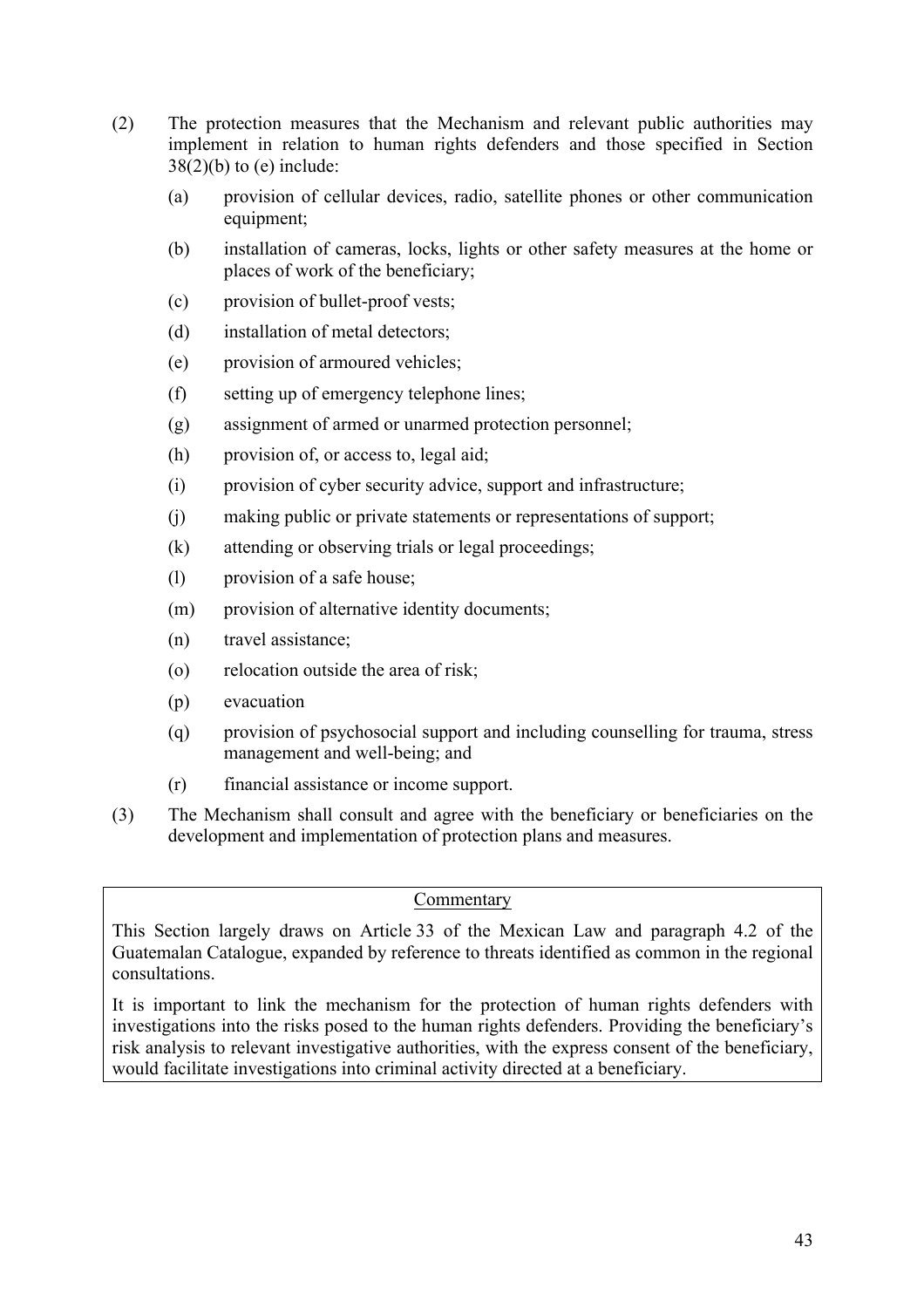- (2) The protection measures that the Mechanism and relevant public authorities may implement in relation to human rights defenders and those specified in Section  $38(2)(b)$  to (e) include:
	- (a) provision of cellular devices, radio, satellite phones or other communication equipment;
	- (b) installation of cameras, locks, lights or other safety measures at the home or places of work of the beneficiary;
	- (c) provision of bullet-proof vests;
	- (d) installation of metal detectors;
	- (e) provision of armoured vehicles;
	- (f) setting up of emergency telephone lines;
	- (g) assignment of armed or unarmed protection personnel;
	- (h) provision of, or access to, legal aid;
	- (i) provision of cyber security advice, support and infrastructure;
	- (j) making public or private statements or representations of support;
	- (k) attending or observing trials or legal proceedings;
	- (l) provision of a safe house;
	- (m) provision of alternative identity documents;
	- (n) travel assistance;
	- (o) relocation outside the area of risk;
	- (p) evacuation
	- (q) provision of psychosocial support and including counselling for trauma, stress management and well-being; and
	- (r) financial assistance or income support.
- (3) The Mechanism shall consult and agree with the beneficiary or beneficiaries on the development and implementation of protection plans and measures.

#### Commentary

This Section largely draws on Article 33 of the Mexican Law and paragraph 4.2 of the Guatemalan Catalogue, expanded by reference to threats identified as common in the regional consultations.

It is important to link the mechanism for the protection of human rights defenders with investigations into the risks posed to the human rights defenders. Providing the beneficiary's risk analysis to relevant investigative authorities, with the express consent of the beneficiary, would facilitate investigations into criminal activity directed at a beneficiary.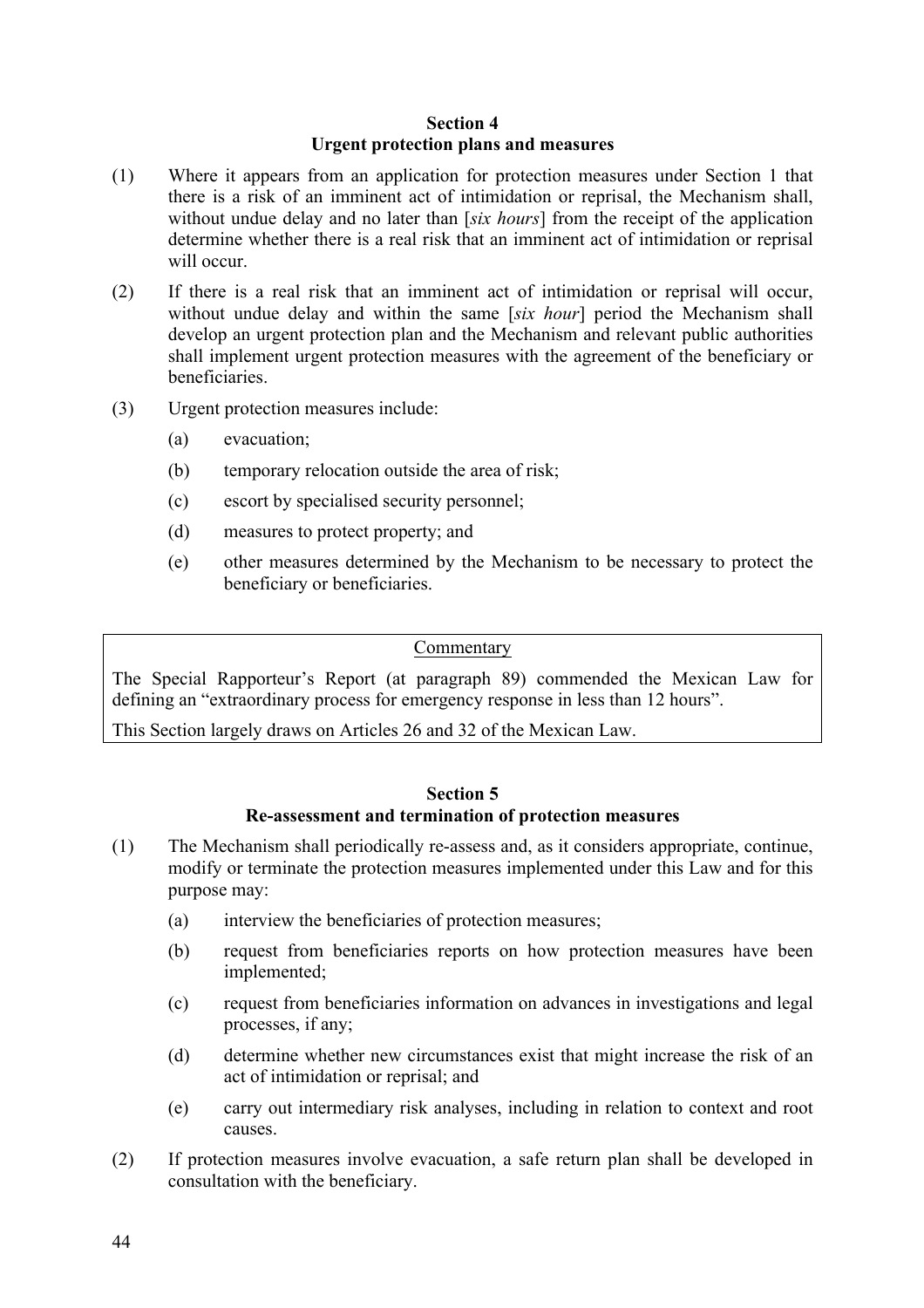#### **Section 4 Urgent protection plans and measures**

- (1) Where it appears from an application for protection measures under Section 1 that there is a risk of an imminent act of intimidation or reprisal, the Mechanism shall, without undue delay and no later than [*six hours*] from the receipt of the application determine whether there is a real risk that an imminent act of intimidation or reprisal will occur.
- (2) If there is a real risk that an imminent act of intimidation or reprisal will occur, without undue delay and within the same [*six hour*] period the Mechanism shall develop an urgent protection plan and the Mechanism and relevant public authorities shall implement urgent protection measures with the agreement of the beneficiary or beneficiaries.
- (3) Urgent protection measures include:
	- (a) evacuation;
	- (b) temporary relocation outside the area of risk;
	- (c) escort by specialised security personnel;
	- (d) measures to protect property; and
	- (e) other measures determined by the Mechanism to be necessary to protect the beneficiary or beneficiaries.

#### Commentary

The Special Rapporteur's Report (at paragraph 89) commended the Mexican Law for defining an "extraordinary process for emergency response in less than 12 hours".

This Section largely draws on Articles 26 and 32 of the Mexican Law.

#### **Section 5 Re-assessment and termination of protection measures**

- (1) The Mechanism shall periodically re-assess and, as it considers appropriate, continue, modify or terminate the protection measures implemented under this Law and for this purpose may:
	- (a) interview the beneficiaries of protection measures;
	- (b) request from beneficiaries reports on how protection measures have been implemented;
	- (c) request from beneficiaries information on advances in investigations and legal processes, if any;
	- (d) determine whether new circumstances exist that might increase the risk of an act of intimidation or reprisal; and
	- (e) carry out intermediary risk analyses, including in relation to context and root causes.
- (2) If protection measures involve evacuation, a safe return plan shall be developed in consultation with the beneficiary.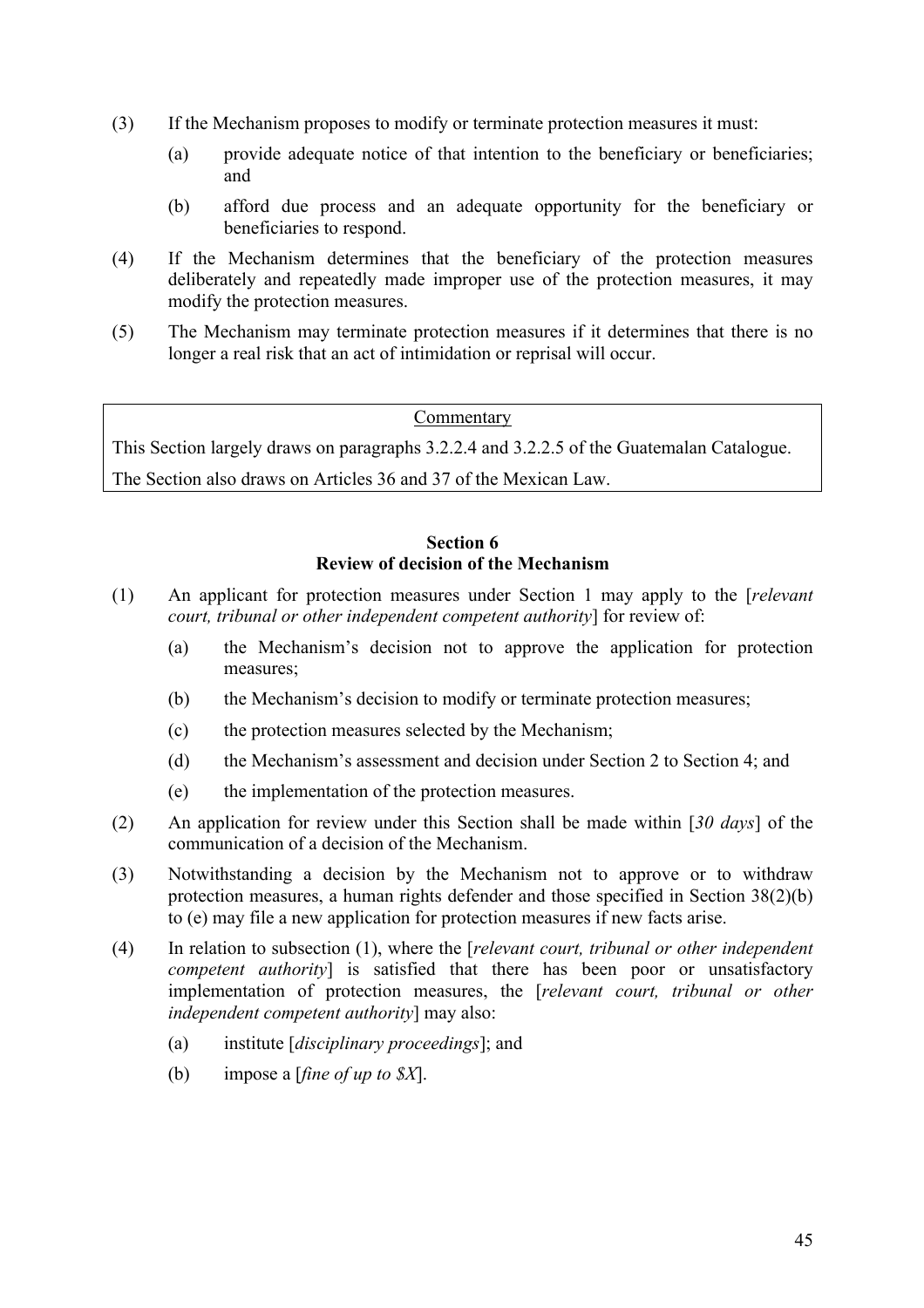- (3) If the Mechanism proposes to modify or terminate protection measures it must:
	- (a) provide adequate notice of that intention to the beneficiary or beneficiaries; and
	- (b) afford due process and an adequate opportunity for the beneficiary or beneficiaries to respond.
- (4) If the Mechanism determines that the beneficiary of the protection measures deliberately and repeatedly made improper use of the protection measures, it may modify the protection measures.
- (5) The Mechanism may terminate protection measures if it determines that there is no longer a real risk that an act of intimidation or reprisal will occur.

#### Commentary

This Section largely draws on paragraphs 3.2.2.4 and 3.2.2.5 of the Guatemalan Catalogue.

The Section also draws on Articles 36 and 37 of the Mexican Law.

#### **Section 6 Review of decision of the Mechanism**

- (1) An applicant for protection measures under Section 1 may apply to the [*relevant court, tribunal or other independent competent authority*] for review of:
	- (a) the Mechanism's decision not to approve the application for protection measures;
	- (b) the Mechanism's decision to modify or terminate protection measures;
	- (c) the protection measures selected by the Mechanism;
	- (d) the Mechanism's assessment and decision under Section 2 to Section 4; and
	- (e) the implementation of the protection measures.
- (2) An application for review under this Section shall be made within [*30 days*] of the communication of a decision of the Mechanism.
- (3) Notwithstanding a decision by the Mechanism not to approve or to withdraw protection measures, a human rights defender and those specified in Section 38(2)(b) to (e) may file a new application for protection measures if new facts arise.
- (4) In relation to subsection (1), where the [*relevant court, tribunal or other independent competent authority*] is satisfied that there has been poor or unsatisfactory implementation of protection measures, the [*relevant court, tribunal or other independent competent authority*] may also:
	- (a) institute [*disciplinary proceedings*]; and
	- (b) impose a [*fine of up to \$X*].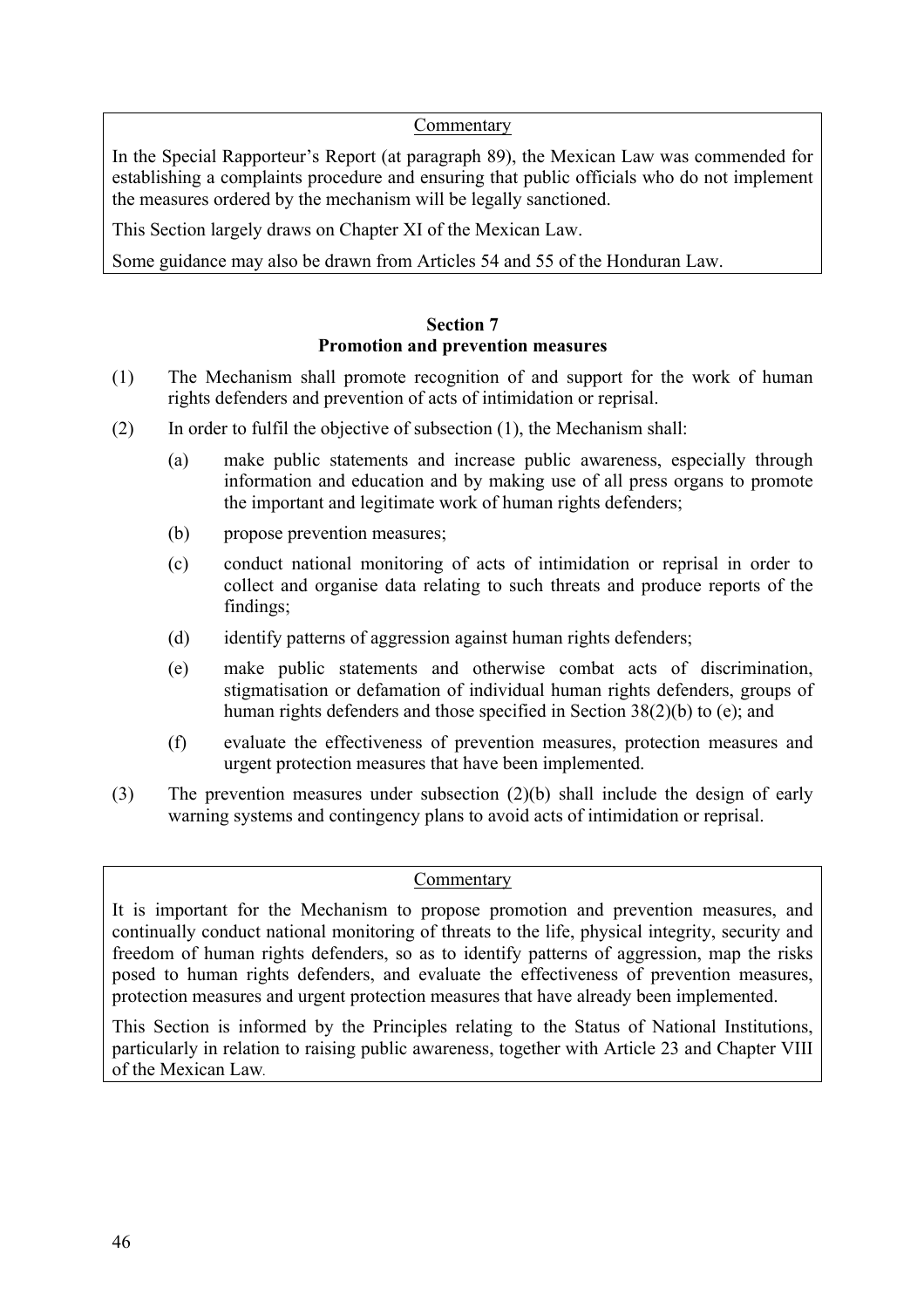#### Commentary

In the Special Rapporteur's Report (at paragraph 89), the Mexican Law was commended for establishing a complaints procedure and ensuring that public officials who do not implement the measures ordered by the mechanism will be legally sanctioned.

This Section largely draws on Chapter XI of the Mexican Law.

Some guidance may also be drawn from Articles 54 and 55 of the Honduran Law.

#### **Section 7 Promotion and prevention measures**

- (1) The Mechanism shall promote recognition of and support for the work of human rights defenders and prevention of acts of intimidation or reprisal.
- (2) In order to fulfil the objective of subsection (1), the Mechanism shall:
	- (a) make public statements and increase public awareness, especially through information and education and by making use of all press organs to promote the important and legitimate work of human rights defenders;
	- (b) propose prevention measures;
	- (c) conduct national monitoring of acts of intimidation or reprisal in order to collect and organise data relating to such threats and produce reports of the findings;
	- (d) identify patterns of aggression against human rights defenders;
	- (e) make public statements and otherwise combat acts of discrimination, stigmatisation or defamation of individual human rights defenders, groups of human rights defenders and those specified in Section 38(2)(b) to (e); and
	- (f) evaluate the effectiveness of prevention measures, protection measures and urgent protection measures that have been implemented.
- (3) The prevention measures under subsection (2)(b) shall include the design of early warning systems and contingency plans to avoid acts of intimidation or reprisal.

#### Commentary

It is important for the Mechanism to propose promotion and prevention measures, and continually conduct national monitoring of threats to the life, physical integrity, security and freedom of human rights defenders, so as to identify patterns of aggression, map the risks posed to human rights defenders, and evaluate the effectiveness of prevention measures, protection measures and urgent protection measures that have already been implemented.

This Section is informed by the Principles relating to the Status of National Institutions, particularly in relation to raising public awareness, together with Article 23 and Chapter VIII of the Mexican Law*.*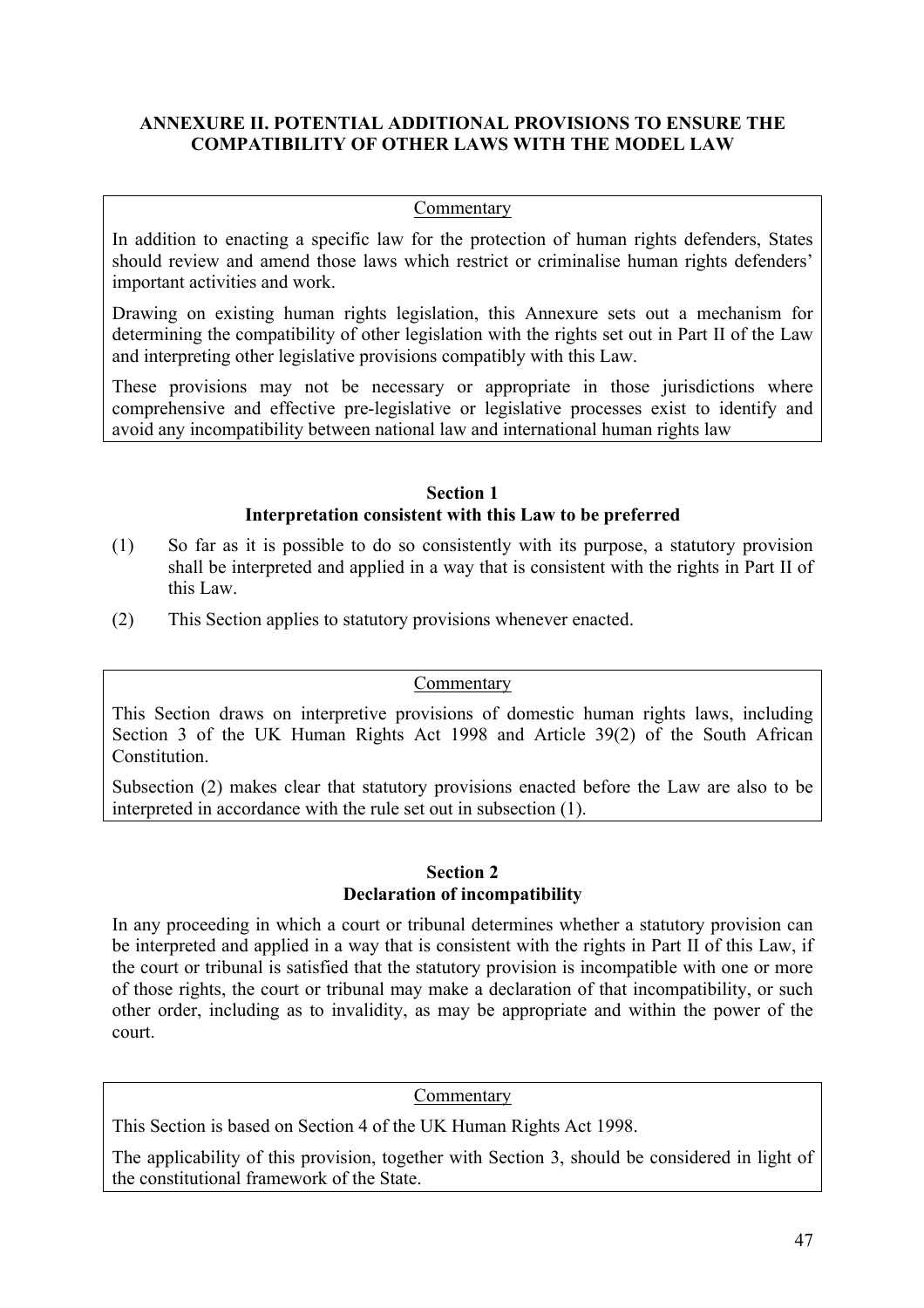#### **ANNEXURE II. POTENTIAL ADDITIONAL PROVISIONS TO ENSURE THE COMPATIBILITY OF OTHER LAWS WITH THE MODEL LAW**

#### **Commentary**

In addition to enacting a specific law for the protection of human rights defenders, States should review and amend those laws which restrict or criminalise human rights defenders' important activities and work.

Drawing on existing human rights legislation, this Annexure sets out a mechanism for determining the compatibility of other legislation with the rights set out in Part II of the Law and interpreting other legislative provisions compatibly with this Law.

These provisions may not be necessary or appropriate in those jurisdictions where comprehensive and effective pre-legislative or legislative processes exist to identify and avoid any incompatibility between national law and international human rights law

#### **Section 1 Interpretation consistent with this Law to be preferred**

- (1) So far as it is possible to do so consistently with its purpose, a statutory provision shall be interpreted and applied in a way that is consistent with the rights in Part II of this Law.
- (2) This Section applies to statutory provisions whenever enacted.

#### Commentary

This Section draws on interpretive provisions of domestic human rights laws, including Section 3 of the UK Human Rights Act 1998 and Article 39(2) of the South African Constitution.

Subsection (2) makes clear that statutory provisions enacted before the Law are also to be interpreted in accordance with the rule set out in subsection (1).

#### **Section 2 Declaration of incompatibility**

In any proceeding in which a court or tribunal determines whether a statutory provision can be interpreted and applied in a way that is consistent with the rights in Part II of this Law, if the court or tribunal is satisfied that the statutory provision is incompatible with one or more of those rights, the court or tribunal may make a declaration of that incompatibility, or such other order, including as to invalidity, as may be appropriate and within the power of the court.

#### Commentary

This Section is based on Section 4 of the UK Human Rights Act 1998.

The applicability of this provision, together with Section 3, should be considered in light of the constitutional framework of the State.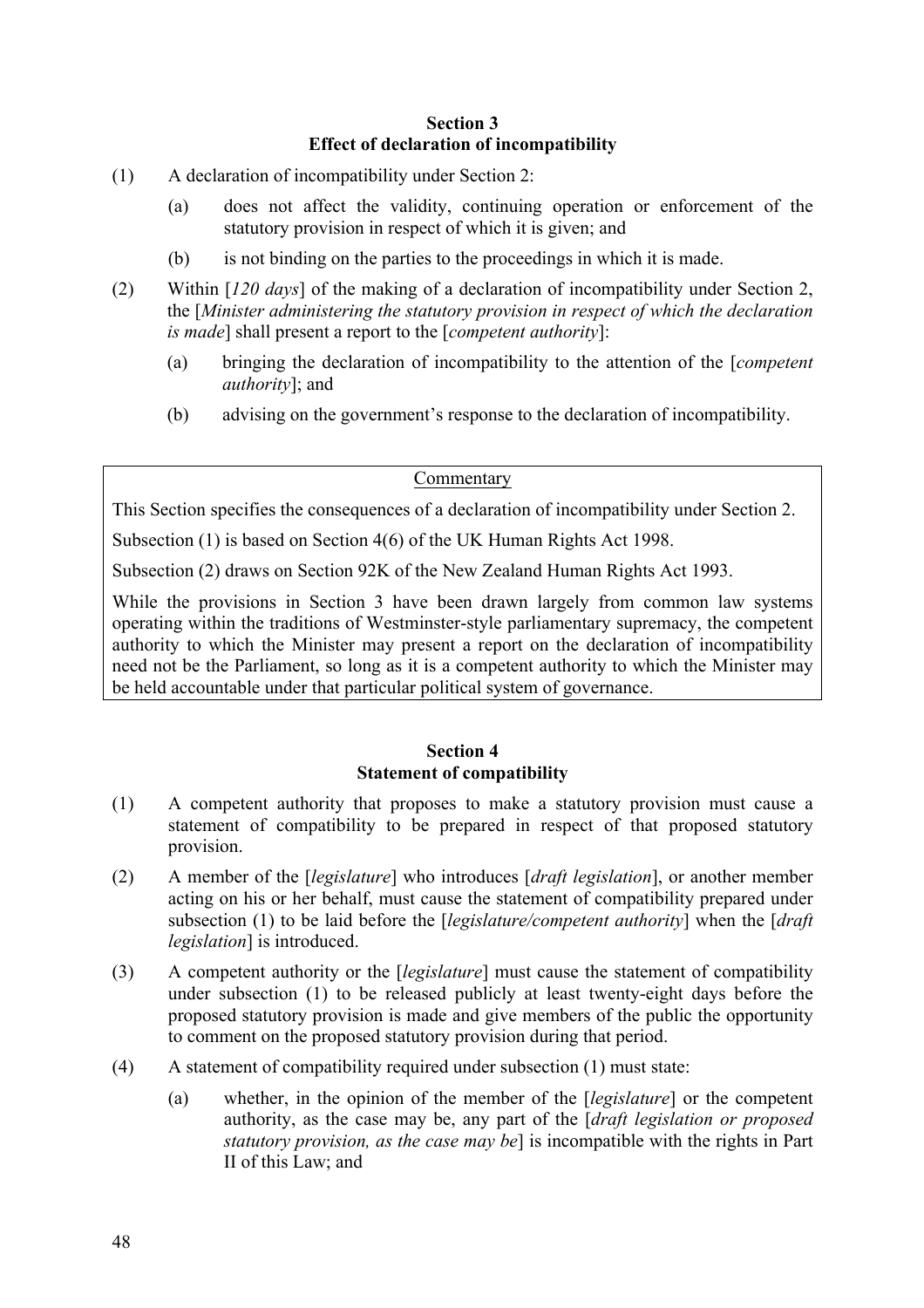#### **Section 3 Effect of declaration of incompatibility**

- (1) A declaration of incompatibility under Section 2:
	- (a) does not affect the validity, continuing operation or enforcement of the statutory provision in respect of which it is given; and
	- (b) is not binding on the parties to the proceedings in which it is made.
- (2) Within [*120 days*] of the making of a declaration of incompatibility under Section 2, the [*Minister administering the statutory provision in respect of which the declaration is made*] shall present a report to the [*competent authority*]:
	- (a) bringing the declaration of incompatibility to the attention of the [*competent authority*]; and
	- (b) advising on the government's response to the declaration of incompatibility.

#### Commentary

This Section specifies the consequences of a declaration of incompatibility under Section 2.

Subsection (1) is based on Section 4(6) of the UK Human Rights Act 1998.

Subsection (2) draws on Section 92K of the New Zealand Human Rights Act 1993.

While the provisions in Section 3 have been drawn largely from common law systems operating within the traditions of Westminster-style parliamentary supremacy, the competent authority to which the Minister may present a report on the declaration of incompatibility need not be the Parliament, so long as it is a competent authority to which the Minister may be held accountable under that particular political system of governance.

#### **Section 4 Statement of compatibility**

- (1) A competent authority that proposes to make a statutory provision must cause a statement of compatibility to be prepared in respect of that proposed statutory provision.
- (2) A member of the [*legislature*] who introduces [*draft legislation*], or another member acting on his or her behalf, must cause the statement of compatibility prepared under subsection (1) to be laid before the [*legislature/competent authority*] when the [*draft legislation*] is introduced.
- (3) A competent authority or the [*legislature*] must cause the statement of compatibility under subsection (1) to be released publicly at least twenty-eight days before the proposed statutory provision is made and give members of the public the opportunity to comment on the proposed statutory provision during that period.
- (4) A statement of compatibility required under subsection (1) must state:
	- (a) whether, in the opinion of the member of the [*legislature*] or the competent authority, as the case may be, any part of the [*draft legislation or proposed statutory provision, as the case may be*] is incompatible with the rights in Part II of this Law; and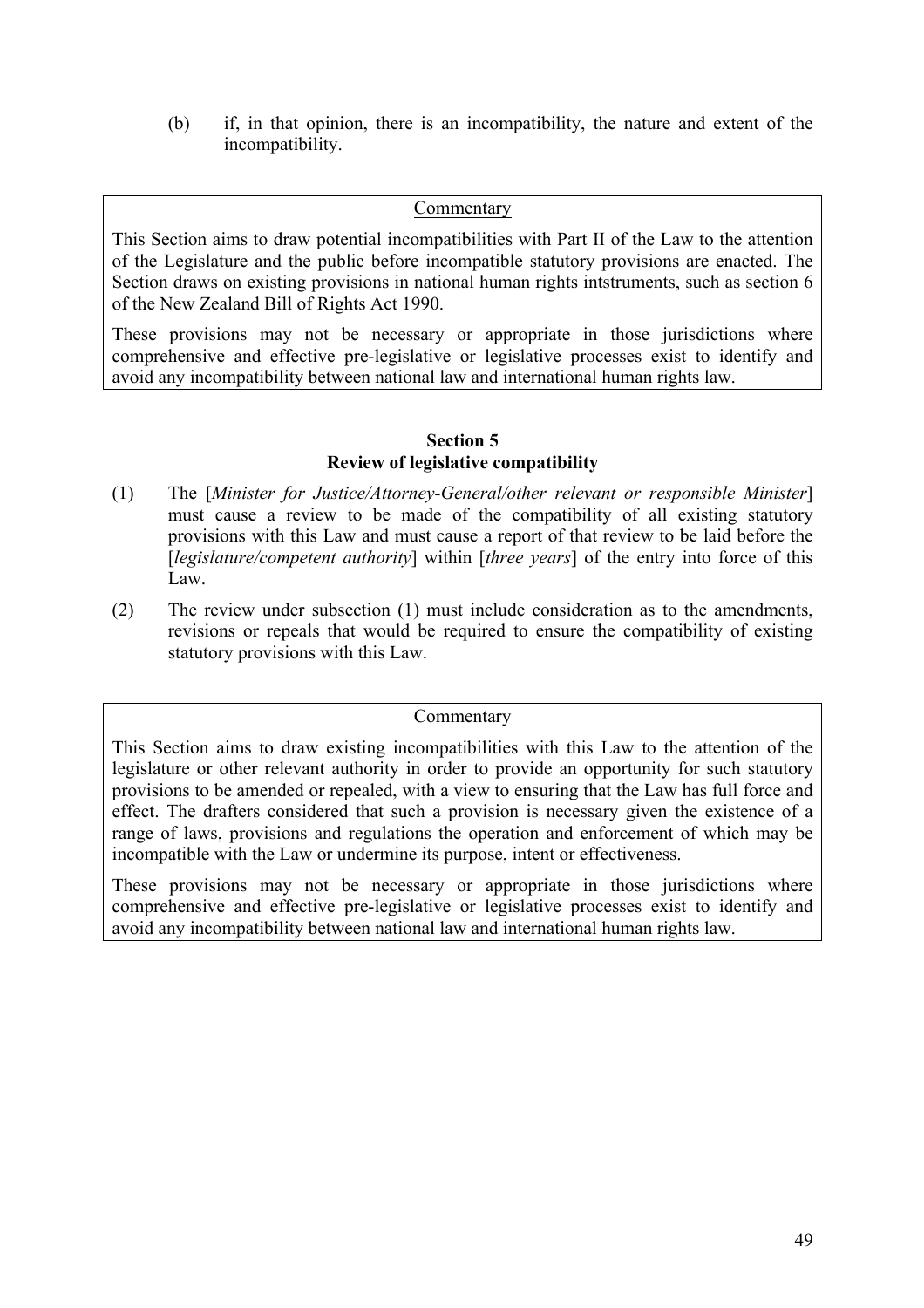(b) if, in that opinion, there is an incompatibility, the nature and extent of the incompatibility.

#### Commentary

This Section aims to draw potential incompatibilities with Part II of the Law to the attention of the Legislature and the public before incompatible statutory provisions are enacted. The Section draws on existing provisions in national human rights intstruments, such as section 6 of the New Zealand Bill of Rights Act 1990.

These provisions may not be necessary or appropriate in those jurisdictions where comprehensive and effective pre-legislative or legislative processes exist to identify and avoid any incompatibility between national law and international human rights law.

#### **Section 5 Review of legislative compatibility**

- (1) The [*Minister for Justice/Attorney-General/other relevant or responsible Minister*] must cause a review to be made of the compatibility of all existing statutory provisions with this Law and must cause a report of that review to be laid before the [*legislature/competent authority*] within [*three years*] of the entry into force of this Law.
- (2) The review under subsection (1) must include consideration as to the amendments, revisions or repeals that would be required to ensure the compatibility of existing statutory provisions with this Law.

#### Commentary

This Section aims to draw existing incompatibilities with this Law to the attention of the legislature or other relevant authority in order to provide an opportunity for such statutory provisions to be amended or repealed, with a view to ensuring that the Law has full force and effect. The drafters considered that such a provision is necessary given the existence of a range of laws, provisions and regulations the operation and enforcement of which may be incompatible with the Law or undermine its purpose, intent or effectiveness.

These provisions may not be necessary or appropriate in those jurisdictions where comprehensive and effective pre-legislative or legislative processes exist to identify and avoid any incompatibility between national law and international human rights law.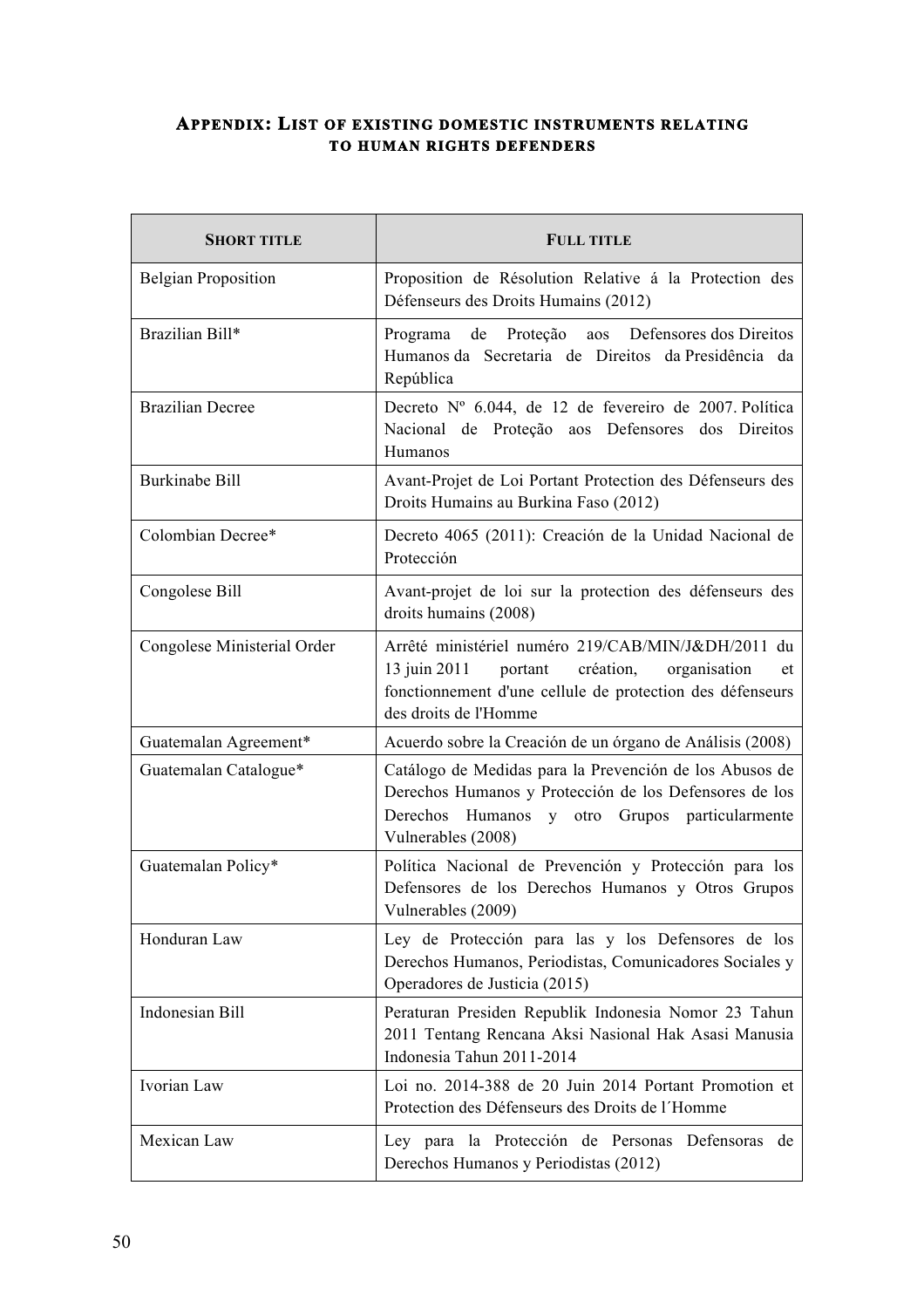#### **APPENDIX: LIST OF EXISTING DOMESTIC INSTRUMENTS RELATING TO HUMAN RIGHTS DEFENDERS**

| <b>SHORT TITLE</b>          | <b>FULL TITLE</b>                                                                                                                                                                                   |
|-----------------------------|-----------------------------------------------------------------------------------------------------------------------------------------------------------------------------------------------------|
| <b>Belgian Proposition</b>  | Proposition de Résolution Relative á la Protection des<br>Défenseurs des Droits Humains (2012)                                                                                                      |
| Brazilian Bill*             | de Proteção aos Defensores dos Direitos<br>Programa<br>Humanos da Secretaria de Direitos da Presidência da<br>República                                                                             |
| <b>Brazilian Decree</b>     | Decreto Nº 6.044, de 12 de fevereiro de 2007. Política<br>Nacional de Proteção aos Defensores dos Direitos<br>Humanos                                                                               |
| <b>Burkinabe Bill</b>       | Avant-Projet de Loi Portant Protection des Défenseurs des<br>Droits Humains au Burkina Faso (2012)                                                                                                  |
| Colombian Decree*           | Decreto 4065 (2011): Creación de la Unidad Nacional de<br>Protección                                                                                                                                |
| Congolese Bill              | Avant-projet de loi sur la protection des défenseurs des<br>droits humains (2008)                                                                                                                   |
| Congolese Ministerial Order | Arrêté ministériel numéro 219/CAB/MIN/J&DH/2011 du<br>13 juin 2011<br>portant création,<br>organisation<br>et<br>fonctionnement d'une cellule de protection des défenseurs<br>des droits de l'Homme |
| Guatemalan Agreement*       | Acuerdo sobre la Creación de un órgano de Análisis (2008)                                                                                                                                           |
| Guatemalan Catalogue*       | Catálogo de Medidas para la Prevención de los Abusos de<br>Derechos Humanos y Protección de los Defensores de los<br>Derechos Humanos y otro Grupos particularmente<br>Vulnerables (2008)           |
| Guatemalan Policy*          | Política Nacional de Prevención y Protección para los<br>Defensores de los Derechos Humanos y Otros Grupos<br>Vulnerables (2009)                                                                    |
| Honduran Law                | Ley de Protección para las y los Defensores de los<br>Derechos Humanos, Periodistas, Comunicadores Sociales y<br>Operadores de Justicia (2015)                                                      |
| Indonesian Bill             | Peraturan Presiden Republik Indonesia Nomor 23 Tahun<br>2011 Tentang Rencana Aksi Nasional Hak Asasi Manusia<br>Indonesia Tahun 2011-2014                                                           |
| Ivorian Law                 | Loi no. 2014-388 de 20 Juin 2014 Portant Promotion et<br>Protection des Défenseurs des Droits de l'Homme                                                                                            |
| Mexican Law                 | Ley para la Protección de Personas Defensoras de<br>Derechos Humanos y Periodistas (2012)                                                                                                           |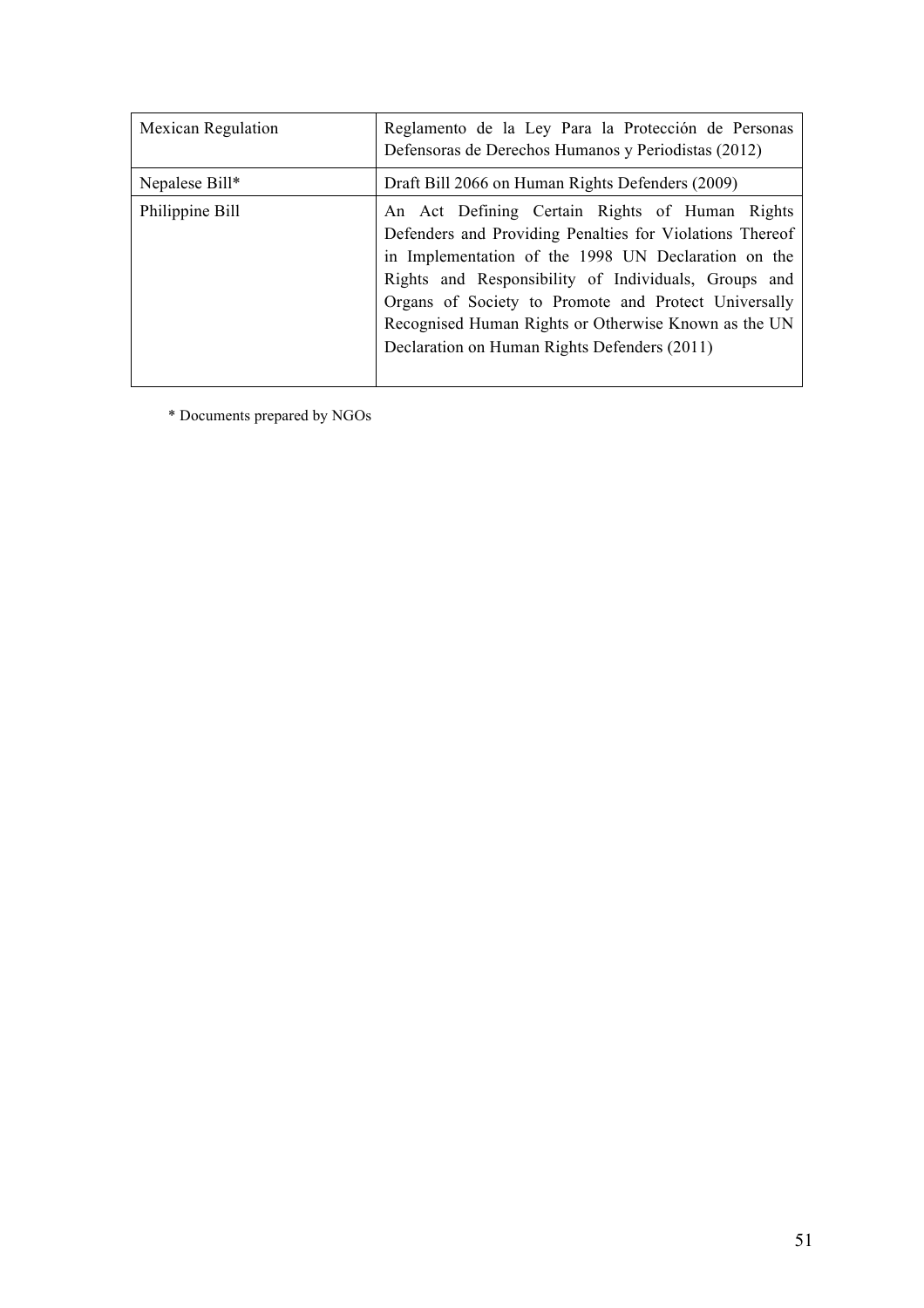| <b>Mexican Regulation</b> | Reglamento de la Ley Para la Protección de Personas<br>Defensoras de Derechos Humanos y Periodistas (2012)                                                                                                                                                                                                                                                                                |
|---------------------------|-------------------------------------------------------------------------------------------------------------------------------------------------------------------------------------------------------------------------------------------------------------------------------------------------------------------------------------------------------------------------------------------|
| Nepalese Bill*            | Draft Bill 2066 on Human Rights Defenders (2009)                                                                                                                                                                                                                                                                                                                                          |
| Philippine Bill           | An Act Defining Certain Rights of Human Rights<br>Defenders and Providing Penalties for Violations Thereof<br>in Implementation of the 1998 UN Declaration on the<br>Rights and Responsibility of Individuals, Groups and<br>Organs of Society to Promote and Protect Universally<br>Recognised Human Rights or Otherwise Known as the UN<br>Declaration on Human Rights Defenders (2011) |

\* Documents prepared by NGOs